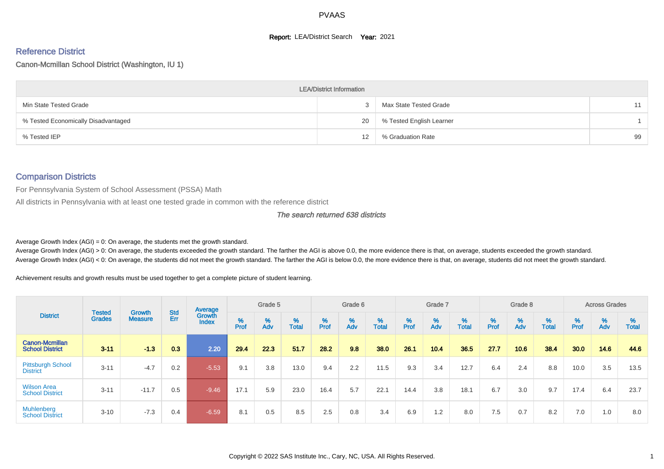#### **Report: LEA/District Search Year: 2021**

# Reference District

#### Canon-Mcmillan School District (Washington, IU 1)

|                                     | <b>LEA/District Information</b> |                          |    |
|-------------------------------------|---------------------------------|--------------------------|----|
| Min State Tested Grade              |                                 | Max State Tested Grade   | 11 |
| % Tested Economically Disadvantaged | 20                              | % Tested English Learner |    |
| % Tested IEP                        | 12                              | % Graduation Rate        | 99 |

#### Comparison Districts

For Pennsylvania System of School Assessment (PSSA) Math

All districts in Pennsylvania with at least one tested grade in common with the reference district

#### The search returned 638 districts

Average Growth Index  $(AGI) = 0$ : On average, the students met the growth standard.

Average Growth Index (AGI) > 0: On average, the students exceeded the growth standard. The farther the AGI is above 0.0, the more evidence there is that, on average, students exceeded the growth standard. Average Growth Index (AGI) < 0: On average, the students did not meet the growth standard. The farther the AGI is below 0.0, the more evidence there is that, on average, students did not meet the growth standard.

Achievement results and growth results must be used together to get a complete picture of student learning.

|                                              |                                |                          |                   | Average                |        | Grade 5  |                   |        | Grade 6  |                   |           | Grade 7  |                   |           | Grade 8                       |                   |          | <b>Across Grades</b> |                   |
|----------------------------------------------|--------------------------------|--------------------------|-------------------|------------------------|--------|----------|-------------------|--------|----------|-------------------|-----------|----------|-------------------|-----------|-------------------------------|-------------------|----------|----------------------|-------------------|
| <b>District</b>                              | <b>Tested</b><br><b>Grades</b> | Growth<br><b>Measure</b> | <b>Std</b><br>Err | Growth<br><b>Index</b> | % Pref | %<br>Adv | %<br><b>Total</b> | % Pref | %<br>Adv | %<br><b>Total</b> | %<br>Prof | %<br>Adv | %<br><b>Total</b> | %<br>Prof | $\stackrel{\%}{\mathsf{Adv}}$ | %<br><b>Total</b> | $%$ Prof | %<br>Adv             | %<br><b>Total</b> |
| Canon-Mcmillan<br><b>School District</b>     | $3 - 11$                       | $-1.3$                   | 0.3               | 2.20                   | 29.4   | 22.3     | 51.7              | 28.2   | 9.8      | 38.0              | 26.1      | 10.4     | 36.5              | 27.7      | 10.6                          | 38.4              | 30.0     | 14.6                 | 44.6              |
| <b>Pittsburgh School</b><br><b>District</b>  | $3 - 11$                       | $-4.7$                   | 0.2               | $-5.53$                | 9.1    | 3.8      | 13.0              | 9.4    | 2.2      | 11.5              | 9.3       | 3.4      | 12.7              | 6.4       | 2.4                           | 8.8               | 10.0     | 3.5                  | 13.5              |
| <b>Wilson Area</b><br><b>School District</b> | $3 - 11$                       | $-11.7$                  | 0.5               | $-9.46$                | 17.1   | 5.9      | 23.0              | 16.4   | 5.7      | 22.1              | 14.4      | 3.8      | 18.1              | 6.7       | 3.0                           | 9.7               | 17.4     | 6.4                  | 23.7              |
| Muhlenberg<br><b>School District</b>         | $3 - 10$                       | $-7.3$                   | 0.4               | $-6.59/$               | 8.1    | 0.5      | 8.5               | 2.5    | 0.8      | 3.4               | 6.9       | 1.2      | 8.0               | 7.5       | 0.7                           | 8.2               | 7.0      | 1.0                  | 8.0               |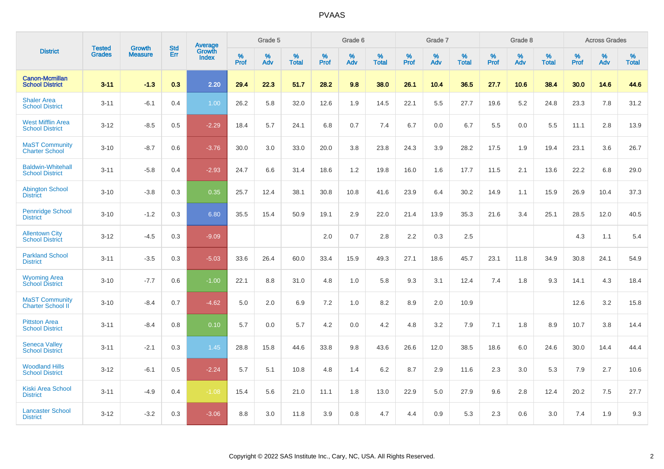|                                                    |                                |                                 | <b>Std</b> | Average         |           | Grade 5  |                   |           | Grade 6  |                   |           | Grade 7  |                   |           | Grade 8  |                   |           | <b>Across Grades</b> |            |
|----------------------------------------------------|--------------------------------|---------------------------------|------------|-----------------|-----------|----------|-------------------|-----------|----------|-------------------|-----------|----------|-------------------|-----------|----------|-------------------|-----------|----------------------|------------|
| <b>District</b>                                    | <b>Tested</b><br><b>Grades</b> | <b>Growth</b><br><b>Measure</b> | Err        | Growth<br>Index | %<br>Prof | %<br>Adv | %<br><b>Total</b> | %<br>Prof | %<br>Adv | %<br><b>Total</b> | %<br>Prof | %<br>Adv | %<br><b>Total</b> | %<br>Prof | %<br>Adv | %<br><b>Total</b> | %<br>Prof | %<br>Adv             | %<br>Total |
| <b>Canon-Mcmillan</b><br><b>School District</b>    | $3 - 11$                       | $-1.3$                          | 0.3        | 2.20            | 29.4      | 22.3     | 51.7              | 28.2      | 9.8      | 38.0              | 26.1      | 10.4     | 36.5              | 27.7      | 10.6     | 38.4              | 30.0      | 14.6                 | 44.6       |
| <b>Shaler Area</b><br><b>School District</b>       | $3 - 11$                       | $-6.1$                          | 0.4        | 1.00            | 26.2      | 5.8      | 32.0              | 12.6      | 1.9      | 14.5              | 22.1      | 5.5      | 27.7              | 19.6      | 5.2      | 24.8              | 23.3      | 7.8                  | 31.2       |
| <b>West Mifflin Area</b><br><b>School District</b> | $3 - 12$                       | $-8.5$                          | 0.5        | $-2.29$         | 18.4      | 5.7      | 24.1              | 6.8       | 0.7      | 7.4               | 6.7       | 0.0      | 6.7               | 5.5       | 0.0      | 5.5               | 11.1      | 2.8                  | 13.9       |
| <b>MaST Community</b><br><b>Charter School</b>     | $3 - 10$                       | $-8.7$                          | 0.6        | $-3.76$         | 30.0      | 3.0      | 33.0              | 20.0      | 3.8      | 23.8              | 24.3      | 3.9      | 28.2              | 17.5      | 1.9      | 19.4              | 23.1      | 3.6                  | 26.7       |
| <b>Baldwin-Whitehall</b><br><b>School District</b> | $3 - 11$                       | $-5.8$                          | 0.4        | $-2.93$         | 24.7      | 6.6      | 31.4              | 18.6      | 1.2      | 19.8              | 16.0      | 1.6      | 17.7              | 11.5      | 2.1      | 13.6              | 22.2      | 6.8                  | 29.0       |
| <b>Abington School</b><br><b>District</b>          | $3 - 10$                       | $-3.8$                          | 0.3        | 0.35            | 25.7      | 12.4     | 38.1              | 30.8      | 10.8     | 41.6              | 23.9      | 6.4      | 30.2              | 14.9      | 1.1      | 15.9              | 26.9      | 10.4                 | 37.3       |
| <b>Pennridge School</b><br><b>District</b>         | $3 - 10$                       | $-1.2$                          | 0.3        | 6.80            | 35.5      | 15.4     | 50.9              | 19.1      | 2.9      | 22.0              | 21.4      | 13.9     | 35.3              | 21.6      | 3.4      | 25.1              | 28.5      | 12.0                 | 40.5       |
| <b>Allentown City</b><br><b>School District</b>    | $3 - 12$                       | $-4.5$                          | 0.3        | $-9.09$         |           |          |                   | 2.0       | 0.7      | 2.8               | 2.2       | 0.3      | 2.5               |           |          |                   | 4.3       | 1.1                  | 5.4        |
| <b>Parkland School</b><br><b>District</b>          | $3 - 11$                       | $-3.5$                          | 0.3        | $-5.03$         | 33.6      | 26.4     | 60.0              | 33.4      | 15.9     | 49.3              | 27.1      | 18.6     | 45.7              | 23.1      | 11.8     | 34.9              | 30.8      | 24.1                 | 54.9       |
| <b>Wyoming Area</b><br><b>School District</b>      | $3 - 10$                       | $-7.7$                          | 0.6        | $-1.00$         | 22.1      | 8.8      | 31.0              | 4.8       | 1.0      | 5.8               | 9.3       | 3.1      | 12.4              | 7.4       | 1.8      | 9.3               | 14.1      | 4.3                  | 18.4       |
| <b>MaST Community</b><br>Charter School II         | $3 - 10$                       | $-8.4$                          | 0.7        | $-4.62$         | 5.0       | 2.0      | 6.9               | 7.2       | 1.0      | 8.2               | 8.9       | 2.0      | 10.9              |           |          |                   | 12.6      | 3.2                  | 15.8       |
| <b>Pittston Area</b><br><b>School District</b>     | $3 - 11$                       | $-8.4$                          | 0.8        | 0.10            | 5.7       | 0.0      | 5.7               | 4.2       | 0.0      | 4.2               | 4.8       | 3.2      | 7.9               | 7.1       | 1.8      | 8.9               | 10.7      | 3.8                  | 14.4       |
| <b>Seneca Valley</b><br><b>School District</b>     | $3 - 11$                       | $-2.1$                          | 0.3        | 1.45            | 28.8      | 15.8     | 44.6              | 33.8      | 9.8      | 43.6              | 26.6      | 12.0     | 38.5              | 18.6      | 6.0      | 24.6              | 30.0      | 14.4                 | 44.4       |
| <b>Woodland Hills</b><br><b>School District</b>    | $3 - 12$                       | $-6.1$                          | 0.5        | $-2.24$         | 5.7       | 5.1      | 10.8              | 4.8       | 1.4      | 6.2               | 8.7       | 2.9      | 11.6              | 2.3       | 3.0      | 5.3               | 7.9       | 2.7                  | 10.6       |
| <b>Kiski Area School</b><br><b>District</b>        | $3 - 11$                       | $-4.9$                          | 0.4        | $-1.08$         | 15.4      | 5.6      | 21.0              | 11.1      | 1.8      | 13.0              | 22.9      | 5.0      | 27.9              | 9.6       | 2.8      | 12.4              | 20.2      | 7.5                  | 27.7       |
| <b>Lancaster School</b><br><b>District</b>         | $3 - 12$                       | $-3.2$                          | 0.3        | $-3.06$         | 8.8       | 3.0      | 11.8              | 3.9       | 0.8      | 4.7               | 4.4       | 0.9      | 5.3               | 2.3       | 0.6      | 3.0               | 7.4       | 1.9                  | 9.3        |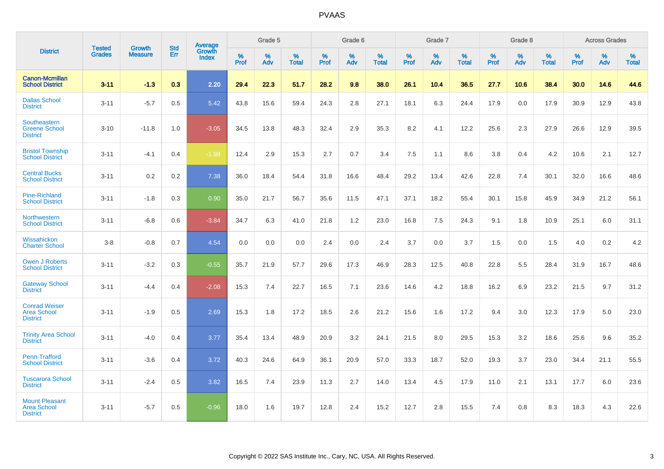|                                                                |                                |                          | <b>Std</b> | Average         |           | Grade 5  |                   |           | Grade 6  |                   |           | Grade 7  |                   |           | Grade 8  |                   |           | <b>Across Grades</b> |                   |
|----------------------------------------------------------------|--------------------------------|--------------------------|------------|-----------------|-----------|----------|-------------------|-----------|----------|-------------------|-----------|----------|-------------------|-----------|----------|-------------------|-----------|----------------------|-------------------|
| <b>District</b>                                                | <b>Tested</b><br><b>Grades</b> | Growth<br><b>Measure</b> | Err        | Growth<br>Index | %<br>Prof | %<br>Adv | %<br><b>Total</b> | %<br>Prof | %<br>Adv | %<br><b>Total</b> | %<br>Prof | %<br>Adv | %<br><b>Total</b> | %<br>Prof | %<br>Adv | %<br><b>Total</b> | %<br>Prof | %<br>Adv             | %<br><b>Total</b> |
| <b>Canon-Mcmillan</b><br><b>School District</b>                | $3 - 11$                       | $-1.3$                   | 0.3        | 2.20            | 29.4      | 22.3     | 51.7              | 28.2      | 9.8      | 38.0              | 26.1      | 10.4     | 36.5              | 27.7      | 10.6     | 38.4              | 30.0      | 14.6                 | 44.6              |
| <b>Dallas School</b><br><b>District</b>                        | $3 - 11$                       | $-5.7$                   | 0.5        | 5.42            | 43.8      | 15.6     | 59.4              | 24.3      | 2.8      | 27.1              | 18.1      | 6.3      | 24.4              | 17.9      | 0.0      | 17.9              | 30.9      | 12.9                 | 43.8              |
| Southeastern<br><b>Greene School</b><br><b>District</b>        | $3 - 10$                       | $-11.8$                  | 1.0        | $-3.05$         | 34.5      | 13.8     | 48.3              | 32.4      | 2.9      | 35.3              | 8.2       | 4.1      | 12.2              | 25.6      | 2.3      | 27.9              | 26.6      | 12.9                 | 39.5              |
| <b>Bristol Township</b><br><b>School District</b>              | $3 - 11$                       | $-4.1$                   | 0.4        | $-1.98$         | 12.4      | 2.9      | 15.3              | 2.7       | 0.7      | 3.4               | 7.5       | 1.1      | 8.6               | 3.8       | 0.4      | 4.2               | 10.6      | 2.1                  | 12.7              |
| <b>Central Bucks</b><br><b>School District</b>                 | $3 - 11$                       | 0.2                      | 0.2        | 7.38            | 36.0      | 18.4     | 54.4              | 31.8      | 16.6     | 48.4              | 29.2      | 13.4     | 42.6              | 22.8      | 7.4      | 30.1              | 32.0      | 16.6                 | 48.6              |
| <b>Pine-Richland</b><br><b>School District</b>                 | $3 - 11$                       | $-1.8$                   | 0.3        | 0.90            | 35.0      | 21.7     | 56.7              | 35.6      | 11.5     | 47.1              | 37.1      | 18.2     | 55.4              | 30.1      | 15.8     | 45.9              | 34.9      | 21.2                 | 56.1              |
| Northwestern<br><b>School District</b>                         | $3 - 11$                       | $-6.8$                   | 0.6        | $-3.84$         | 34.7      | 6.3      | 41.0              | 21.8      | 1.2      | 23.0              | 16.8      | 7.5      | 24.3              | 9.1       | 1.8      | 10.9              | 25.1      | 6.0                  | 31.1              |
| Wissahickon<br><b>Charter School</b>                           | $3-8$                          | $-0.8$                   | 0.7        | 4.54            | 0.0       | 0.0      | 0.0               | 2.4       | 0.0      | 2.4               | 3.7       | 0.0      | 3.7               | 1.5       | 0.0      | 1.5               | 4.0       | 0.2                  | 4.2               |
| <b>Owen J Roberts</b><br><b>School District</b>                | $3 - 11$                       | $-3.2$                   | 0.3        | $-0.55$         | 35.7      | 21.9     | 57.7              | 29.6      | 17.3     | 46.9              | 28.3      | 12.5     | 40.8              | 22.8      | 5.5      | 28.4              | 31.9      | 16.7                 | 48.6              |
| <b>Gateway School</b><br><b>District</b>                       | $3 - 11$                       | $-4.4$                   | 0.4        | $-2.08$         | 15.3      | 7.4      | 22.7              | 16.5      | 7.1      | 23.6              | 14.6      | 4.2      | 18.8              | 16.2      | 6.9      | 23.2              | 21.5      | 9.7                  | 31.2              |
| <b>Conrad Weiser</b><br><b>Area School</b><br><b>District</b>  | $3 - 11$                       | $-1.9$                   | 0.5        | 2.69            | 15.3      | 1.8      | 17.2              | 18.5      | 2.6      | 21.2              | 15.6      | 1.6      | 17.2              | 9.4       | 3.0      | 12.3              | 17.9      | 5.0                  | 23.0              |
| <b>Trinity Area School</b><br><b>District</b>                  | $3 - 11$                       | $-4.0$                   | 0.4        | 3.77            | 35.4      | 13.4     | 48.9              | 20.9      | 3.2      | 24.1              | 21.5      | 8.0      | 29.5              | 15.3      | 3.2      | 18.6              | 25.6      | 9.6                  | 35.2              |
| Penn-Trafford<br><b>School District</b>                        | $3 - 11$                       | $-3.6$                   | 0.4        | 3.72            | 40.3      | 24.6     | 64.9              | 36.1      | 20.9     | 57.0              | 33.3      | 18.7     | 52.0              | 19.3      | 3.7      | 23.0              | 34.4      | 21.1                 | 55.5              |
| <b>Tuscarora School</b><br><b>District</b>                     | $3 - 11$                       | $-2.4$                   | 0.5        | 3.82            | 16.5      | 7.4      | 23.9              | 11.3      | 2.7      | 14.0              | 13.4      | 4.5      | 17.9              | 11.0      | 2.1      | 13.1              | 17.7      | 6.0                  | 23.6              |
| <b>Mount Pleasant</b><br><b>Area School</b><br><b>District</b> | $3 - 11$                       | $-5.7$                   | 0.5        | $-0.96$         | 18.0      | 1.6      | 19.7              | 12.8      | 2.4      | 15.2              | 12.7      | 2.8      | 15.5              | 7.4       | 0.8      | 8.3               | 18.3      | 4.3                  | 22.6              |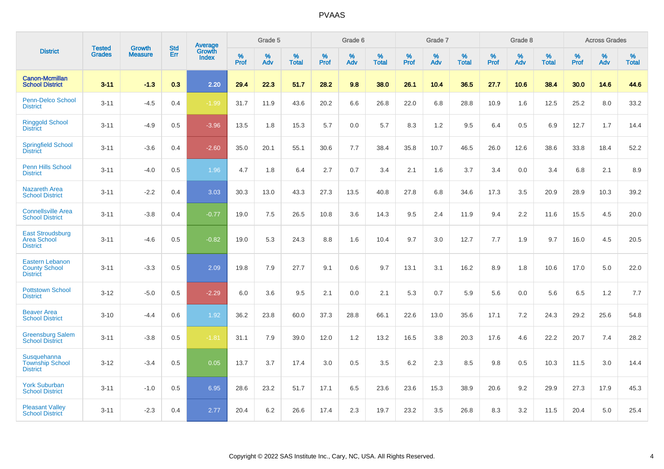|                                                                   |                                |                                 | <b>Std</b> | Average                       |           | Grade 5  |                   |           | Grade 6  |                   |           | Grade 7  |                   |           | Grade 8  |                   |           | <b>Across Grades</b> |                   |
|-------------------------------------------------------------------|--------------------------------|---------------------------------|------------|-------------------------------|-----------|----------|-------------------|-----------|----------|-------------------|-----------|----------|-------------------|-----------|----------|-------------------|-----------|----------------------|-------------------|
| <b>District</b>                                                   | <b>Tested</b><br><b>Grades</b> | <b>Growth</b><br><b>Measure</b> | Err        | <b>Growth</b><br><b>Index</b> | %<br>Prof | %<br>Adv | %<br><b>Total</b> | %<br>Prof | %<br>Adv | %<br><b>Total</b> | %<br>Prof | %<br>Adv | %<br><b>Total</b> | %<br>Prof | %<br>Adv | %<br><b>Total</b> | %<br>Prof | %<br>Adv             | %<br><b>Total</b> |
| <b>Canon-Mcmillan</b><br><b>School District</b>                   | $3 - 11$                       | $-1.3$                          | 0.3        | 2.20                          | 29.4      | 22.3     | 51.7              | 28.2      | 9.8      | 38.0              | 26.1      | 10.4     | 36.5              | 27.7      | 10.6     | 38.4              | 30.0      | 14.6                 | 44.6              |
| Penn-Delco School<br><b>District</b>                              | $3 - 11$                       | $-4.5$                          | 0.4        | $-1.99$                       | 31.7      | 11.9     | 43.6              | 20.2      | 6.6      | 26.8              | 22.0      | 6.8      | 28.8              | 10.9      | 1.6      | 12.5              | 25.2      | 8.0                  | 33.2              |
| <b>Ringgold School</b><br><b>District</b>                         | $3 - 11$                       | $-4.9$                          | 0.5        | $-3.96$                       | 13.5      | 1.8      | 15.3              | 5.7       | 0.0      | 5.7               | 8.3       | 1.2      | 9.5               | 6.4       | 0.5      | 6.9               | 12.7      | 1.7                  | 14.4              |
| <b>Springfield School</b><br><b>District</b>                      | $3 - 11$                       | $-3.6$                          | 0.4        | $-2.60$                       | 35.0      | 20.1     | 55.1              | 30.6      | 7.7      | 38.4              | 35.8      | 10.7     | 46.5              | 26.0      | 12.6     | 38.6              | 33.8      | 18.4                 | 52.2              |
| Penn Hills School<br><b>District</b>                              | $3 - 11$                       | $-4.0$                          | 0.5        | 1.96                          | 4.7       | 1.8      | 6.4               | 2.7       | 0.7      | 3.4               | 2.1       | 1.6      | 3.7               | 3.4       | 0.0      | 3.4               | 6.8       | 2.1                  | 8.9               |
| <b>Nazareth Area</b><br><b>School District</b>                    | $3 - 11$                       | $-2.2$                          | 0.4        | 3.03                          | 30.3      | 13.0     | 43.3              | 27.3      | 13.5     | 40.8              | 27.8      | 6.8      | 34.6              | 17.3      | 3.5      | 20.9              | 28.9      | 10.3                 | 39.2              |
| <b>Connellsville Area</b><br><b>School District</b>               | $3 - 11$                       | $-3.8$                          | 0.4        | $-0.77$                       | 19.0      | 7.5      | 26.5              | 10.8      | 3.6      | 14.3              | 9.5       | 2.4      | 11.9              | 9.4       | 2.2      | 11.6              | 15.5      | 4.5                  | 20.0              |
| <b>East Stroudsburg</b><br><b>Area School</b><br><b>District</b>  | $3 - 11$                       | $-4.6$                          | 0.5        | $-0.82$                       | 19.0      | 5.3      | 24.3              | 8.8       | 1.6      | 10.4              | 9.7       | 3.0      | 12.7              | 7.7       | 1.9      | 9.7               | 16.0      | 4.5                  | 20.5              |
| <b>Eastern Lebanon</b><br><b>County School</b><br><b>District</b> | $3 - 11$                       | $-3.3$                          | 0.5        | 2.09                          | 19.8      | 7.9      | 27.7              | 9.1       | 0.6      | 9.7               | 13.1      | 3.1      | 16.2              | 8.9       | 1.8      | 10.6              | 17.0      | 5.0                  | 22.0              |
| <b>Pottstown School</b><br><b>District</b>                        | $3 - 12$                       | $-5.0$                          | 0.5        | $-2.29$                       | 6.0       | 3.6      | 9.5               | 2.1       | 0.0      | 2.1               | 5.3       | 0.7      | 5.9               | 5.6       | 0.0      | 5.6               | 6.5       | 1.2                  | 7.7               |
| <b>Beaver Area</b><br><b>School District</b>                      | $3 - 10$                       | $-4.4$                          | 0.6        | 1.92                          | 36.2      | 23.8     | 60.0              | 37.3      | 28.8     | 66.1              | 22.6      | 13.0     | 35.6              | 17.1      | 7.2      | 24.3              | 29.2      | 25.6                 | 54.8              |
| <b>Greensburg Salem</b><br><b>School District</b>                 | $3 - 11$                       | $-3.8$                          | 0.5        | $-1.81$                       | 31.1      | 7.9      | 39.0              | 12.0      | 1.2      | 13.2              | 16.5      | 3.8      | 20.3              | 17.6      | 4.6      | 22.2              | 20.7      | 7.4                  | 28.2              |
| Susquehanna<br><b>Township School</b><br><b>District</b>          | $3 - 12$                       | $-3.4$                          | 0.5        | 0.05                          | 13.7      | 3.7      | 17.4              | 3.0       | 0.5      | 3.5               | 6.2       | 2.3      | 8.5               | 9.8       | 0.5      | 10.3              | 11.5      | 3.0                  | 14.4              |
| <b>York Suburban</b><br><b>School District</b>                    | $3 - 11$                       | $-1.0$                          | 0.5        | 6.95                          | 28.6      | 23.2     | 51.7              | 17.1      | 6.5      | 23.6              | 23.6      | 15.3     | 38.9              | 20.6      | 9.2      | 29.9              | 27.3      | 17.9                 | 45.3              |
| <b>Pleasant Valley</b><br><b>School District</b>                  | $3 - 11$                       | $-2.3$                          | 0.4        | 2.77                          | 20.4      | 6.2      | 26.6              | 17.4      | 2.3      | 19.7              | 23.2      | 3.5      | 26.8              | 8.3       | 3.2      | 11.5              | 20.4      | 5.0                  | 25.4              |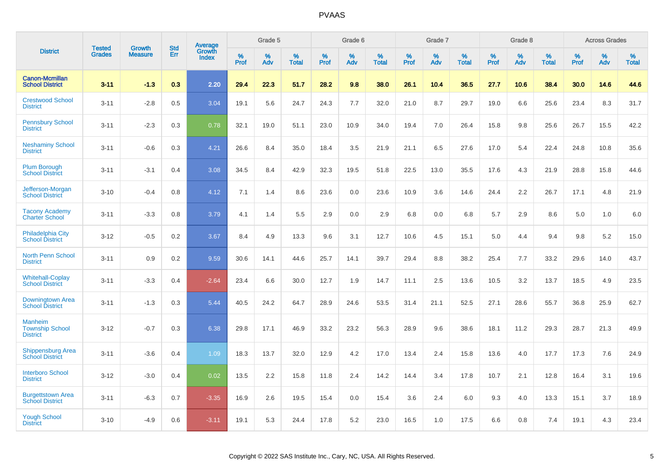|                                                             | <b>Tested</b> | <b>Growth</b>  | <b>Std</b> | Average                |              | Grade 5  |                   |              | Grade 6  |                   |              | Grade 7  |                   |              | Grade 8  |                   |              | <b>Across Grades</b> |                      |
|-------------------------------------------------------------|---------------|----------------|------------|------------------------|--------------|----------|-------------------|--------------|----------|-------------------|--------------|----------|-------------------|--------------|----------|-------------------|--------------|----------------------|----------------------|
| <b>District</b>                                             | <b>Grades</b> | <b>Measure</b> | Err        | Growth<br><b>Index</b> | $\%$<br>Prof | %<br>Adv | %<br><b>Total</b> | $\%$<br>Prof | %<br>Adv | %<br><b>Total</b> | $\%$<br>Prof | %<br>Adv | %<br><b>Total</b> | $\%$<br>Prof | %<br>Adv | %<br><b>Total</b> | $\%$<br>Prof | %<br>Adv             | $\%$<br><b>Total</b> |
| <b>Canon-Mcmillan</b><br><b>School District</b>             | $3 - 11$      | $-1.3$         | 0.3        | 2.20                   | 29.4         | 22.3     | 51.7              | 28.2         | 9.8      | 38.0              | 26.1         | 10.4     | 36.5              | 27.7         | 10.6     | 38.4              | 30.0         | 14.6                 | 44.6                 |
| <b>Crestwood School</b><br><b>District</b>                  | $3 - 11$      | $-2.8$         | 0.5        | 3.04                   | 19.1         | 5.6      | 24.7              | 24.3         | 7.7      | 32.0              | 21.0         | 8.7      | 29.7              | 19.0         | 6.6      | 25.6              | 23.4         | 8.3                  | 31.7                 |
| <b>Pennsbury School</b><br><b>District</b>                  | $3 - 11$      | $-2.3$         | 0.3        | 0.78                   | 32.1         | 19.0     | 51.1              | 23.0         | 10.9     | 34.0              | 19.4         | 7.0      | 26.4              | 15.8         | 9.8      | 25.6              | 26.7         | 15.5                 | 42.2                 |
| <b>Neshaminy School</b><br><b>District</b>                  | $3 - 11$      | $-0.6$         | 0.3        | 4.21                   | 26.6         | 8.4      | 35.0              | 18.4         | 3.5      | 21.9              | 21.1         | 6.5      | 27.6              | 17.0         | 5.4      | 22.4              | 24.8         | 10.8                 | 35.6                 |
| <b>Plum Borough</b><br><b>School District</b>               | $3 - 11$      | $-3.1$         | 0.4        | 3.08                   | 34.5         | 8.4      | 42.9              | 32.3         | 19.5     | 51.8              | 22.5         | 13.0     | 35.5              | 17.6         | 4.3      | 21.9              | 28.8         | 15.8                 | 44.6                 |
| Jefferson-Morgan<br><b>School District</b>                  | $3 - 10$      | $-0.4$         | 0.8        | 4.12                   | 7.1          | 1.4      | 8.6               | 23.6         | 0.0      | 23.6              | 10.9         | 3.6      | 14.6              | 24.4         | 2.2      | 26.7              | 17.1         | 4.8                  | 21.9                 |
| <b>Tacony Academy</b><br><b>Charter School</b>              | $3 - 11$      | $-3.3$         | 0.8        | 3.79                   | 4.1          | 1.4      | 5.5               | 2.9          | 0.0      | 2.9               | 6.8          | 0.0      | 6.8               | 5.7          | 2.9      | 8.6               | 5.0          | 1.0                  | 6.0                  |
| <b>Philadelphia City</b><br><b>School District</b>          | $3 - 12$      | $-0.5$         | 0.2        | 3.67                   | 8.4          | 4.9      | 13.3              | 9.6          | 3.1      | 12.7              | 10.6         | 4.5      | 15.1              | 5.0          | 4.4      | 9.4               | 9.8          | 5.2                  | 15.0                 |
| <b>North Penn School</b><br><b>District</b>                 | $3 - 11$      | 0.9            | 0.2        | 9.59                   | 30.6         | 14.1     | 44.6              | 25.7         | 14.1     | 39.7              | 29.4         | 8.8      | 38.2              | 25.4         | 7.7      | 33.2              | 29.6         | 14.0                 | 43.7                 |
| <b>Whitehall-Coplay</b><br><b>School District</b>           | $3 - 11$      | $-3.3$         | 0.4        | $-2.64$                | 23.4         | 6.6      | 30.0              | 12.7         | 1.9      | 14.7              | 11.1         | 2.5      | 13.6              | 10.5         | 3.2      | 13.7              | 18.5         | 4.9                  | 23.5                 |
| Downingtown Area<br><b>School District</b>                  | $3 - 11$      | $-1.3$         | 0.3        | 5.44                   | 40.5         | 24.2     | 64.7              | 28.9         | 24.6     | 53.5              | 31.4         | 21.1     | 52.5              | 27.1         | 28.6     | 55.7              | 36.8         | 25.9                 | 62.7                 |
| <b>Manheim</b><br><b>Township School</b><br><b>District</b> | $3 - 12$      | $-0.7$         | 0.3        | 6.38                   | 29.8         | 17.1     | 46.9              | 33.2         | 23.2     | 56.3              | 28.9         | 9.6      | 38.6              | 18.1         | 11.2     | 29.3              | 28.7         | 21.3                 | 49.9                 |
| <b>Shippensburg Area</b><br><b>School District</b>          | $3 - 11$      | $-3.6$         | 0.4        | 1.09                   | 18.3         | 13.7     | 32.0              | 12.9         | 4.2      | 17.0              | 13.4         | 2.4      | 15.8              | 13.6         | 4.0      | 17.7              | 17.3         | 7.6                  | 24.9                 |
| <b>Interboro School</b><br><b>District</b>                  | $3 - 12$      | $-3.0$         | 0.4        | 0.02                   | 13.5         | 2.2      | 15.8              | 11.8         | 2.4      | 14.2              | 14.4         | 3.4      | 17.8              | 10.7         | 2.1      | 12.8              | 16.4         | 3.1                  | 19.6                 |
| <b>Burgettstown Area</b><br><b>School District</b>          | $3 - 11$      | $-6.3$         | 0.7        | $-3.35$                | 16.9         | 2.6      | 19.5              | 15.4         | 0.0      | 15.4              | 3.6          | 2.4      | 6.0               | 9.3          | 4.0      | 13.3              | 15.1         | 3.7                  | 18.9                 |
| <b>Yough School</b><br><b>District</b>                      | $3 - 10$      | $-4.9$         | 0.6        | $-3.11$                | 19.1         | 5.3      | 24.4              | 17.8         | 5.2      | 23.0              | 16.5         | 1.0      | 17.5              | 6.6          | 0.8      | 7.4               | 19.1         | 4.3                  | 23.4                 |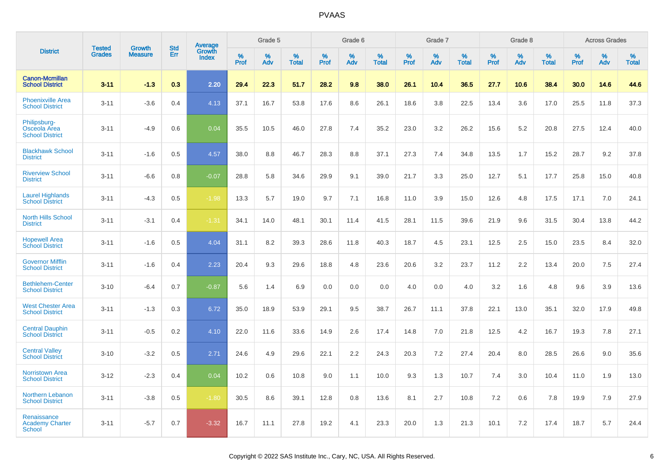|                                                        | <b>Tested</b> | <b>Growth</b>  | <b>Std</b> | Average                |              | Grade 5  |                   |              | Grade 6  |                   |              | Grade 7  |                   |              | Grade 8  |                   |              | <b>Across Grades</b> |                   |
|--------------------------------------------------------|---------------|----------------|------------|------------------------|--------------|----------|-------------------|--------------|----------|-------------------|--------------|----------|-------------------|--------------|----------|-------------------|--------------|----------------------|-------------------|
| <b>District</b>                                        | <b>Grades</b> | <b>Measure</b> | Err        | Growth<br><b>Index</b> | $\%$<br>Prof | %<br>Adv | %<br><b>Total</b> | $\%$<br>Prof | %<br>Adv | %<br><b>Total</b> | $\%$<br>Prof | %<br>Adv | %<br><b>Total</b> | $\%$<br>Prof | %<br>Adv | %<br><b>Total</b> | $\%$<br>Prof | %<br>Adv             | %<br><b>Total</b> |
| <b>Canon-Mcmillan</b><br><b>School District</b>        | $3 - 11$      | $-1.3$         | 0.3        | 2.20                   | 29.4         | 22.3     | 51.7              | 28.2         | 9.8      | 38.0              | 26.1         | 10.4     | 36.5              | 27.7         | 10.6     | 38.4              | 30.0         | 14.6                 | 44.6              |
| <b>Phoenixville Area</b><br><b>School District</b>     | $3 - 11$      | $-3.6$         | 0.4        | 4.13                   | 37.1         | 16.7     | 53.8              | 17.6         | 8.6      | 26.1              | 18.6         | 3.8      | 22.5              | 13.4         | 3.6      | 17.0              | 25.5         | 11.8                 | 37.3              |
| Philipsburg-<br>Osceola Area<br><b>School District</b> | $3 - 11$      | $-4.9$         | 0.6        | 0.04                   | 35.5         | 10.5     | 46.0              | 27.8         | 7.4      | 35.2              | 23.0         | 3.2      | 26.2              | 15.6         | 5.2      | 20.8              | 27.5         | 12.4                 | 40.0              |
| <b>Blackhawk School</b><br><b>District</b>             | $3 - 11$      | $-1.6$         | 0.5        | 4.57                   | 38.0         | 8.8      | 46.7              | 28.3         | 8.8      | 37.1              | 27.3         | 7.4      | 34.8              | 13.5         | 1.7      | 15.2              | 28.7         | 9.2                  | 37.8              |
| <b>Riverview School</b><br><b>District</b>             | $3 - 11$      | $-6.6$         | 0.8        | $-0.07$                | 28.8         | 5.8      | 34.6              | 29.9         | 9.1      | 39.0              | 21.7         | 3.3      | 25.0              | 12.7         | 5.1      | 17.7              | 25.8         | 15.0                 | 40.8              |
| <b>Laurel Highlands</b><br><b>School District</b>      | $3 - 11$      | $-4.3$         | 0.5        | $-1.98$                | 13.3         | 5.7      | 19.0              | 9.7          | 7.1      | 16.8              | 11.0         | 3.9      | 15.0              | 12.6         | 4.8      | 17.5              | 17.1         | 7.0                  | 24.1              |
| <b>North Hills School</b><br><b>District</b>           | $3 - 11$      | $-3.1$         | 0.4        | $-1.31$                | 34.1         | 14.0     | 48.1              | 30.1         | 11.4     | 41.5              | 28.1         | 11.5     | 39.6              | 21.9         | 9.6      | 31.5              | 30.4         | 13.8                 | 44.2              |
| <b>Hopewell Area</b><br><b>School District</b>         | $3 - 11$      | $-1.6$         | 0.5        | 4.04                   | 31.1         | 8.2      | 39.3              | 28.6         | 11.8     | 40.3              | 18.7         | 4.5      | 23.1              | 12.5         | 2.5      | 15.0              | 23.5         | 8.4                  | 32.0              |
| <b>Governor Mifflin</b><br><b>School District</b>      | $3 - 11$      | $-1.6$         | 0.4        | 2.23                   | 20.4         | 9.3      | 29.6              | 18.8         | 4.8      | 23.6              | 20.6         | 3.2      | 23.7              | 11.2         | 2.2      | 13.4              | 20.0         | 7.5                  | 27.4              |
| <b>Bethlehem-Center</b><br><b>School District</b>      | $3 - 10$      | $-6.4$         | 0.7        | $-0.87$                | 5.6          | 1.4      | 6.9               | 0.0          | 0.0      | 0.0               | 4.0          | 0.0      | 4.0               | 3.2          | 1.6      | 4.8               | 9.6          | 3.9                  | 13.6              |
| <b>West Chester Area</b><br><b>School District</b>     | $3 - 11$      | $-1.3$         | 0.3        | 6.72                   | 35.0         | 18.9     | 53.9              | 29.1         | 9.5      | 38.7              | 26.7         | 11.1     | 37.8              | 22.1         | 13.0     | 35.1              | 32.0         | 17.9                 | 49.8              |
| <b>Central Dauphin</b><br><b>School District</b>       | $3 - 11$      | $-0.5$         | 0.2        | 4.10                   | 22.0         | 11.6     | 33.6              | 14.9         | 2.6      | 17.4              | 14.8         | 7.0      | 21.8              | 12.5         | 4.2      | 16.7              | 19.3         | 7.8                  | 27.1              |
| <b>Central Valley</b><br><b>School District</b>        | $3 - 10$      | $-3.2$         | 0.5        | 2.71                   | 24.6         | 4.9      | 29.6              | 22.1         | 2.2      | 24.3              | 20.3         | 7.2      | 27.4              | 20.4         | 8.0      | 28.5              | 26.6         | 9.0                  | 35.6              |
| <b>Norristown Area</b><br><b>School District</b>       | $3 - 12$      | $-2.3$         | 0.4        | 0.04                   | 10.2         | 0.6      | 10.8              | 9.0          | 1.1      | 10.0              | 9.3          | 1.3      | 10.7              | 7.4          | 3.0      | 10.4              | 11.0         | 1.9                  | 13.0              |
| Northern Lebanon<br><b>School District</b>             | $3 - 11$      | $-3.8$         | 0.5        | $-1.80$                | 30.5         | 8.6      | 39.1              | 12.8         | 0.8      | 13.6              | 8.1          | 2.7      | 10.8              | 7.2          | 0.6      | 7.8               | 19.9         | 7.9                  | 27.9              |
| Renaissance<br><b>Academy Charter</b><br>School        | $3 - 11$      | $-5.7$         | 0.7        | $-3.32$                | 16.7         | 11.1     | 27.8              | 19.2         | 4.1      | 23.3              | 20.0         | 1.3      | 21.3              | 10.1         | 7.2      | 17.4              | 18.7         | 5.7                  | 24.4              |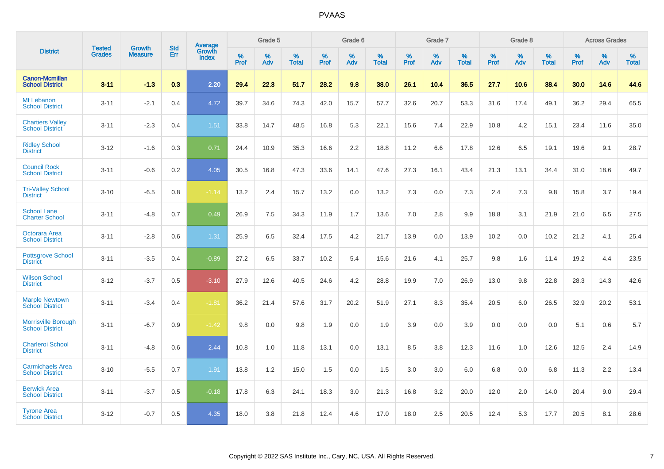|                                                      |                                |                                 | <b>Std</b> | <b>Average</b>         |           | Grade 5  |                   |           | Grade 6  |                   |           | Grade 7  |                   |           | Grade 8  |                   |           | <b>Across Grades</b> |            |
|------------------------------------------------------|--------------------------------|---------------------------------|------------|------------------------|-----------|----------|-------------------|-----------|----------|-------------------|-----------|----------|-------------------|-----------|----------|-------------------|-----------|----------------------|------------|
| <b>District</b>                                      | <b>Tested</b><br><b>Grades</b> | <b>Growth</b><br><b>Measure</b> | Err        | Growth<br><b>Index</b> | %<br>Prof | %<br>Adv | %<br><b>Total</b> | %<br>Prof | %<br>Adv | %<br><b>Total</b> | %<br>Prof | %<br>Adv | %<br><b>Total</b> | %<br>Prof | %<br>Adv | %<br><b>Total</b> | %<br>Prof | %<br>Adv             | %<br>Total |
| <b>Canon-Mcmillan</b><br><b>School District</b>      | $3 - 11$                       | $-1.3$                          | 0.3        | 2.20                   | 29.4      | 22.3     | 51.7              | 28.2      | 9.8      | 38.0              | 26.1      | 10.4     | 36.5              | 27.7      | 10.6     | 38.4              | 30.0      | 14.6                 | 44.6       |
| Mt Lebanon<br><b>School District</b>                 | $3 - 11$                       | $-2.1$                          | 0.4        | 4.72                   | 39.7      | 34.6     | 74.3              | 42.0      | 15.7     | 57.7              | 32.6      | 20.7     | 53.3              | 31.6      | 17.4     | 49.1              | 36.2      | 29.4                 | 65.5       |
| <b>Chartiers Valley</b><br><b>School District</b>    | $3 - 11$                       | $-2.3$                          | 0.4        | 1.51                   | 33.8      | 14.7     | 48.5              | 16.8      | 5.3      | 22.1              | 15.6      | 7.4      | 22.9              | 10.8      | 4.2      | 15.1              | 23.4      | 11.6                 | 35.0       |
| <b>Ridley School</b><br><b>District</b>              | $3 - 12$                       | $-1.6$                          | 0.3        | 0.71                   | 24.4      | 10.9     | 35.3              | 16.6      | 2.2      | 18.8              | 11.2      | 6.6      | 17.8              | 12.6      | 6.5      | 19.1              | 19.6      | 9.1                  | 28.7       |
| <b>Council Rock</b><br><b>School District</b>        | $3 - 11$                       | $-0.6$                          | 0.2        | 4.05                   | 30.5      | 16.8     | 47.3              | 33.6      | 14.1     | 47.6              | 27.3      | 16.1     | 43.4              | 21.3      | 13.1     | 34.4              | 31.0      | 18.6                 | 49.7       |
| <b>Tri-Valley School</b><br><b>District</b>          | $3 - 10$                       | $-6.5$                          | 0.8        | $-1.14$                | 13.2      | 2.4      | 15.7              | 13.2      | 0.0      | 13.2              | 7.3       | 0.0      | 7.3               | 2.4       | 7.3      | 9.8               | 15.8      | 3.7                  | 19.4       |
| <b>School Lane</b><br><b>Charter School</b>          | $3 - 11$                       | $-4.8$                          | 0.7        | 0.49                   | 26.9      | 7.5      | 34.3              | 11.9      | 1.7      | 13.6              | 7.0       | 2.8      | 9.9               | 18.8      | 3.1      | 21.9              | 21.0      | 6.5                  | 27.5       |
| Octorara Area<br><b>School District</b>              | $3 - 11$                       | $-2.8$                          | 0.6        | 1.31                   | 25.9      | 6.5      | 32.4              | 17.5      | 4.2      | 21.7              | 13.9      | 0.0      | 13.9              | 10.2      | 0.0      | 10.2              | 21.2      | 4.1                  | 25.4       |
| <b>Pottsgrove School</b><br><b>District</b>          | $3 - 11$                       | $-3.5$                          | 0.4        | $-0.89$                | 27.2      | 6.5      | 33.7              | 10.2      | 5.4      | 15.6              | 21.6      | 4.1      | 25.7              | 9.8       | 1.6      | 11.4              | 19.2      | 4.4                  | 23.5       |
| <b>Wilson School</b><br><b>District</b>              | $3 - 12$                       | $-3.7$                          | 0.5        | $-3.10$                | 27.9      | 12.6     | 40.5              | 24.6      | 4.2      | 28.8              | 19.9      | 7.0      | 26.9              | 13.0      | 9.8      | 22.8              | 28.3      | 14.3                 | 42.6       |
| <b>Marple Newtown</b><br><b>School District</b>      | $3 - 11$                       | $-3.4$                          | 0.4        | $-1.81$                | 36.2      | 21.4     | 57.6              | 31.7      | 20.2     | 51.9              | 27.1      | 8.3      | 35.4              | 20.5      | 6.0      | 26.5              | 32.9      | 20.2                 | 53.1       |
| <b>Morrisville Borough</b><br><b>School District</b> | $3 - 11$                       | $-6.7$                          | 0.9        | $-1.42$                | 9.8       | 0.0      | 9.8               | 1.9       | 0.0      | 1.9               | 3.9       | 0.0      | 3.9               | 0.0       | 0.0      | 0.0               | 5.1       | 0.6                  | 5.7        |
| Charleroi School<br><b>District</b>                  | $3 - 11$                       | $-4.8$                          | 0.6        | 2.44                   | 10.8      | 1.0      | 11.8              | 13.1      | 0.0      | 13.1              | 8.5       | 3.8      | 12.3              | 11.6      | 1.0      | 12.6              | 12.5      | 2.4                  | 14.9       |
| <b>Carmichaels Area</b><br><b>School District</b>    | $3 - 10$                       | $-5.5$                          | 0.7        | 1.91                   | 13.8      | 1.2      | 15.0              | 1.5       | 0.0      | 1.5               | 3.0       | 3.0      | 6.0               | 6.8       | 0.0      | 6.8               | 11.3      | 2.2                  | 13.4       |
| <b>Berwick Area</b><br><b>School District</b>        | $3 - 11$                       | $-3.7$                          | 0.5        | $-0.18$                | 17.8      | 6.3      | 24.1              | 18.3      | 3.0      | 21.3              | 16.8      | 3.2      | 20.0              | 12.0      | 2.0      | 14.0              | 20.4      | 9.0                  | 29.4       |
| <b>Tyrone Area</b><br><b>School District</b>         | $3 - 12$                       | $-0.7$                          | 0.5        | 4.35                   | 18.0      | 3.8      | 21.8              | 12.4      | 4.6      | 17.0              | 18.0      | 2.5      | 20.5              | 12.4      | 5.3      | 17.7              | 20.5      | 8.1                  | 28.6       |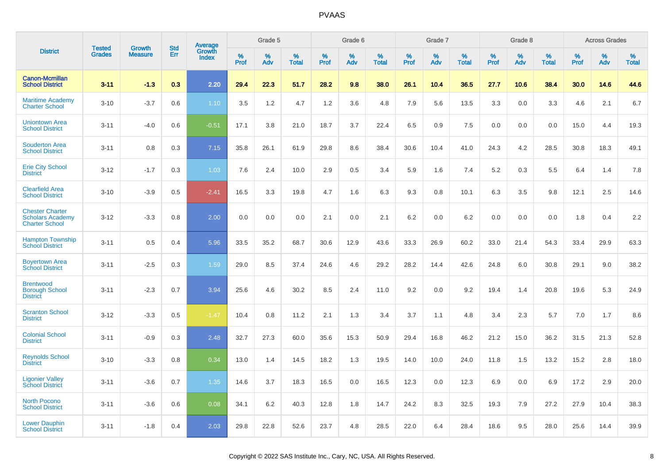|                                                                            |                                |                                 | <b>Std</b> | Average                |              | Grade 5  |                   |              | Grade 6  |                   |              | Grade 7  |                   |                     | Grade 8  |                   |              | <b>Across Grades</b> |                   |
|----------------------------------------------------------------------------|--------------------------------|---------------------------------|------------|------------------------|--------------|----------|-------------------|--------------|----------|-------------------|--------------|----------|-------------------|---------------------|----------|-------------------|--------------|----------------------|-------------------|
| <b>District</b>                                                            | <b>Tested</b><br><b>Grades</b> | <b>Growth</b><br><b>Measure</b> | Err        | Growth<br><b>Index</b> | $\%$<br>Prof | %<br>Adv | %<br><b>Total</b> | $\%$<br>Prof | %<br>Adv | %<br><b>Total</b> | $\%$<br>Prof | %<br>Adv | %<br><b>Total</b> | $\%$<br><b>Prof</b> | %<br>Adv | %<br><b>Total</b> | $\%$<br>Prof | %<br>Adv             | %<br><b>Total</b> |
| <b>Canon-Mcmillan</b><br><b>School District</b>                            | $3 - 11$                       | $-1.3$                          | 0.3        | 2.20                   | 29.4         | 22.3     | 51.7              | 28.2         | 9.8      | 38.0              | 26.1         | 10.4     | 36.5              | 27.7                | 10.6     | 38.4              | 30.0         | 14.6                 | 44.6              |
| <b>Maritime Academy</b><br><b>Charter School</b>                           | $3 - 10$                       | $-3.7$                          | 0.6        | 1.10                   | 3.5          | 1.2      | 4.7               | 1.2          | 3.6      | 4.8               | 7.9          | 5.6      | 13.5              | 3.3                 | 0.0      | 3.3               | 4.6          | 2.1                  | 6.7               |
| <b>Uniontown Area</b><br><b>School District</b>                            | $3 - 11$                       | $-4.0$                          | 0.6        | $-0.51$                | 17.1         | 3.8      | 21.0              | 18.7         | 3.7      | 22.4              | 6.5          | 0.9      | 7.5               | 0.0                 | 0.0      | 0.0               | 15.0         | 4.4                  | 19.3              |
| <b>Souderton Area</b><br><b>School District</b>                            | $3 - 11$                       | 0.8                             | 0.3        | 7.15                   | 35.8         | 26.1     | 61.9              | 29.8         | 8.6      | 38.4              | 30.6         | 10.4     | 41.0              | 24.3                | 4.2      | 28.5              | 30.8         | 18.3                 | 49.1              |
| <b>Erie City School</b><br><b>District</b>                                 | $3 - 12$                       | $-1.7$                          | 0.3        | 1.03                   | 7.6          | 2.4      | 10.0              | 2.9          | 0.5      | 3.4               | 5.9          | 1.6      | 7.4               | 5.2                 | 0.3      | 5.5               | 6.4          | 1.4                  | 7.8               |
| <b>Clearfield Area</b><br><b>School District</b>                           | $3 - 10$                       | $-3.9$                          | 0.5        | $-2.41$                | 16.5         | 3.3      | 19.8              | 4.7          | 1.6      | 6.3               | 9.3          | 0.8      | 10.1              | 6.3                 | 3.5      | 9.8               | 12.1         | 2.5                  | 14.6              |
| <b>Chester Charter</b><br><b>Scholars Academy</b><br><b>Charter School</b> | $3 - 12$                       | $-3.3$                          | 0.8        | 2.00                   | 0.0          | 0.0      | 0.0               | 2.1          | 0.0      | 2.1               | 6.2          | 0.0      | 6.2               | 0.0                 | 0.0      | 0.0               | 1.8          | 0.4                  | 2.2               |
| <b>Hampton Township</b><br><b>School District</b>                          | $3 - 11$                       | 0.5                             | 0.4        | 5.96                   | 33.5         | 35.2     | 68.7              | 30.6         | 12.9     | 43.6              | 33.3         | 26.9     | 60.2              | 33.0                | 21.4     | 54.3              | 33.4         | 29.9                 | 63.3              |
| <b>Boyertown Area</b><br><b>School District</b>                            | $3 - 11$                       | $-2.5$                          | 0.3        | 1.59                   | 29.0         | 8.5      | 37.4              | 24.6         | 4.6      | 29.2              | 28.2         | 14.4     | 42.6              | 24.8                | 6.0      | 30.8              | 29.1         | 9.0                  | 38.2              |
| <b>Brentwood</b><br><b>Borough School</b><br><b>District</b>               | $3 - 11$                       | $-2.3$                          | 0.7        | 3.94                   | 25.6         | 4.6      | 30.2              | 8.5          | 2.4      | 11.0              | 9.2          | 0.0      | 9.2               | 19.4                | 1.4      | 20.8              | 19.6         | 5.3                  | 24.9              |
| <b>Scranton School</b><br><b>District</b>                                  | $3 - 12$                       | $-3.3$                          | 0.5        | $-1.47$                | 10.4         | 0.8      | 11.2              | 2.1          | 1.3      | 3.4               | 3.7          | 1.1      | 4.8               | 3.4                 | 2.3      | 5.7               | 7.0          | 1.7                  | 8.6               |
| <b>Colonial School</b><br><b>District</b>                                  | $3 - 11$                       | $-0.9$                          | 0.3        | 2.48                   | 32.7         | 27.3     | 60.0              | 35.6         | 15.3     | 50.9              | 29.4         | 16.8     | 46.2              | 21.2                | 15.0     | 36.2              | 31.5         | 21.3                 | 52.8              |
| <b>Reynolds School</b><br><b>District</b>                                  | $3 - 10$                       | $-3.3$                          | 0.8        | 0.34                   | 13.0         | 1.4      | 14.5              | 18.2         | 1.3      | 19.5              | 14.0         | 10.0     | 24.0              | 11.8                | 1.5      | 13.2              | 15.2         | 2.8                  | 18.0              |
| <b>Ligonier Valley</b><br><b>School District</b>                           | $3 - 11$                       | $-3.6$                          | 0.7        | 1.35                   | 14.6         | 3.7      | 18.3              | 16.5         | 0.0      | 16.5              | 12.3         | 0.0      | 12.3              | 6.9                 | 0.0      | 6.9               | 17.2         | 2.9                  | 20.0              |
| <b>North Pocono</b><br><b>School District</b>                              | $3 - 11$                       | $-3.6$                          | 0.6        | 0.08                   | 34.1         | 6.2      | 40.3              | 12.8         | 1.8      | 14.7              | 24.2         | 8.3      | 32.5              | 19.3                | 7.9      | 27.2              | 27.9         | 10.4                 | 38.3              |
| <b>Lower Dauphin</b><br><b>School District</b>                             | $3 - 11$                       | $-1.8$                          | 0.4        | 2.03                   | 29.8         | 22.8     | 52.6              | 23.7         | 4.8      | 28.5              | 22.0         | 6.4      | 28.4              | 18.6                | 9.5      | 28.0              | 25.6         | 14.4                 | 39.9              |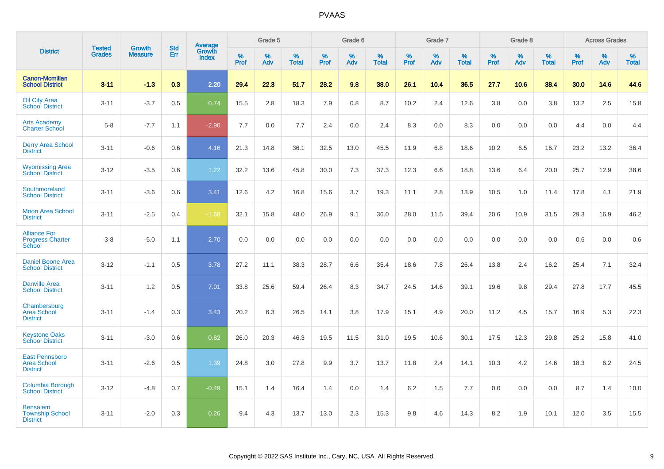|                                                                 | <b>Tested</b> | <b>Growth</b>  | <b>Std</b> |                                   |                  | Grade 5  |                      |                  | Grade 6  |                   |              | Grade 7  |                      |                     | Grade 8  |                   |                  | <b>Across Grades</b> |                   |
|-----------------------------------------------------------------|---------------|----------------|------------|-----------------------------------|------------------|----------|----------------------|------------------|----------|-------------------|--------------|----------|----------------------|---------------------|----------|-------------------|------------------|----------------------|-------------------|
| <b>District</b>                                                 | <b>Grades</b> | <b>Measure</b> | Err        | Average<br>Growth<br><b>Index</b> | %<br><b>Prof</b> | %<br>Adv | $\%$<br><b>Total</b> | %<br><b>Prof</b> | %<br>Adv | %<br><b>Total</b> | $\%$<br>Prof | %<br>Adv | $\%$<br><b>Total</b> | $\%$<br><b>Prof</b> | %<br>Adv | %<br><b>Total</b> | %<br><b>Prof</b> | %<br>Adv             | %<br><b>Total</b> |
| <b>Canon-Mcmillan</b><br><b>School District</b>                 | $3 - 11$      | $-1.3$         | 0.3        | 2.20                              | 29.4             | 22.3     | 51.7                 | 28.2             | 9.8      | 38.0              | 26.1         | 10.4     | 36.5                 | 27.7                | 10.6     | 38.4              | 30.0             | 14.6                 | 44.6              |
| <b>Oil City Area</b><br><b>School District</b>                  | $3 - 11$      | $-3.7$         | 0.5        | 0.74                              | 15.5             | 2.8      | 18.3                 | 7.9              | 0.8      | 8.7               | 10.2         | 2.4      | 12.6                 | 3.8                 | 0.0      | 3.8               | 13.2             | 2.5                  | 15.8              |
| <b>Arts Academy</b><br>Charter School                           | $5 - 8$       | $-7.7$         | 1.1        | $-2.90$                           | 7.7              | 0.0      | 7.7                  | 2.4              | 0.0      | 2.4               | 8.3          | 0.0      | 8.3                  | 0.0                 | 0.0      | 0.0               | 4.4              | 0.0                  | 4.4               |
| <b>Derry Area School</b><br><b>District</b>                     | $3 - 11$      | $-0.6$         | 0.6        | 4.16                              | 21.3             | 14.8     | 36.1                 | 32.5             | 13.0     | 45.5              | 11.9         | 6.8      | 18.6                 | 10.2                | 6.5      | 16.7              | 23.2             | 13.2                 | 36.4              |
| <b>Wyomissing Area</b><br><b>School District</b>                | $3 - 12$      | $-3.5$         | 0.6        | 1.22                              | 32.2             | 13.6     | 45.8                 | 30.0             | 7.3      | 37.3              | 12.3         | 6.6      | 18.8                 | 13.6                | 6.4      | 20.0              | 25.7             | 12.9                 | 38.6              |
| Southmoreland<br><b>School District</b>                         | $3 - 11$      | $-3.6$         | 0.6        | 3.41                              | 12.6             | 4.2      | 16.8                 | 15.6             | 3.7      | 19.3              | 11.1         | 2.8      | 13.9                 | 10.5                | 1.0      | 11.4              | 17.8             | 4.1                  | 21.9              |
| <b>Moon Area School</b><br><b>District</b>                      | $3 - 11$      | $-2.5$         | 0.4        | $-1.68$                           | 32.1             | 15.8     | 48.0                 | 26.9             | 9.1      | 36.0              | 28.0         | 11.5     | 39.4                 | 20.6                | 10.9     | 31.5              | 29.3             | 16.9                 | 46.2              |
| <b>Alliance For</b><br><b>Progress Charter</b><br><b>School</b> | $3 - 8$       | $-5.0$         | 1.1        | 2.70                              | 0.0              | 0.0      | 0.0                  | 0.0              | 0.0      | 0.0               | 0.0          | 0.0      | 0.0                  | 0.0                 | 0.0      | 0.0               | 0.6              | 0.0                  | 0.6               |
| <b>Daniel Boone Area</b><br><b>School District</b>              | $3 - 12$      | $-1.1$         | 0.5        | 3.78                              | 27.2             | 11.1     | 38.3                 | 28.7             | 6.6      | 35.4              | 18.6         | 7.8      | 26.4                 | 13.8                | 2.4      | 16.2              | 25.4             | 7.1                  | 32.4              |
| <b>Danville Area</b><br><b>School District</b>                  | $3 - 11$      | 1.2            | 0.5        | 7.01                              | 33.8             | 25.6     | 59.4                 | 26.4             | 8.3      | 34.7              | 24.5         | 14.6     | 39.1                 | 19.6                | 9.8      | 29.4              | 27.8             | 17.7                 | 45.5              |
| Chambersburg<br><b>Area School</b><br><b>District</b>           | $3 - 11$      | $-1.4$         | 0.3        | 3.43                              | 20.2             | 6.3      | 26.5                 | 14.1             | 3.8      | 17.9              | 15.1         | 4.9      | 20.0                 | 11.2                | 4.5      | 15.7              | 16.9             | 5.3                  | 22.3              |
| <b>Keystone Oaks</b><br><b>School District</b>                  | $3 - 11$      | $-3.0$         | 0.6        | 0.82                              | 26.0             | 20.3     | 46.3                 | 19.5             | 11.5     | 31.0              | 19.5         | 10.6     | 30.1                 | 17.5                | 12.3     | 29.8              | 25.2             | 15.8                 | 41.0              |
| <b>East Pennsboro</b><br><b>Area School</b><br><b>District</b>  | $3 - 11$      | $-2.6$         | 0.5        | 1.39                              | 24.8             | 3.0      | 27.8                 | 9.9              | 3.7      | 13.7              | 11.8         | 2.4      | 14.1                 | 10.3                | 4.2      | 14.6              | 18.3             | $6.2\,$              | 24.5              |
| Columbia Borough<br><b>School District</b>                      | $3 - 12$      | $-4.8$         | 0.7        | $-0.49$                           | 15.1             | 1.4      | 16.4                 | 1.4              | 0.0      | 1.4               | 6.2          | 1.5      | 7.7                  | 0.0                 | 0.0      | 0.0               | 8.7              | 1.4                  | 10.0              |
| <b>Bensalem</b><br><b>Township School</b><br><b>District</b>    | $3 - 11$      | $-2.0$         | 0.3        | 0.26                              | 9.4              | 4.3      | 13.7                 | 13.0             | 2.3      | 15.3              | 9.8          | 4.6      | 14.3                 | 8.2                 | 1.9      | 10.1              | 12.0             | 3.5                  | 15.5              |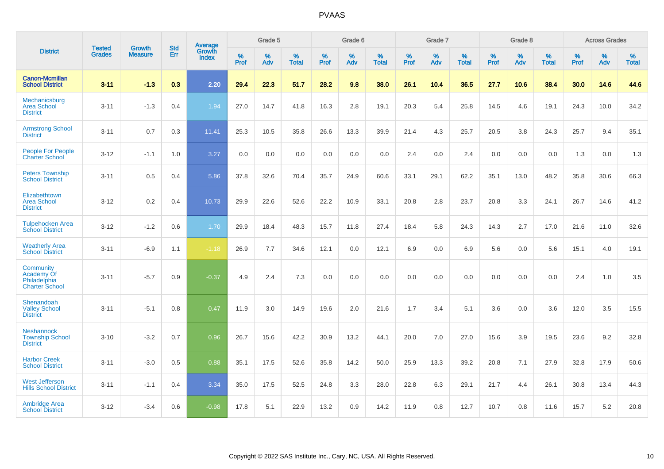|                                                                  |                                |                          | <b>Std</b> | Average                |           | Grade 5  |                   |           | Grade 6  |                   |           | Grade 7  |                   |           | Grade 8  |                   |           | <b>Across Grades</b> |                   |
|------------------------------------------------------------------|--------------------------------|--------------------------|------------|------------------------|-----------|----------|-------------------|-----------|----------|-------------------|-----------|----------|-------------------|-----------|----------|-------------------|-----------|----------------------|-------------------|
| <b>District</b>                                                  | <b>Tested</b><br><b>Grades</b> | Growth<br><b>Measure</b> | Err        | Growth<br><b>Index</b> | %<br>Prof | %<br>Adv | %<br><b>Total</b> | %<br>Prof | %<br>Adv | %<br><b>Total</b> | %<br>Prof | %<br>Adv | %<br><b>Total</b> | %<br>Prof | %<br>Adv | %<br><b>Total</b> | %<br>Prof | %<br>Adv             | %<br><b>Total</b> |
| <b>Canon-Mcmillan</b><br><b>School District</b>                  | $3 - 11$                       | $-1.3$                   | 0.3        | 2.20                   | 29.4      | 22.3     | 51.7              | 28.2      | 9.8      | 38.0              | 26.1      | 10.4     | 36.5              | 27.7      | 10.6     | 38.4              | 30.0      | 14.6                 | 44.6              |
| Mechanicsburg<br><b>Area School</b><br><b>District</b>           | $3 - 11$                       | $-1.3$                   | 0.4        | 1.94                   | 27.0      | 14.7     | 41.8              | 16.3      | 2.8      | 19.1              | 20.3      | 5.4      | 25.8              | 14.5      | 4.6      | 19.1              | 24.3      | 10.0                 | 34.2              |
| <b>Armstrong School</b><br><b>District</b>                       | $3 - 11$                       | 0.7                      | 0.3        | 11.41                  | 25.3      | 10.5     | 35.8              | 26.6      | 13.3     | 39.9              | 21.4      | 4.3      | 25.7              | 20.5      | 3.8      | 24.3              | 25.7      | 9.4                  | 35.1              |
| People For People<br><b>Charter School</b>                       | $3 - 12$                       | $-1.1$                   | 1.0        | 3.27                   | 0.0       | 0.0      | 0.0               | 0.0       | 0.0      | 0.0               | 2.4       | 0.0      | 2.4               | 0.0       | 0.0      | 0.0               | 1.3       | 0.0                  | 1.3               |
| <b>Peters Township</b><br><b>School District</b>                 | $3 - 11$                       | 0.5                      | 0.4        | 5.86                   | 37.8      | 32.6     | 70.4              | 35.7      | 24.9     | 60.6              | 33.1      | 29.1     | 62.2              | 35.1      | 13.0     | 48.2              | 35.8      | 30.6                 | 66.3              |
| Elizabethtown<br><b>Area School</b><br><b>District</b>           | $3 - 12$                       | 0.2                      | 0.4        | 10.73                  | 29.9      | 22.6     | 52.6              | 22.2      | 10.9     | 33.1              | 20.8      | 2.8      | 23.7              | 20.8      | 3.3      | 24.1              | 26.7      | 14.6                 | 41.2              |
| <b>Tulpehocken Area</b><br><b>School District</b>                | $3 - 12$                       | $-1.2$                   | 0.6        | 1.70                   | 29.9      | 18.4     | 48.3              | 15.7      | 11.8     | 27.4              | 18.4      | 5.8      | 24.3              | 14.3      | 2.7      | 17.0              | 21.6      | 11.0                 | 32.6              |
| <b>Weatherly Area</b><br><b>School District</b>                  | $3 - 11$                       | $-6.9$                   | 1.1        | $-1.18$                | 26.9      | 7.7      | 34.6              | 12.1      | 0.0      | 12.1              | 6.9       | 0.0      | 6.9               | 5.6       | 0.0      | 5.6               | 15.1      | 4.0                  | 19.1              |
| Community<br>Academy Of<br>Philadelphia<br><b>Charter School</b> | $3 - 11$                       | $-5.7$                   | 0.9        | $-0.37$                | 4.9       | 2.4      | 7.3               | 0.0       | 0.0      | 0.0               | 0.0       | 0.0      | 0.0               | 0.0       | 0.0      | 0.0               | 2.4       | 1.0                  | 3.5               |
| Shenandoah<br><b>Valley School</b><br><b>District</b>            | $3 - 11$                       | $-5.1$                   | 0.8        | 0.47                   | 11.9      | 3.0      | 14.9              | 19.6      | 2.0      | 21.6              | 1.7       | 3.4      | 5.1               | 3.6       | 0.0      | 3.6               | 12.0      | 3.5                  | 15.5              |
| <b>Neshannock</b><br><b>Township School</b><br><b>District</b>   | $3 - 10$                       | $-3.2$                   | 0.7        | 0.96                   | 26.7      | 15.6     | 42.2              | 30.9      | 13.2     | 44.1              | 20.0      | 7.0      | 27.0              | 15.6      | 3.9      | 19.5              | 23.6      | 9.2                  | 32.8              |
| <b>Harbor Creek</b><br><b>School District</b>                    | $3 - 11$                       | $-3.0$                   | 0.5        | 0.88                   | 35.1      | 17.5     | 52.6              | 35.8      | 14.2     | 50.0              | 25.9      | 13.3     | 39.2              | 20.8      | 7.1      | 27.9              | 32.8      | 17.9                 | 50.6              |
| <b>West Jefferson</b><br><b>Hills School District</b>            | $3 - 11$                       | $-1.1$                   | 0.4        | 3.34                   | 35.0      | 17.5     | 52.5              | 24.8      | 3.3      | 28.0              | 22.8      | 6.3      | 29.1              | 21.7      | 4.4      | 26.1              | 30.8      | 13.4                 | 44.3              |
| <b>Ambridge Area</b><br><b>School District</b>                   | $3 - 12$                       | $-3.4$                   | 0.6        | $-0.98$                | 17.8      | 5.1      | 22.9              | 13.2      | 0.9      | 14.2              | 11.9      | 0.8      | 12.7              | 10.7      | 0.8      | 11.6              | 15.7      | 5.2                  | 20.8              |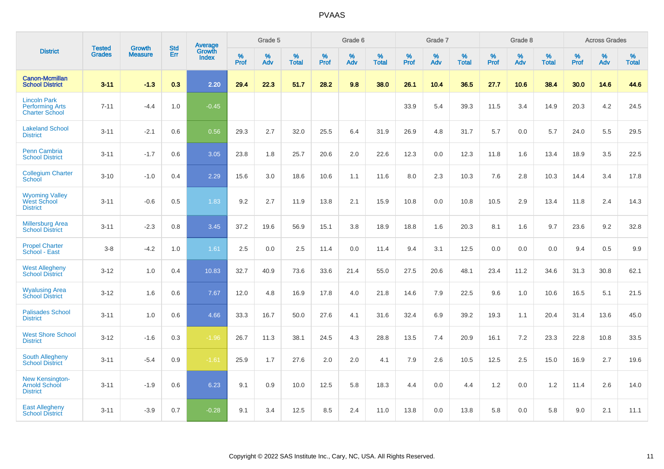|                                                                        | <b>Tested</b> | <b>Growth</b>  | <b>Std</b> | Average                       |              | Grade 5  |                   |           | Grade 6  |                   |           | Grade 7  |                   |           | Grade 8  |                   |           | <b>Across Grades</b> |                   |
|------------------------------------------------------------------------|---------------|----------------|------------|-------------------------------|--------------|----------|-------------------|-----------|----------|-------------------|-----------|----------|-------------------|-----------|----------|-------------------|-----------|----------------------|-------------------|
| <b>District</b>                                                        | <b>Grades</b> | <b>Measure</b> | Err        | <b>Growth</b><br><b>Index</b> | $\%$<br>Prof | %<br>Adv | %<br><b>Total</b> | %<br>Prof | %<br>Adv | %<br><b>Total</b> | %<br>Prof | %<br>Adv | %<br><b>Total</b> | %<br>Prof | %<br>Adv | %<br><b>Total</b> | %<br>Prof | %<br>Adv             | %<br><b>Total</b> |
| <b>Canon-Mcmillan</b><br><b>School District</b>                        | $3 - 11$      | $-1.3$         | 0.3        | 2.20                          | 29.4         | 22.3     | 51.7              | 28.2      | 9.8      | 38.0              | 26.1      | 10.4     | 36.5              | 27.7      | 10.6     | 38.4              | 30.0      | 14.6                 | 44.6              |
| <b>Lincoln Park</b><br><b>Performing Arts</b><br><b>Charter School</b> | $7 - 11$      | $-4.4$         | 1.0        | $-0.45$                       |              |          |                   |           |          |                   | 33.9      | 5.4      | 39.3              | 11.5      | 3.4      | 14.9              | 20.3      | 4.2                  | 24.5              |
| <b>Lakeland School</b><br><b>District</b>                              | $3 - 11$      | $-2.1$         | 0.6        | 0.56                          | 29.3         | 2.7      | 32.0              | 25.5      | 6.4      | 31.9              | 26.9      | 4.8      | 31.7              | 5.7       | 0.0      | 5.7               | 24.0      | 5.5                  | 29.5              |
| <b>Penn Cambria</b><br><b>School District</b>                          | $3 - 11$      | $-1.7$         | 0.6        | 3.05                          | 23.8         | 1.8      | 25.7              | 20.6      | 2.0      | 22.6              | 12.3      | 0.0      | 12.3              | 11.8      | 1.6      | 13.4              | 18.9      | 3.5                  | 22.5              |
| <b>Collegium Charter</b><br>School                                     | $3 - 10$      | $-1.0$         | 0.4        | 2.29                          | 15.6         | 3.0      | 18.6              | 10.6      | 1.1      | 11.6              | 8.0       | 2.3      | 10.3              | 7.6       | 2.8      | 10.3              | 14.4      | 3.4                  | 17.8              |
| <b>Wyoming Valley</b><br>West School<br><b>District</b>                | $3 - 11$      | $-0.6$         | 0.5        | 1.83                          | 9.2          | 2.7      | 11.9              | 13.8      | 2.1      | 15.9              | 10.8      | 0.0      | 10.8              | 10.5      | 2.9      | 13.4              | 11.8      | 2.4                  | 14.3              |
| <b>Millersburg Area</b><br><b>School District</b>                      | $3 - 11$      | $-2.3$         | 0.8        | 3.45                          | 37.2         | 19.6     | 56.9              | 15.1      | 3.8      | 18.9              | 18.8      | 1.6      | 20.3              | 8.1       | 1.6      | 9.7               | 23.6      | 9.2                  | 32.8              |
| <b>Propel Charter</b><br>School - East                                 | $3 - 8$       | $-4.2$         | 1.0        | 1.61                          | 2.5          | 0.0      | 2.5               | 11.4      | 0.0      | 11.4              | 9.4       | 3.1      | 12.5              | 0.0       | 0.0      | 0.0               | 9.4       | 0.5                  | 9.9               |
| <b>West Allegheny</b><br><b>School District</b>                        | $3 - 12$      | 1.0            | 0.4        | 10.83                         | 32.7         | 40.9     | 73.6              | 33.6      | 21.4     | 55.0              | 27.5      | 20.6     | 48.1              | 23.4      | 11.2     | 34.6              | 31.3      | 30.8                 | 62.1              |
| <b>Wyalusing Area</b><br><b>School District</b>                        | $3 - 12$      | 1.6            | 0.6        | 7.67                          | 12.0         | 4.8      | 16.9              | 17.8      | 4.0      | 21.8              | 14.6      | 7.9      | 22.5              | 9.6       | 1.0      | 10.6              | 16.5      | 5.1                  | 21.5              |
| <b>Palisades School</b><br><b>District</b>                             | $3 - 11$      | 1.0            | 0.6        | 4.66                          | 33.3         | 16.7     | 50.0              | 27.6      | 4.1      | 31.6              | 32.4      | 6.9      | 39.2              | 19.3      | 1.1      | 20.4              | 31.4      | 13.6                 | 45.0              |
| <b>West Shore School</b><br><b>District</b>                            | $3 - 12$      | $-1.6$         | 0.3        | $-1.96$                       | 26.7         | 11.3     | 38.1              | 24.5      | 4.3      | 28.8              | 13.5      | 7.4      | 20.9              | 16.1      | 7.2      | 23.3              | 22.8      | 10.8                 | 33.5              |
| <b>South Allegheny</b><br><b>School District</b>                       | $3 - 11$      | $-5.4$         | 0.9        | $-1.61$                       | 25.9         | 1.7      | 27.6              | 2.0       | 2.0      | 4.1               | 7.9       | 2.6      | 10.5              | 12.5      | 2.5      | 15.0              | 16.9      | 2.7                  | 19.6              |
| <b>New Kensington-</b><br><b>Arnold School</b><br><b>District</b>      | $3 - 11$      | $-1.9$         | 0.6        | 6.23                          | 9.1          | 0.9      | 10.0              | 12.5      | 5.8      | 18.3              | 4.4       | $0.0\,$  | 4.4               | 1.2       | 0.0      | 1.2               | 11.4      | 2.6                  | 14.0              |
| <b>East Allegheny</b><br><b>School District</b>                        | $3 - 11$      | $-3.9$         | 0.7        | $-0.28$                       | 9.1          | 3.4      | 12.5              | 8.5       | 2.4      | 11.0              | 13.8      | 0.0      | 13.8              | 5.8       | 0.0      | 5.8               | 9.0       | 2.1                  | 11.1              |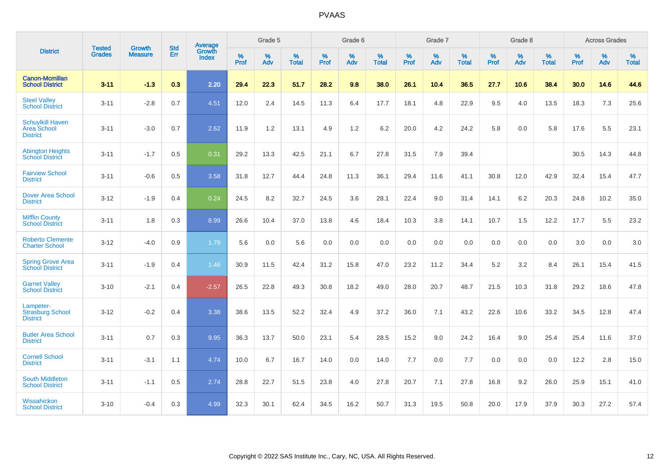|                                                                  | <b>Tested</b> | <b>Growth</b>  | <b>Std</b> | Average         |           | Grade 5  |                   |                  | Grade 6  |                   |                  | Grade 7  |                   |           | Grade 8  |                   |           | <b>Across Grades</b> |                   |
|------------------------------------------------------------------|---------------|----------------|------------|-----------------|-----------|----------|-------------------|------------------|----------|-------------------|------------------|----------|-------------------|-----------|----------|-------------------|-----------|----------------------|-------------------|
| <b>District</b>                                                  | <b>Grades</b> | <b>Measure</b> | Err        | Growth<br>Index | %<br>Prof | %<br>Adv | %<br><b>Total</b> | %<br><b>Prof</b> | %<br>Adv | %<br><b>Total</b> | %<br><b>Prof</b> | %<br>Adv | %<br><b>Total</b> | %<br>Prof | %<br>Adv | %<br><b>Total</b> | %<br>Prof | %<br>Adv             | %<br><b>Total</b> |
| <b>Canon-Mcmillan</b><br><b>School District</b>                  | $3 - 11$      | $-1.3$         | 0.3        | 2.20            | 29.4      | 22.3     | 51.7              | 28.2             | 9.8      | 38.0              | 26.1             | 10.4     | 36.5              | 27.7      | 10.6     | 38.4              | 30.0      | 14.6                 | 44.6              |
| <b>Steel Valley</b><br><b>School District</b>                    | $3 - 11$      | $-2.8$         | 0.7        | 4.51            | 12.0      | 2.4      | 14.5              | 11.3             | 6.4      | 17.7              | 18.1             | 4.8      | 22.9              | 9.5       | 4.0      | 13.5              | 18.3      | 7.3                  | 25.6              |
| <b>Schuylkill Haven</b><br><b>Area School</b><br><b>District</b> | $3 - 11$      | $-3.0$         | 0.7        | 2.62            | 11.9      | 1.2      | 13.1              | 4.9              | 1.2      | 6.2               | 20.0             | 4.2      | 24.2              | 5.8       | 0.0      | 5.8               | 17.6      | 5.5                  | 23.1              |
| <b>Abington Heights</b><br><b>School District</b>                | $3 - 11$      | $-1.7$         | 0.5        | 0.31            | 29.2      | 13.3     | 42.5              | 21.1             | 6.7      | 27.8              | 31.5             | 7.9      | 39.4              |           |          |                   | 30.5      | 14.3                 | 44.8              |
| <b>Fairview School</b><br><b>District</b>                        | $3 - 11$      | $-0.6$         | 0.5        | 3.58            | 31.8      | 12.7     | 44.4              | 24.8             | 11.3     | 36.1              | 29.4             | 11.6     | 41.1              | 30.8      | 12.0     | 42.9              | 32.4      | 15.4                 | 47.7              |
| <b>Dover Area School</b><br><b>District</b>                      | $3 - 12$      | $-1.9$         | 0.4        | 0.24            | 24.5      | 8.2      | 32.7              | 24.5             | 3.6      | 28.1              | 22.4             | 9.0      | 31.4              | 14.1      | 6.2      | 20.3              | 24.8      | 10.2                 | 35.0              |
| <b>Mifflin County</b><br><b>School District</b>                  | $3 - 11$      | 1.8            | 0.3        | 8.99            | 26.6      | 10.4     | 37.0              | 13.8             | 4.6      | 18.4              | 10.3             | 3.8      | 14.1              | 10.7      | 1.5      | 12.2              | 17.7      | 5.5                  | 23.2              |
| <b>Roberto Clemente</b><br><b>Charter School</b>                 | $3 - 12$      | $-4.0$         | 0.9        | 1.79            | 5.6       | 0.0      | 5.6               | 0.0              | 0.0      | 0.0               | 0.0              | 0.0      | 0.0               | 0.0       | 0.0      | 0.0               | 3.0       | 0.0                  | 3.0               |
| <b>Spring Grove Area</b><br><b>School District</b>               | $3 - 11$      | $-1.9$         | 0.4        | 1.46            | 30.9      | 11.5     | 42.4              | 31.2             | 15.8     | 47.0              | 23.2             | 11.2     | 34.4              | $5.2\,$   | 3.2      | 8.4               | 26.1      | 15.4                 | 41.5              |
| <b>Garnet Valley</b><br><b>School District</b>                   | $3 - 10$      | $-2.1$         | 0.4        | $-2.57$         | 26.5      | 22.8     | 49.3              | 30.8             | 18.2     | 49.0              | 28.0             | 20.7     | 48.7              | 21.5      | 10.3     | 31.8              | 29.2      | 18.6                 | 47.8              |
| Lampeter-<br><b>Strasburg School</b><br><b>District</b>          | $3 - 12$      | $-0.2$         | 0.4        | 3.38            | 38.6      | 13.5     | 52.2              | 32.4             | 4.9      | 37.2              | 36.0             | 7.1      | 43.2              | 22.6      | 10.6     | 33.2              | 34.5      | 12.8                 | 47.4              |
| <b>Butler Area School</b><br><b>District</b>                     | $3 - 11$      | 0.7            | 0.3        | 9.95            | 36.3      | 13.7     | 50.0              | 23.1             | 5.4      | 28.5              | 15.2             | 9.0      | 24.2              | 16.4      | 9.0      | 25.4              | 25.4      | 11.6                 | 37.0              |
| <b>Cornell School</b><br><b>District</b>                         | $3 - 11$      | $-3.1$         | 1.1        | 4.74            | 10.0      | 6.7      | 16.7              | 14.0             | 0.0      | 14.0              | 7.7              | 0.0      | 7.7               | 0.0       | 0.0      | 0.0               | 12.2      | 2.8                  | 15.0              |
| South Middleton<br><b>School District</b>                        | $3 - 11$      | $-1.1$         | 0.5        | 2.74            | 28.8      | 22.7     | 51.5              | 23.8             | 4.0      | 27.8              | 20.7             | 7.1      | 27.8              | 16.8      | 9.2      | 26.0              | 25.9      | 15.1                 | 41.0              |
| Wissahickon<br><b>School District</b>                            | $3 - 10$      | $-0.4$         | 0.3        | 4.99            | 32.3      | 30.1     | 62.4              | 34.5             | 16.2     | 50.7              | 31.3             | 19.5     | 50.8              | 20.0      | 17.9     | 37.9              | 30.3      | 27.2                 | 57.4              |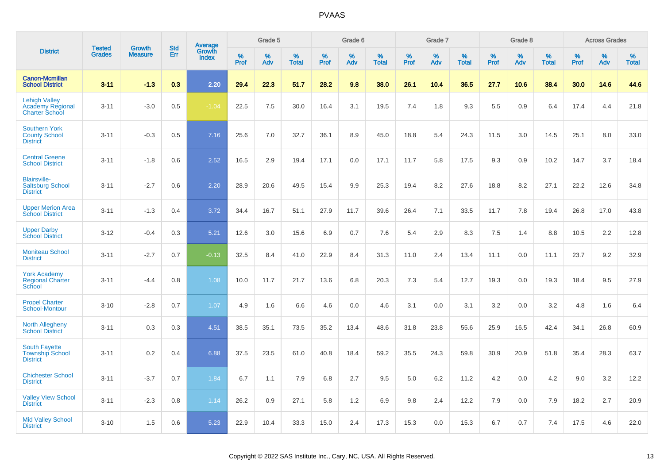|                                                                   |                                |                                 | <b>Std</b> |                                   |                  | Grade 5  |                   |           | Grade 6  |                   |           | Grade 7  |                   |           | Grade 8  |                   |              | <b>Across Grades</b> |                   |
|-------------------------------------------------------------------|--------------------------------|---------------------------------|------------|-----------------------------------|------------------|----------|-------------------|-----------|----------|-------------------|-----------|----------|-------------------|-----------|----------|-------------------|--------------|----------------------|-------------------|
| <b>District</b>                                                   | <b>Tested</b><br><b>Grades</b> | <b>Growth</b><br><b>Measure</b> | Err        | <b>Average</b><br>Growth<br>Index | %<br><b>Prof</b> | %<br>Adv | %<br><b>Total</b> | %<br>Prof | %<br>Adv | %<br><b>Total</b> | %<br>Prof | %<br>Adv | %<br><b>Total</b> | %<br>Prof | %<br>Adv | %<br><b>Total</b> | $\%$<br>Prof | %<br>Adv             | %<br><b>Total</b> |
| <b>Canon-Mcmillan</b><br><b>School District</b>                   | $3 - 11$                       | $-1.3$                          | 0.3        | 2.20                              | 29.4             | 22.3     | 51.7              | 28.2      | 9.8      | 38.0              | 26.1      | 10.4     | 36.5              | 27.7      | 10.6     | 38.4              | 30.0         | 14.6                 | 44.6              |
| <b>Lehigh Valley</b><br>Academy Regional<br><b>Charter School</b> | $3 - 11$                       | $-3.0$                          | 0.5        | $-1.04$                           | 22.5             | 7.5      | 30.0              | 16.4      | 3.1      | 19.5              | 7.4       | 1.8      | 9.3               | 5.5       | 0.9      | 6.4               | 17.4         | 4.4                  | 21.8              |
| <b>Southern York</b><br><b>County School</b><br><b>District</b>   | $3 - 11$                       | $-0.3$                          | 0.5        | 7.16                              | 25.6             | 7.0      | 32.7              | 36.1      | 8.9      | 45.0              | 18.8      | 5.4      | 24.3              | 11.5      | 3.0      | 14.5              | 25.1         | 8.0                  | 33.0              |
| <b>Central Greene</b><br><b>School District</b>                   | $3 - 11$                       | $-1.8$                          | 0.6        | 2.52                              | 16.5             | 2.9      | 19.4              | 17.1      | 0.0      | 17.1              | 11.7      | 5.8      | 17.5              | 9.3       | 0.9      | 10.2              | 14.7         | 3.7                  | 18.4              |
| <b>Blairsville-</b><br><b>Saltsburg School</b><br><b>District</b> | $3 - 11$                       | $-2.7$                          | 0.6        | 2.20                              | 28.9             | 20.6     | 49.5              | 15.4      | 9.9      | 25.3              | 19.4      | 8.2      | 27.6              | 18.8      | 8.2      | 27.1              | 22.2         | 12.6                 | 34.8              |
| <b>Upper Merion Area</b><br><b>School District</b>                | $3 - 11$                       | $-1.3$                          | 0.4        | 3.72                              | 34.4             | 16.7     | 51.1              | 27.9      | 11.7     | 39.6              | 26.4      | 7.1      | 33.5              | 11.7      | 7.8      | 19.4              | 26.8         | 17.0                 | 43.8              |
| <b>Upper Darby</b><br><b>School District</b>                      | $3 - 12$                       | $-0.4$                          | 0.3        | 5.21                              | 12.6             | 3.0      | 15.6              | 6.9       | 0.7      | 7.6               | 5.4       | 2.9      | 8.3               | 7.5       | 1.4      | 8.8               | 10.5         | 2.2                  | 12.8              |
| <b>Moniteau School</b><br><b>District</b>                         | $3 - 11$                       | $-2.7$                          | 0.7        | $-0.13$                           | 32.5             | 8.4      | 41.0              | 22.9      | 8.4      | 31.3              | 11.0      | 2.4      | 13.4              | 11.1      | 0.0      | 11.1              | 23.7         | 9.2                  | 32.9              |
| <b>York Academy</b><br><b>Regional Charter</b><br>School          | $3 - 11$                       | $-4.4$                          | 0.8        | 1.08                              | 10.0             | 11.7     | 21.7              | 13.6      | 6.8      | 20.3              | 7.3       | 5.4      | 12.7              | 19.3      | 0.0      | 19.3              | 18.4         | 9.5                  | 27.9              |
| <b>Propel Charter</b><br>School-Montour                           | $3 - 10$                       | $-2.8$                          | 0.7        | 1.07                              | 4.9              | 1.6      | 6.6               | 4.6       | 0.0      | 4.6               | 3.1       | 0.0      | 3.1               | 3.2       | 0.0      | 3.2               | 4.8          | 1.6                  | 6.4               |
| <b>North Allegheny</b><br><b>School District</b>                  | $3 - 11$                       | 0.3                             | 0.3        | 4.51                              | 38.5             | 35.1     | 73.5              | 35.2      | 13.4     | 48.6              | 31.8      | 23.8     | 55.6              | 25.9      | 16.5     | 42.4              | 34.1         | 26.8                 | 60.9              |
| <b>South Fayette</b><br><b>Township School</b><br><b>District</b> | $3 - 11$                       | 0.2                             | 0.4        | 6.88                              | 37.5             | 23.5     | 61.0              | 40.8      | 18.4     | 59.2              | 35.5      | 24.3     | 59.8              | 30.9      | 20.9     | 51.8              | 35.4         | 28.3                 | 63.7              |
| <b>Chichester School</b><br><b>District</b>                       | $3 - 11$                       | $-3.7$                          | 0.7        | 1.84                              | 6.7              | 1.1      | 7.9               | 6.8       | 2.7      | 9.5               | 5.0       | 6.2      | 11.2              | 4.2       | 0.0      | 4.2               | 9.0          | 3.2                  | 12.2              |
| <b>Valley View School</b><br><b>District</b>                      | $3 - 11$                       | $-2.3$                          | 0.8        | 1.14                              | 26.2             | 0.9      | 27.1              | 5.8       | 1.2      | 6.9               | 9.8       | 2.4      | 12.2              | 7.9       | 0.0      | 7.9               | 18.2         | 2.7                  | 20.9              |
| <b>Mid Valley School</b><br><b>District</b>                       | $3 - 10$                       | 1.5                             | 0.6        | 5.23                              | 22.9             | 10.4     | 33.3              | 15.0      | 2.4      | 17.3              | 15.3      | 0.0      | 15.3              | 6.7       | 0.7      | 7.4               | 17.5         | 4.6                  | 22.0              |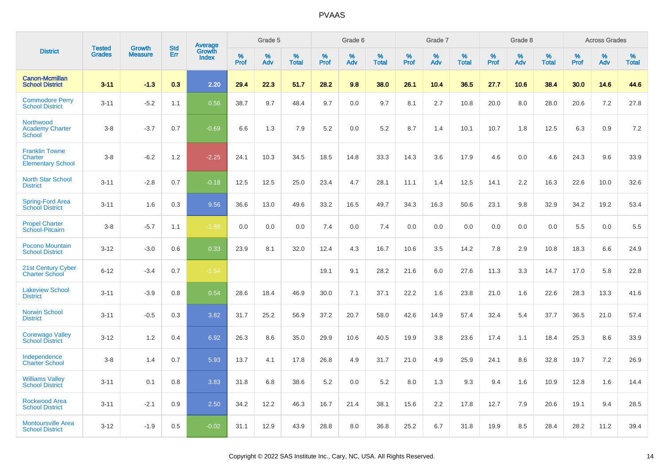|                                                              | <b>Tested</b> |                                 | <b>Std</b> |                                          |              | Grade 5  |                   |              | Grade 6  |                   |              | Grade 7  |                   |              | Grade 8  |                   |              | <b>Across Grades</b> |                   |
|--------------------------------------------------------------|---------------|---------------------------------|------------|------------------------------------------|--------------|----------|-------------------|--------------|----------|-------------------|--------------|----------|-------------------|--------------|----------|-------------------|--------------|----------------------|-------------------|
| <b>District</b>                                              | <b>Grades</b> | <b>Growth</b><br><b>Measure</b> | Err        | <b>Average</b><br>Growth<br><b>Index</b> | $\%$<br>Prof | %<br>Adv | %<br><b>Total</b> | $\%$<br>Prof | %<br>Adv | %<br><b>Total</b> | $\%$<br>Prof | %<br>Adv | %<br><b>Total</b> | $\%$<br>Prof | %<br>Adv | %<br><b>Total</b> | $\%$<br>Prof | %<br>Adv             | %<br><b>Total</b> |
| <b>Canon-Mcmillan</b><br><b>School District</b>              | $3 - 11$      | $-1.3$                          | 0.3        | 2.20                                     | 29.4         | 22.3     | 51.7              | 28.2         | 9.8      | 38.0              | 26.1         | 10.4     | 36.5              | 27.7         | 10.6     | 38.4              | 30.0         | 14.6                 | 44.6              |
| <b>Commodore Perry</b><br><b>School District</b>             | $3 - 11$      | $-5.2$                          | 1.1        | 0.56                                     | 38.7         | 9.7      | 48.4              | 9.7          | 0.0      | 9.7               | 8.1          | 2.7      | 10.8              | 20.0         | 8.0      | 28.0              | 20.6         | 7.2                  | 27.8              |
| Northwood<br><b>Academy Charter</b><br><b>School</b>         | $3 - 8$       | $-3.7$                          | 0.7        | $-0.69$                                  | 6.6          | 1.3      | 7.9               | 5.2          | 0.0      | 5.2               | 8.7          | 1.4      | 10.1              | 10.7         | 1.8      | 12.5              | 6.3          | 0.9                  | 7.2               |
| <b>Franklin Towne</b><br>Charter<br><b>Elementary School</b> | $3 - 8$       | $-6.2$                          | 1.2        | $-2.25$                                  | 24.1         | 10.3     | 34.5              | 18.5         | 14.8     | 33.3              | 14.3         | 3.6      | 17.9              | 4.6          | 0.0      | 4.6               | 24.3         | 9.6                  | 33.9              |
| <b>North Star School</b><br><b>District</b>                  | $3 - 11$      | $-2.8$                          | 0.7        | $-0.18$                                  | 12.5         | 12.5     | 25.0              | 23.4         | 4.7      | 28.1              | 11.1         | 1.4      | 12.5              | 14.1         | 2.2      | 16.3              | 22.6         | 10.0                 | 32.6              |
| Spring-Ford Area<br><b>School District</b>                   | $3 - 11$      | 1.6                             | 0.3        | 9.56                                     | 36.6         | 13.0     | 49.6              | 33.2         | 16.5     | 49.7              | 34.3         | 16.3     | 50.6              | 23.1         | 9.8      | 32.9              | 34.2         | 19.2                 | 53.4              |
| <b>Propel Charter</b><br>School-Pitcairn                     | $3 - 8$       | $-5.7$                          | 1.1        | $-1.88$                                  | 0.0          | 0.0      | 0.0               | 7.4          | 0.0      | 7.4               | 0.0          | 0.0      | 0.0               | 0.0          | 0.0      | 0.0               | 5.5          | 0.0                  | 5.5               |
| Pocono Mountain<br><b>School District</b>                    | $3 - 12$      | $-3.0$                          | 0.6        | 0.33                                     | 23.9         | 8.1      | 32.0              | 12.4         | 4.3      | 16.7              | 10.6         | 3.5      | 14.2              | 7.8          | 2.9      | 10.8              | 18.3         | 6.6                  | 24.9              |
| 21st Century Cyber<br><b>Charter School</b>                  | $6 - 12$      | $-3.4$                          | 0.7        | $-1.54$                                  |              |          |                   | 19.1         | 9.1      | 28.2              | 21.6         | 6.0      | 27.6              | 11.3         | 3.3      | 14.7              | 17.0         | 5.8                  | 22.8              |
| <b>Lakeview School</b><br><b>District</b>                    | $3 - 11$      | $-3.9$                          | 0.8        | 0.54                                     | 28.6         | 18.4     | 46.9              | 30.0         | 7.1      | 37.1              | 22.2         | 1.6      | 23.8              | 21.0         | 1.6      | 22.6              | 28.3         | 13.3                 | 41.6              |
| <b>Norwin School</b><br><b>District</b>                      | $3 - 11$      | $-0.5$                          | 0.3        | 3.82                                     | 31.7         | 25.2     | 56.9              | 37.2         | 20.7     | 58.0              | 42.6         | 14.9     | 57.4              | 32.4         | 5.4      | 37.7              | 36.5         | 21.0                 | 57.4              |
| <b>Conewago Valley</b><br><b>School District</b>             | $3 - 12$      | 1.2                             | 0.4        | 6.92                                     | 26.3         | 8.6      | 35.0              | 29.9         | 10.6     | 40.5              | 19.9         | 3.8      | 23.6              | 17.4         | 1.1      | 18.4              | 25.3         | 8.6                  | 33.9              |
| Independence<br><b>Charter School</b>                        | $3 - 8$       | 1.4                             | 0.7        | 5.93                                     | 13.7         | 4.1      | 17.8              | 26.8         | 4.9      | 31.7              | 21.0         | 4.9      | 25.9              | 24.1         | 8.6      | 32.8              | 19.7         | 7.2                  | 26.9              |
| <b>Williams Valley</b><br><b>School District</b>             | $3 - 11$      | 0.1                             | 0.8        | 3.83                                     | 31.8         | 6.8      | 38.6              | 5.2          | 0.0      | 5.2               | 8.0          | 1.3      | 9.3               | 9.4          | 1.6      | 10.9              | 12.8         | 1.6                  | 14.4              |
| Rockwood Area<br><b>School District</b>                      | $3 - 11$      | $-2.1$                          | 0.9        | 2.50                                     | 34.2         | 12.2     | 46.3              | 16.7         | 21.4     | 38.1              | 15.6         | 2.2      | 17.8              | 12.7         | 7.9      | 20.6              | 19.1         | 9.4                  | 28.5              |
| <b>Montoursville Area</b><br><b>School District</b>          | $3 - 12$      | $-1.9$                          | 0.5        | $-0.02$                                  | 31.1         | 12.9     | 43.9              | 28.8         | 8.0      | 36.8              | 25.2         | 6.7      | 31.8              | 19.9         | 8.5      | 28.4              | 28.2         | 11.2                 | 39.4              |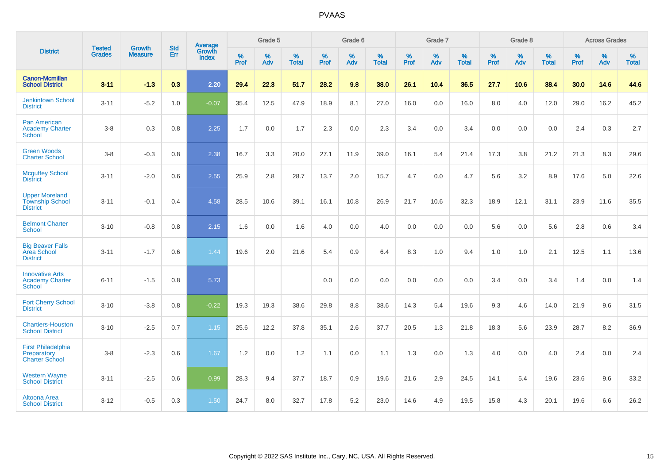|                                                                    |                                |                                 | <b>Std</b> | Average                |                     | Grade 5  |                   |              | Grade 6  |                   |                     | Grade 7  |                   |                     | Grade 8  |                   |              | <b>Across Grades</b> |                   |
|--------------------------------------------------------------------|--------------------------------|---------------------------------|------------|------------------------|---------------------|----------|-------------------|--------------|----------|-------------------|---------------------|----------|-------------------|---------------------|----------|-------------------|--------------|----------------------|-------------------|
| <b>District</b>                                                    | <b>Tested</b><br><b>Grades</b> | <b>Growth</b><br><b>Measure</b> | Err        | Growth<br><b>Index</b> | $\%$<br><b>Prof</b> | %<br>Adv | %<br><b>Total</b> | $\%$<br>Prof | %<br>Adv | %<br><b>Total</b> | $\%$<br><b>Prof</b> | %<br>Adv | %<br><b>Total</b> | $\%$<br><b>Prof</b> | %<br>Adv | %<br><b>Total</b> | $\%$<br>Prof | %<br>Adv             | %<br><b>Total</b> |
| <b>Canon-Mcmillan</b><br><b>School District</b>                    | $3 - 11$                       | $-1.3$                          | 0.3        | 2.20                   | 29.4                | 22.3     | 51.7              | 28.2         | 9.8      | 38.0              | 26.1                | 10.4     | 36.5              | 27.7                | 10.6     | 38.4              | 30.0         | 14.6                 | 44.6              |
| <b>Jenkintown School</b><br><b>District</b>                        | $3 - 11$                       | $-5.2$                          | 1.0        | $-0.07$                | 35.4                | 12.5     | 47.9              | 18.9         | 8.1      | 27.0              | 16.0                | 0.0      | 16.0              | 8.0                 | 4.0      | 12.0              | 29.0         | 16.2                 | 45.2              |
| <b>Pan American</b><br><b>Academy Charter</b><br><b>School</b>     | $3 - 8$                        | 0.3                             | 0.8        | 2.25                   | 1.7                 | 0.0      | 1.7               | 2.3          | 0.0      | 2.3               | 3.4                 | 0.0      | 3.4               | 0.0                 | 0.0      | 0.0               | 2.4          | 0.3                  | 2.7               |
| <b>Green Woods</b><br><b>Charter School</b>                        | $3-8$                          | $-0.3$                          | $0.8\,$    | 2.38                   | 16.7                | 3.3      | 20.0              | 27.1         | 11.9     | 39.0              | 16.1                | 5.4      | 21.4              | 17.3                | 3.8      | 21.2              | 21.3         | 8.3                  | 29.6              |
| <b>Mcguffey School</b><br><b>District</b>                          | $3 - 11$                       | $-2.0$                          | 0.6        | 2.55                   | 25.9                | 2.8      | 28.7              | 13.7         | 2.0      | 15.7              | 4.7                 | 0.0      | 4.7               | 5.6                 | 3.2      | 8.9               | 17.6         | 5.0                  | 22.6              |
| <b>Upper Moreland</b><br><b>Township School</b><br><b>District</b> | $3 - 11$                       | $-0.1$                          | 0.4        | 4.58                   | 28.5                | 10.6     | 39.1              | 16.1         | 10.8     | 26.9              | 21.7                | 10.6     | 32.3              | 18.9                | 12.1     | 31.1              | 23.9         | 11.6                 | 35.5              |
| <b>Belmont Charter</b><br>School                                   | $3 - 10$                       | $-0.8$                          | 0.8        | 2.15                   | 1.6                 | 0.0      | 1.6               | 4.0          | 0.0      | 4.0               | 0.0                 | 0.0      | 0.0               | 5.6                 | 0.0      | 5.6               | 2.8          | $0.6\,$              | 3.4               |
| <b>Big Beaver Falls</b><br>Area School<br><b>District</b>          | $3 - 11$                       | $-1.7$                          | 0.6        | 1.44                   | 19.6                | 2.0      | 21.6              | 5.4          | 0.9      | 6.4               | 8.3                 | 1.0      | 9.4               | 1.0                 | 1.0      | 2.1               | 12.5         | 1.1                  | 13.6              |
| <b>Innovative Arts</b><br><b>Academy Charter</b><br><b>School</b>  | $6 - 11$                       | $-1.5$                          | 0.8        | 5.73                   |                     |          |                   | 0.0          | 0.0      | 0.0               | 0.0                 | 0.0      | 0.0               | 3.4                 | 0.0      | 3.4               | 1.4          | 0.0                  | 1.4               |
| <b>Fort Cherry School</b><br><b>District</b>                       | $3 - 10$                       | $-3.8$                          | 0.8        | $-0.22$                | 19.3                | 19.3     | 38.6              | 29.8         | 8.8      | 38.6              | 14.3                | 5.4      | 19.6              | 9.3                 | 4.6      | 14.0              | 21.9         | 9.6                  | 31.5              |
| <b>Chartiers-Houston</b><br><b>School District</b>                 | $3 - 10$                       | $-2.5$                          | 0.7        | 1.15                   | 25.6                | 12.2     | 37.8              | 35.1         | 2.6      | 37.7              | 20.5                | 1.3      | 21.8              | 18.3                | 5.6      | 23.9              | 28.7         | 8.2                  | 36.9              |
| <b>First Philadelphia</b><br>Preparatory<br><b>Charter School</b>  | $3 - 8$                        | $-2.3$                          | 0.6        | 1.67                   | 1.2                 | 0.0      | 1.2               | 1.1          | 0.0      | 1.1               | 1.3                 | 0.0      | 1.3               | 4.0                 | 0.0      | 4.0               | 2.4          | 0.0                  | 2.4               |
| <b>Western Wayne</b><br><b>School District</b>                     | $3 - 11$                       | $-2.5$                          | 0.6        | 0.99                   | 28.3                | 9.4      | 37.7              | 18.7         | 0.9      | 19.6              | 21.6                | 2.9      | 24.5              | 14.1                | 5.4      | 19.6              | 23.6         | 9.6                  | 33.2              |
| Altoona Area<br><b>School District</b>                             | $3 - 12$                       | $-0.5$                          | 0.3        | 1.50                   | 24.7                | 8.0      | 32.7              | 17.8         | 5.2      | 23.0              | 14.6                | 4.9      | 19.5              | 15.8                | 4.3      | 20.1              | 19.6         | 6.6                  | 26.2              |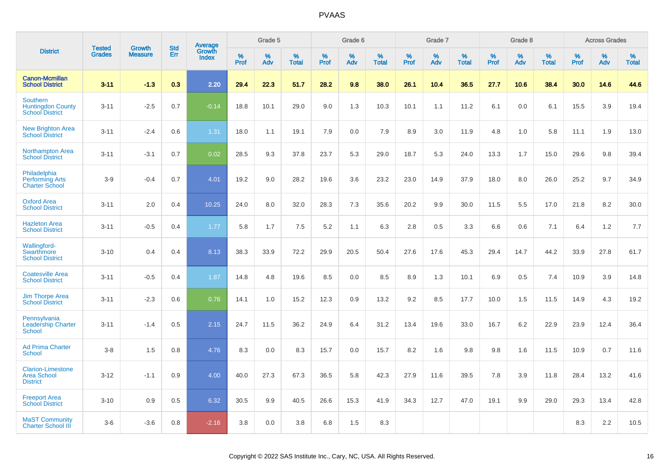|                                                                       | <b>Tested</b> | <b>Growth</b>  | <b>Std</b> | Average                |                     | Grade 5  |                   |           | Grade 6  |                   |           | Grade 7  |                   |                  | Grade 8  |                   |              | <b>Across Grades</b> |                   |
|-----------------------------------------------------------------------|---------------|----------------|------------|------------------------|---------------------|----------|-------------------|-----------|----------|-------------------|-----------|----------|-------------------|------------------|----------|-------------------|--------------|----------------------|-------------------|
| <b>District</b>                                                       | <b>Grades</b> | <b>Measure</b> | Err        | Growth<br><b>Index</b> | $\%$<br><b>Prof</b> | %<br>Adv | %<br><b>Total</b> | %<br>Prof | %<br>Adv | %<br><b>Total</b> | %<br>Prof | %<br>Adv | %<br><b>Total</b> | %<br><b>Prof</b> | %<br>Adv | %<br><b>Total</b> | $\%$<br>Prof | %<br>Adv             | %<br><b>Total</b> |
| <b>Canon-Mcmillan</b><br><b>School District</b>                       | $3 - 11$      | $-1.3$         | 0.3        | 2.20                   | 29.4                | 22.3     | 51.7              | 28.2      | 9.8      | 38.0              | 26.1      | 10.4     | 36.5              | 27.7             | 10.6     | 38.4              | 30.0         | 14.6                 | 44.6              |
| <b>Southern</b><br><b>Huntingdon County</b><br><b>School District</b> | $3 - 11$      | $-2.5$         | 0.7        | $-0.14$                | 18.8                | 10.1     | 29.0              | 9.0       | 1.3      | 10.3              | 10.1      | 1.1      | 11.2              | 6.1              | 0.0      | 6.1               | 15.5         | 3.9                  | 19.4              |
| <b>New Brighton Area</b><br><b>School District</b>                    | $3 - 11$      | $-2.4$         | 0.6        | 1.31                   | 18.0                | 1.1      | 19.1              | 7.9       | 0.0      | 7.9               | 8.9       | 3.0      | 11.9              | 4.8              | 1.0      | 5.8               | 11.1         | 1.9                  | 13.0              |
| <b>Northampton Area</b><br><b>School District</b>                     | $3 - 11$      | $-3.1$         | 0.7        | 0.02                   | 28.5                | 9.3      | 37.8              | 23.7      | 5.3      | 29.0              | 18.7      | 5.3      | 24.0              | 13.3             | 1.7      | 15.0              | 29.6         | 9.8                  | 39.4              |
| Philadelphia<br><b>Performing Arts</b><br><b>Charter School</b>       | $3-9$         | $-0.4$         | 0.7        | 4.01                   | 19.2                | 9.0      | 28.2              | 19.6      | 3.6      | 23.2              | 23.0      | 14.9     | 37.9              | 18.0             | 8.0      | 26.0              | 25.2         | 9.7                  | 34.9              |
| <b>Oxford Area</b><br><b>School District</b>                          | $3 - 11$      | 2.0            | 0.4        | 10.25                  | 24.0                | 8.0      | 32.0              | 28.3      | 7.3      | 35.6              | 20.2      | 9.9      | 30.0              | 11.5             | 5.5      | 17.0              | 21.8         | 8.2                  | 30.0              |
| <b>Hazleton Area</b><br><b>School District</b>                        | $3 - 11$      | $-0.5$         | 0.4        | 1.77                   | 5.8                 | 1.7      | 7.5               | 5.2       | 1.1      | 6.3               | 2.8       | 0.5      | 3.3               | 6.6              | 0.6      | 7.1               | 6.4          | 1.2                  | 7.7               |
| Wallingford-<br>Swarthmore<br><b>School District</b>                  | $3 - 10$      | 0.4            | 0.4        | 8.13                   | 38.3                | 33.9     | 72.2              | 29.9      | 20.5     | 50.4              | 27.6      | 17.6     | 45.3              | 29.4             | 14.7     | 44.2              | 33.9         | 27.8                 | 61.7              |
| <b>Coatesville Area</b><br><b>School District</b>                     | $3 - 11$      | $-0.5$         | 0.4        | 1.87                   | 14.8                | 4.8      | 19.6              | 8.5       | 0.0      | 8.5               | 8.9       | 1.3      | 10.1              | 6.9              | 0.5      | 7.4               | 10.9         | 3.9                  | 14.8              |
| <b>Jim Thorpe Area</b><br><b>School District</b>                      | $3 - 11$      | $-2.3$         | 0.6        | 0.76                   | 14.1                | 1.0      | 15.2              | 12.3      | 0.9      | 13.2              | 9.2       | 8.5      | 17.7              | 10.0             | 1.5      | 11.5              | 14.9         | 4.3                  | 19.2              |
| Pennsylvania<br><b>Leadership Charter</b><br><b>School</b>            | $3 - 11$      | $-1.4$         | 0.5        | 2.15                   | 24.7                | 11.5     | 36.2              | 24.9      | 6.4      | 31.2              | 13.4      | 19.6     | 33.0              | 16.7             | 6.2      | 22.9              | 23.9         | 12.4                 | 36.4              |
| <b>Ad Prima Charter</b><br><b>School</b>                              | $3-8$         | 1.5            | 0.8        | 4.76                   | 8.3                 | 0.0      | 8.3               | 15.7      | 0.0      | 15.7              | 8.2       | 1.6      | 9.8               | 9.8              | 1.6      | 11.5              | 10.9         | 0.7                  | 11.6              |
| <b>Clarion-Limestone</b><br><b>Area School</b><br><b>District</b>     | $3 - 12$      | $-1.1$         | 0.9        | 4.00                   | 40.0                | 27.3     | 67.3              | 36.5      | 5.8      | 42.3              | 27.9      | 11.6     | 39.5              | 7.8              | 3.9      | 11.8              | 28.4         | 13.2                 | 41.6              |
| <b>Freeport Area</b><br><b>School District</b>                        | $3 - 10$      | 0.9            | 0.5        | 6.32                   | 30.5                | 9.9      | 40.5              | 26.6      | 15.3     | 41.9              | 34.3      | 12.7     | 47.0              | 19.1             | 9.9      | 29.0              | 29.3         | 13.4                 | 42.8              |
| <b>MaST Community</b><br><b>Charter School III</b>                    | $3-6$         | $-3.6$         | 0.8        | $-2.16$                | 3.8                 | 0.0      | 3.8               | 6.8       | 1.5      | 8.3               |           |          |                   |                  |          |                   | 8.3          | 2.2                  | 10.5              |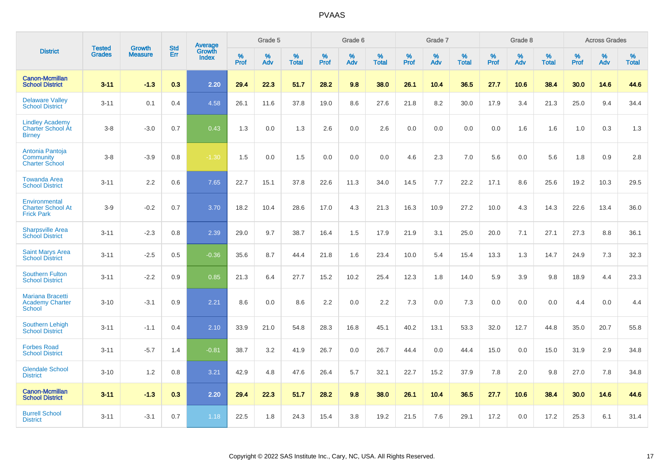|                                                                     | <b>Tested</b> | <b>Growth</b>  | <b>Std</b> | Average                |           | Grade 5  |                   |           | Grade 6  |                   |           | Grade 7  |                   |           | Grade 8  |                   |           | <b>Across Grades</b> |                   |
|---------------------------------------------------------------------|---------------|----------------|------------|------------------------|-----------|----------|-------------------|-----------|----------|-------------------|-----------|----------|-------------------|-----------|----------|-------------------|-----------|----------------------|-------------------|
| <b>District</b>                                                     | <b>Grades</b> | <b>Measure</b> | <b>Err</b> | Growth<br><b>Index</b> | %<br>Prof | %<br>Adv | %<br><b>Total</b> | %<br>Prof | %<br>Adv | %<br><b>Total</b> | %<br>Prof | %<br>Adv | %<br><b>Total</b> | %<br>Prof | %<br>Adv | %<br><b>Total</b> | %<br>Prof | %<br>Adv             | %<br><b>Total</b> |
| <b>Canon-Mcmillan</b><br><b>School District</b>                     | $3 - 11$      | $-1.3$         | 0.3        | 2.20                   | 29.4      | 22.3     | 51.7              | 28.2      | 9.8      | 38.0              | 26.1      | 10.4     | 36.5              | 27.7      | 10.6     | 38.4              | 30.0      | 14.6                 | 44.6              |
| <b>Delaware Valley</b><br><b>School District</b>                    | $3 - 11$      | 0.1            | 0.4        | 4.58                   | 26.1      | 11.6     | 37.8              | 19.0      | 8.6      | 27.6              | 21.8      | 8.2      | 30.0              | 17.9      | 3.4      | 21.3              | 25.0      | 9.4                  | 34.4              |
| <b>Lindley Academy</b><br><b>Charter School At</b><br><b>Birney</b> | $3 - 8$       | $-3.0$         | 0.7        | 0.43                   | 1.3       | 0.0      | 1.3               | 2.6       | 0.0      | 2.6               | 0.0       | 0.0      | 0.0               | 0.0       | 1.6      | 1.6               | 1.0       | 0.3                  | 1.3               |
| Antonia Pantoja<br>Community<br><b>Charter School</b>               | $3 - 8$       | $-3.9$         | 0.8        | $-1.30$                | 1.5       | 0.0      | 1.5               | 0.0       | 0.0      | 0.0               | 4.6       | 2.3      | 7.0               | 5.6       | 0.0      | 5.6               | 1.8       | 0.9                  | 2.8               |
| <b>Towanda Area</b><br><b>School District</b>                       | $3 - 11$      | 2.2            | 0.6        | 7.65                   | 22.7      | 15.1     | 37.8              | 22.6      | 11.3     | 34.0              | 14.5      | 7.7      | 22.2              | 17.1      | 8.6      | 25.6              | 19.2      | 10.3                 | 29.5              |
| Environmental<br><b>Charter School At</b><br><b>Frick Park</b>      | $3-9$         | $-0.2$         | 0.7        | 3.70                   | 18.2      | 10.4     | 28.6              | 17.0      | 4.3      | 21.3              | 16.3      | 10.9     | 27.2              | 10.0      | 4.3      | 14.3              | 22.6      | 13.4                 | 36.0              |
| <b>Sharpsville Area</b><br><b>School District</b>                   | $3 - 11$      | $-2.3$         | 0.8        | 2.39                   | 29.0      | 9.7      | 38.7              | 16.4      | 1.5      | 17.9              | 21.9      | 3.1      | 25.0              | 20.0      | 7.1      | 27.1              | 27.3      | 8.8                  | 36.1              |
| <b>Saint Marys Area</b><br><b>School District</b>                   | $3 - 11$      | $-2.5$         | 0.5        | $-0.36$                | 35.6      | 8.7      | 44.4              | 21.8      | 1.6      | 23.4              | 10.0      | 5.4      | 15.4              | 13.3      | 1.3      | 14.7              | 24.9      | 7.3                  | 32.3              |
| <b>Southern Fulton</b><br><b>School District</b>                    | $3 - 11$      | $-2.2$         | 0.9        | 0.85                   | 21.3      | 6.4      | 27.7              | 15.2      | 10.2     | 25.4              | 12.3      | 1.8      | 14.0              | 5.9       | 3.9      | 9.8               | 18.9      | 4.4                  | 23.3              |
| Mariana Bracetti<br><b>Academy Charter</b><br><b>School</b>         | $3 - 10$      | $-3.1$         | 0.9        | 2.21                   | 8.6       | 0.0      | 8.6               | 2.2       | 0.0      | 2.2               | 7.3       | 0.0      | 7.3               | 0.0       | 0.0      | 0.0               | 4.4       | 0.0                  | 4.4               |
| <b>Southern Lehigh</b><br><b>School District</b>                    | $3 - 11$      | $-1.1$         | 0.4        | 2.10                   | 33.9      | 21.0     | 54.8              | 28.3      | 16.8     | 45.1              | 40.2      | 13.1     | 53.3              | 32.0      | 12.7     | 44.8              | 35.0      | 20.7                 | 55.8              |
| <b>Forbes Road</b><br><b>School District</b>                        | $3 - 11$      | $-5.7$         | 1.4        | $-0.81$                | 38.7      | 3.2      | 41.9              | 26.7      | 0.0      | 26.7              | 44.4      | 0.0      | 44.4              | 15.0      | 0.0      | 15.0              | 31.9      | 2.9                  | 34.8              |
| <b>Glendale School</b><br><b>District</b>                           | $3 - 10$      | 1.2            | 0.8        | 3.21                   | 42.9      | 4.8      | 47.6              | 26.4      | 5.7      | 32.1              | 22.7      | 15.2     | 37.9              | 7.8       | 2.0      | 9.8               | 27.0      | 7.8                  | 34.8              |
| <b>Canon-Mcmillan</b><br><b>School District</b>                     | $3 - 11$      | $-1.3$         | 0.3        | 2.20                   | 29.4      | 22.3     | 51.7              | 28.2      | 9.8      | 38.0              | 26.1      | 10.4     | 36.5              | 27.7      | 10.6     | 38.4              | 30.0      | 14.6                 | 44.6              |
| <b>Burrell School</b><br><b>District</b>                            | $3 - 11$      | $-3.1$         | 0.7        | 1.18                   | 22.5      | 1.8      | 24.3              | 15.4      | 3.8      | 19.2              | 21.5      | 7.6      | 29.1              | 17.2      | 0.0      | 17.2              | 25.3      | 6.1                  | 31.4              |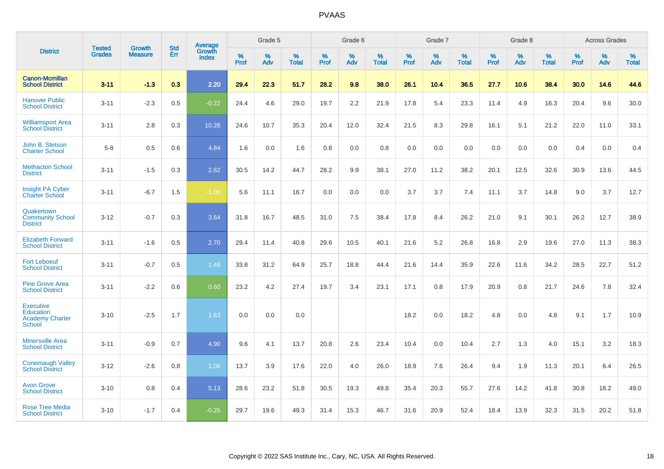|                                                                                 |                                |                                 | <b>Std</b> | Average                       |           | Grade 5  |                   |           | Grade 6  |                   |           | Grade 7  |                   |           | Grade 8  |                   |           | <b>Across Grades</b> |                   |
|---------------------------------------------------------------------------------|--------------------------------|---------------------------------|------------|-------------------------------|-----------|----------|-------------------|-----------|----------|-------------------|-----------|----------|-------------------|-----------|----------|-------------------|-----------|----------------------|-------------------|
| <b>District</b>                                                                 | <b>Tested</b><br><b>Grades</b> | <b>Growth</b><br><b>Measure</b> | Err        | <b>Growth</b><br><b>Index</b> | %<br>Prof | %<br>Adv | %<br><b>Total</b> | %<br>Prof | %<br>Adv | %<br><b>Total</b> | %<br>Prof | %<br>Adv | %<br><b>Total</b> | %<br>Prof | %<br>Adv | %<br><b>Total</b> | %<br>Prof | %<br>Adv             | %<br><b>Total</b> |
| <b>Canon-Mcmillan</b><br><b>School District</b>                                 | $3 - 11$                       | $-1.3$                          | 0.3        | 2.20                          | 29.4      | 22.3     | 51.7              | 28.2      | 9.8      | 38.0              | 26.1      | 10.4     | 36.5              | 27.7      | 10.6     | 38.4              | 30.0      | 14.6                 | 44.6              |
| <b>Hanover Public</b><br><b>School District</b>                                 | $3 - 11$                       | $-2.3$                          | 0.5        | $-0.22$                       | 24.4      | 4.6      | 29.0              | 19.7      | 2.2      | 21.9              | 17.8      | 5.4      | 23.3              | 11.4      | 4.9      | 16.3              | 20.4      | 9.6                  | 30.0              |
| <b>Williamsport Area</b><br><b>School District</b>                              | $3 - 11$                       | 2.8                             | 0.3        | 10.28                         | 24.6      | 10.7     | 35.3              | 20.4      | 12.0     | 32.4              | 21.5      | 8.3      | 29.8              | 16.1      | 5.1      | 21.2              | 22.0      | 11.0                 | 33.1              |
| John B. Stetson<br><b>Charter School</b>                                        | $5-8$                          | 0.5                             | 0.6        | 4.84                          | 1.6       | 0.0      | 1.6               | 0.8       | 0.0      | 0.8               | 0.0       | 0.0      | 0.0               | 0.0       | 0.0      | 0.0               | 0.4       | 0.0                  | 0.4               |
| <b>Methacton School</b><br><b>District</b>                                      | $3 - 11$                       | $-1.5$                          | 0.3        | 2.62                          | 30.5      | 14.2     | 44.7              | 28.2      | 9.9      | 38.1              | 27.0      | 11.2     | 38.2              | 20.1      | 12.5     | 32.6              | 30.9      | 13.6                 | 44.5              |
| <b>Insight PA Cyber</b><br><b>Charter School</b>                                | $3 - 11$                       | $-6.7$                          | 1.5        | $-1.06$                       | 5.6       | 11.1     | 16.7              | 0.0       | 0.0      | 0.0               | 3.7       | 3.7      | 7.4               | 11.1      | 3.7      | 14.8              | 9.0       | 3.7                  | 12.7              |
| Quakertown<br><b>Community School</b><br><b>District</b>                        | $3 - 12$                       | $-0.7$                          | 0.3        | 3.64                          | 31.8      | 16.7     | 48.5              | 31.0      | 7.5      | 38.4              | 17.8      | 8.4      | 26.2              | 21.0      | 9.1      | 30.1              | 26.2      | 12.7                 | 38.9              |
| <b>Elizabeth Forward</b><br><b>School District</b>                              | $3 - 11$                       | $-1.6$                          | 0.5        | 2.70                          | 29.4      | 11.4     | 40.8              | 29.6      | 10.5     | 40.1              | 21.6      | 5.2      | 26.8              | 16.8      | 2.9      | 19.6              | 27.0      | 11.3                 | 38.3              |
| <b>Fort Leboeuf</b><br><b>School District</b>                                   | $3 - 11$                       | $-0.7$                          | 0.5        | 1.49                          | 33.8      | 31.2     | 64.9              | 25.7      | 18.8     | 44.4              | 21.6      | 14.4     | 35.9              | 22.6      | 11.6     | 34.2              | 28.5      | 22.7                 | 51.2              |
| <b>Pine Grove Area</b><br><b>School District</b>                                | $3 - 11$                       | $-2.2$                          | 0.6        | 0.60                          | 23.2      | 4.2      | 27.4              | 19.7      | 3.4      | 23.1              | 17.1      | 0.8      | 17.9              | 20.9      | 0.8      | 21.7              | 24.6      | 7.8                  | 32.4              |
| <b>Executive</b><br><b>Education</b><br><b>Academy Charter</b><br><b>School</b> | $3 - 10$                       | $-2.5$                          | 1.7        | 1.63                          | 0.0       | 0.0      | 0.0               |           |          |                   | 18.2      | 0.0      | 18.2              | 4.8       | 0.0      | 4.8               | 9.1       | 1.7                  | 10.9              |
| <b>Minersville Area</b><br><b>School District</b>                               | $3 - 11$                       | $-0.9$                          | 0.7        | 4.90                          | 9.6       | 4.1      | 13.7              | 20.8      | 2.6      | 23.4              | 10.4      | 0.0      | 10.4              | 2.7       | 1.3      | 4.0               | 15.1      | 3.2                  | 18.3              |
| <b>Conemaugh Valley</b><br><b>School District</b>                               | $3 - 12$                       | $-2.6$                          | 0.8        | 1.06                          | 13.7      | 3.9      | 17.6              | 22.0      | 4.0      | 26.0              | 18.9      | 7.6      | 26.4              | 9.4       | 1.9      | 11.3              | 20.1      | 6.4                  | 26.5              |
| <b>Avon Grove</b><br><b>School District</b>                                     | $3 - 10$                       | 0.8                             | 0.4        | 5.13                          | 28.6      | 23.2     | 51.8              | 30.5      | 19.3     | 49.8              | 35.4      | 20.3     | 55.7              | 27.6      | 14.2     | 41.8              | 30.8      | 18.2                 | 49.0              |
| <b>Rose Tree Media</b><br><b>School District</b>                                | $3 - 10$                       | $-1.7$                          | 0.4        | $-0.25$                       | 29.7      | 19.6     | 49.3              | 31.4      | 15.3     | 46.7              | 31.6      | 20.9     | 52.4              | 18.4      | 13.9     | 32.3              | 31.5      | 20.2                 | 51.8              |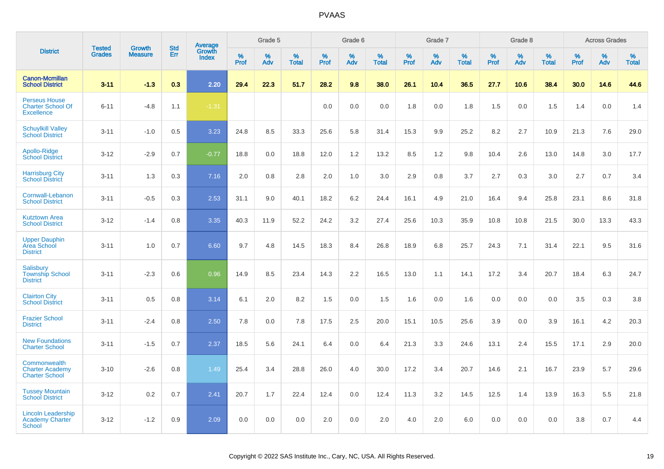|                                                                       |                                |                                 |                   | <b>Average</b>         |                     | Grade 5     |                   |                  | Grade 6  |                   |                  | Grade 7  |                   |           | Grade 8  |                   |              | <b>Across Grades</b> |                   |
|-----------------------------------------------------------------------|--------------------------------|---------------------------------|-------------------|------------------------|---------------------|-------------|-------------------|------------------|----------|-------------------|------------------|----------|-------------------|-----------|----------|-------------------|--------------|----------------------|-------------------|
| <b>District</b>                                                       | <b>Tested</b><br><b>Grades</b> | <b>Growth</b><br><b>Measure</b> | <b>Std</b><br>Err | Growth<br><b>Index</b> | $\%$<br><b>Prof</b> | $\%$<br>Adv | %<br><b>Total</b> | %<br><b>Prof</b> | %<br>Adv | %<br><b>Total</b> | %<br><b>Prof</b> | %<br>Adv | %<br><b>Total</b> | %<br>Prof | %<br>Adv | %<br><b>Total</b> | $\%$<br>Prof | %<br>Adv             | %<br><b>Total</b> |
| <b>Canon-Mcmillan</b><br><b>School District</b>                       | $3 - 11$                       | $-1.3$                          | 0.3               | 2.20                   | 29.4                | 22.3        | 51.7              | 28.2             | 9.8      | 38.0              | 26.1             | 10.4     | 36.5              | 27.7      | 10.6     | 38.4              | 30.0         | 14.6                 | 44.6              |
| <b>Perseus House</b><br><b>Charter School Of</b><br><b>Excellence</b> | $6 - 11$                       | $-4.8$                          | 1.1               | $-1.31$                |                     |             |                   | 0.0              | 0.0      | 0.0               | 1.8              | 0.0      | 1.8               | 1.5       | 0.0      | 1.5               | 1.4          | 0.0                  | 1.4               |
| <b>Schuylkill Valley</b><br><b>School District</b>                    | $3 - 11$                       | $-1.0$                          | 0.5               | 3.23                   | 24.8                | 8.5         | 33.3              | 25.6             | 5.8      | 31.4              | 15.3             | 9.9      | 25.2              | 8.2       | 2.7      | 10.9              | 21.3         | 7.6                  | 29.0              |
| Apollo-Ridge<br><b>School District</b>                                | $3-12$                         | $-2.9$                          | 0.7               | $-0.77$                | 18.8                | 0.0         | 18.8              | 12.0             | 1.2      | 13.2              | 8.5              | 1.2      | 9.8               | 10.4      | 2.6      | 13.0              | 14.8         | 3.0                  | 17.7              |
| <b>Harrisburg City</b><br><b>School District</b>                      | $3 - 11$                       | 1.3                             | 0.3               | 7.16                   | 2.0                 | 0.8         | 2.8               | 2.0              | 1.0      | 3.0               | 2.9              | 0.8      | 3.7               | 2.7       | 0.3      | 3.0               | 2.7          | 0.7                  | 3.4               |
| Cornwall-Lebanon<br><b>School District</b>                            | $3 - 11$                       | $-0.5$                          | 0.3               | 2.53                   | 31.1                | 9.0         | 40.1              | 18.2             | 6.2      | 24.4              | 16.1             | 4.9      | 21.0              | 16.4      | 9.4      | 25.8              | 23.1         | 8.6                  | 31.8              |
| <b>Kutztown Area</b><br><b>School District</b>                        | $3 - 12$                       | $-1.4$                          | 0.8               | 3.35                   | 40.3                | 11.9        | 52.2              | 24.2             | 3.2      | 27.4              | 25.6             | 10.3     | 35.9              | 10.8      | 10.8     | 21.5              | 30.0         | 13.3                 | 43.3              |
| <b>Upper Dauphin</b><br><b>Area School</b><br><b>District</b>         | $3 - 11$                       | 1.0                             | 0.7               | 6.60                   | 9.7                 | 4.8         | 14.5              | 18.3             | 8.4      | 26.8              | 18.9             | 6.8      | 25.7              | 24.3      | 7.1      | 31.4              | 22.1         | 9.5                  | 31.6              |
| Salisbury<br><b>Township School</b><br><b>District</b>                | $3 - 11$                       | $-2.3$                          | 0.6               | 0.96                   | 14.9                | 8.5         | 23.4              | 14.3             | 2.2      | 16.5              | 13.0             | 1.1      | 14.1              | 17.2      | 3.4      | 20.7              | 18.4         | 6.3                  | 24.7              |
| <b>Clairton City</b><br><b>School District</b>                        | $3 - 11$                       | 0.5                             | 0.8               | 3.14                   | 6.1                 | 2.0         | 8.2               | 1.5              | 0.0      | 1.5               | 1.6              | 0.0      | 1.6               | 0.0       | 0.0      | 0.0               | 3.5          | 0.3                  | 3.8               |
| <b>Frazier School</b><br><b>District</b>                              | $3 - 11$                       | $-2.4$                          | 0.8               | 2.50                   | 7.8                 | 0.0         | 7.8               | 17.5             | 2.5      | 20.0              | 15.1             | 10.5     | 25.6              | 3.9       | 0.0      | 3.9               | 16.1         | 4.2                  | 20.3              |
| <b>New Foundations</b><br><b>Charter School</b>                       | $3 - 11$                       | $-1.5$                          | 0.7               | 2.37                   | 18.5                | 5.6         | 24.1              | 6.4              | 0.0      | 6.4               | 21.3             | 3.3      | 24.6              | 13.1      | 2.4      | 15.5              | 17.1         | 2.9                  | 20.0              |
| Commonwealth<br><b>Charter Academy</b><br><b>Charter School</b>       | $3 - 10$                       | $-2.6$                          | 0.8               | 1.49                   | 25.4                | 3.4         | 28.8              | 26.0             | 4.0      | 30.0              | 17.2             | 3.4      | 20.7              | 14.6      | 2.1      | 16.7              | 23.9         | 5.7                  | 29.6              |
| <b>Tussey Mountain</b><br><b>School District</b>                      | $3 - 12$                       | 0.2                             | 0.7               | 2.41                   | 20.7                | 1.7         | 22.4              | 12.4             | 0.0      | 12.4              | 11.3             | 3.2      | 14.5              | 12.5      | 1.4      | 13.9              | 16.3         | 5.5                  | 21.8              |
| <b>Lincoln Leadership</b><br>Academy Charter<br>School                | $3 - 12$                       | $-1.2$                          | 0.9               | 2.09                   | 0.0                 | 0.0         | 0.0               | 2.0              | 0.0      | 2.0               | 4.0              | 2.0      | 6.0               | 0.0       | 0.0      | 0.0               | 3.8          | 0.7                  | 4.4               |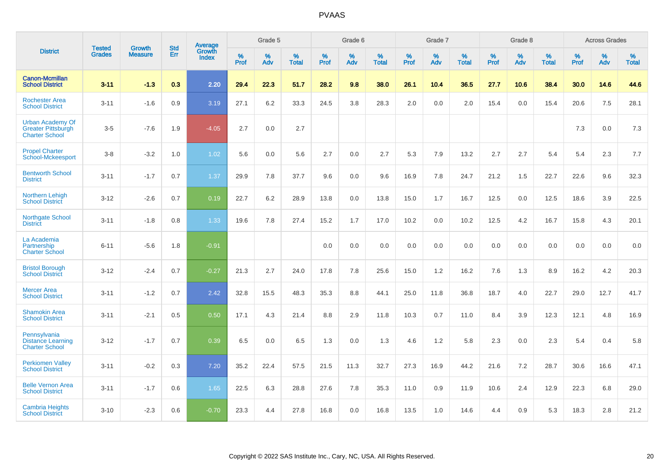|                                                                               | <b>Tested</b> | <b>Growth</b>  | <b>Std</b> | <b>Average</b>         |              | Grade 5  |                   |           | Grade 6  |                   |           | Grade 7  |                   |           | Grade 8  |                   |              | <b>Across Grades</b> |                   |
|-------------------------------------------------------------------------------|---------------|----------------|------------|------------------------|--------------|----------|-------------------|-----------|----------|-------------------|-----------|----------|-------------------|-----------|----------|-------------------|--------------|----------------------|-------------------|
| <b>District</b>                                                               | <b>Grades</b> | <b>Measure</b> | Err        | Growth<br><b>Index</b> | $\%$<br>Prof | %<br>Adv | %<br><b>Total</b> | %<br>Prof | %<br>Adv | %<br><b>Total</b> | %<br>Prof | %<br>Adv | %<br><b>Total</b> | %<br>Prof | %<br>Adv | %<br><b>Total</b> | $\%$<br>Prof | %<br>Adv             | %<br><b>Total</b> |
| <b>Canon-Mcmillan</b><br><b>School District</b>                               | $3 - 11$      | $-1.3$         | 0.3        | 2.20                   | 29.4         | 22.3     | 51.7              | 28.2      | 9.8      | 38.0              | 26.1      | 10.4     | 36.5              | 27.7      | 10.6     | 38.4              | 30.0         | 14.6                 | 44.6              |
| <b>Rochester Area</b><br><b>School District</b>                               | $3 - 11$      | $-1.6$         | 0.9        | 3.19                   | 27.1         | $6.2\,$  | 33.3              | 24.5      | 3.8      | 28.3              | 2.0       | 0.0      | 2.0               | 15.4      | 0.0      | 15.4              | 20.6         | 7.5                  | 28.1              |
| <b>Urban Academy Of</b><br><b>Greater Pittsburgh</b><br><b>Charter School</b> | $3-5$         | $-7.6$         | 1.9        | $-4.05$                | 2.7          | 0.0      | 2.7               |           |          |                   |           |          |                   |           |          |                   | 7.3          | 0.0                  | $7.3$             |
| <b>Propel Charter</b><br>School-Mckeesport                                    | $3-8$         | $-3.2$         | 1.0        | 1.02                   | 5.6          | 0.0      | 5.6               | 2.7       | 0.0      | 2.7               | 5.3       | 7.9      | 13.2              | 2.7       | 2.7      | 5.4               | 5.4          | 2.3                  | 7.7               |
| <b>Bentworth School</b><br><b>District</b>                                    | $3 - 11$      | $-1.7$         | 0.7        | 1.37                   | 29.9         | 7.8      | 37.7              | 9.6       | 0.0      | 9.6               | 16.9      | 7.8      | 24.7              | 21.2      | 1.5      | 22.7              | 22.6         | 9.6                  | 32.3              |
| Northern Lehigh<br><b>School District</b>                                     | $3 - 12$      | $-2.6$         | 0.7        | 0.19                   | 22.7         | 6.2      | 28.9              | 13.8      | 0.0      | 13.8              | 15.0      | 1.7      | 16.7              | 12.5      | 0.0      | 12.5              | 18.6         | 3.9                  | 22.5              |
| <b>Northgate School</b><br><b>District</b>                                    | $3 - 11$      | $-1.8$         | 0.8        | 1.33                   | 19.6         | 7.8      | 27.4              | 15.2      | 1.7      | 17.0              | 10.2      | 0.0      | 10.2              | 12.5      | 4.2      | 16.7              | 15.8         | 4.3                  | 20.1              |
| La Academia<br>Partnership<br><b>Charter School</b>                           | $6 - 11$      | $-5.6$         | 1.8        | $-0.91$                |              |          |                   | 0.0       | 0.0      | 0.0               | 0.0       | 0.0      | 0.0               | 0.0       | 0.0      | 0.0               | 0.0          | 0.0                  | 0.0               |
| <b>Bristol Borough</b><br><b>School District</b>                              | $3 - 12$      | $-2.4$         | 0.7        | $-0.27$                | 21.3         | 2.7      | 24.0              | 17.8      | 7.8      | 25.6              | 15.0      | 1.2      | 16.2              | 7.6       | 1.3      | 8.9               | 16.2         | 4.2                  | 20.3              |
| <b>Mercer Area</b><br><b>School District</b>                                  | $3 - 11$      | $-1.2$         | 0.7        | 2.42                   | 32.8         | 15.5     | 48.3              | 35.3      | 8.8      | 44.1              | 25.0      | 11.8     | 36.8              | 18.7      | 4.0      | 22.7              | 29.0         | 12.7                 | 41.7              |
| <b>Shamokin Area</b><br><b>School District</b>                                | $3 - 11$      | $-2.1$         | 0.5        | 0.50                   | 17.1         | 4.3      | 21.4              | 8.8       | 2.9      | 11.8              | 10.3      | 0.7      | 11.0              | 8.4       | 3.9      | 12.3              | 12.1         | 4.8                  | 16.9              |
| Pennsylvania<br><b>Distance Learning</b><br><b>Charter School</b>             | $3 - 12$      | $-1.7$         | 0.7        | 0.39                   | 6.5          | 0.0      | 6.5               | 1.3       | 0.0      | 1.3               | 4.6       | 1.2      | 5.8               | 2.3       | 0.0      | 2.3               | 5.4          | 0.4                  | 5.8               |
| <b>Perkiomen Valley</b><br><b>School District</b>                             | $3 - 11$      | $-0.2$         | 0.3        | 7.20                   | 35.2         | 22.4     | 57.5              | 21.5      | 11.3     | 32.7              | 27.3      | 16.9     | 44.2              | 21.6      | 7.2      | 28.7              | 30.6         | 16.6                 | 47.1              |
| <b>Belle Vernon Area</b><br><b>School District</b>                            | $3 - 11$      | $-1.7$         | 0.6        | 1.65                   | 22.5         | 6.3      | 28.8              | 27.6      | 7.8      | 35.3              | 11.0      | 0.9      | 11.9              | 10.6      | 2.4      | 12.9              | 22.3         | 6.8                  | 29.0              |
| <b>Cambria Heights</b><br><b>School District</b>                              | $3 - 10$      | $-2.3$         | 0.6        | $-0.70$                | 23.3         | 4.4      | 27.8              | 16.8      | 0.0      | 16.8              | 13.5      | 1.0      | 14.6              | 4.4       | 0.9      | 5.3               | 18.3         | 2.8                  | 21.2              |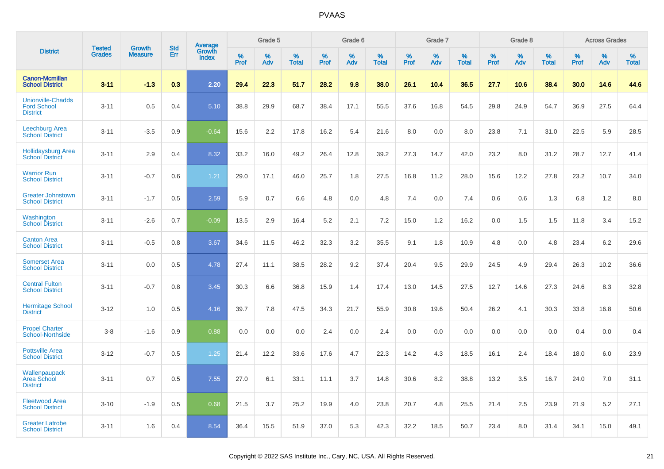|                                                                   | <b>Tested</b> |                                 | <b>Std</b> | Average                |              | Grade 5  |                   |              | Grade 6  |                   |              | Grade 7  |                   |              | Grade 8  |                   |              | <b>Across Grades</b> |                   |
|-------------------------------------------------------------------|---------------|---------------------------------|------------|------------------------|--------------|----------|-------------------|--------------|----------|-------------------|--------------|----------|-------------------|--------------|----------|-------------------|--------------|----------------------|-------------------|
| <b>District</b>                                                   | <b>Grades</b> | <b>Growth</b><br><b>Measure</b> | Err        | Growth<br><b>Index</b> | $\%$<br>Prof | %<br>Adv | %<br><b>Total</b> | $\%$<br>Prof | %<br>Adv | %<br><b>Total</b> | $\%$<br>Prof | %<br>Adv | %<br><b>Total</b> | $\%$<br>Prof | %<br>Adv | %<br><b>Total</b> | $\%$<br>Prof | %<br>Adv             | %<br><b>Total</b> |
| <b>Canon-Mcmillan</b><br><b>School District</b>                   | $3 - 11$      | $-1.3$                          | 0.3        | 2.20                   | 29.4         | 22.3     | 51.7              | 28.2         | 9.8      | 38.0              | 26.1         | 10.4     | 36.5              | 27.7         | 10.6     | 38.4              | 30.0         | 14.6                 | 44.6              |
| <b>Unionville-Chadds</b><br><b>Ford School</b><br><b>District</b> | $3 - 11$      | 0.5                             | 0.4        | 5.10                   | 38.8         | 29.9     | 68.7              | 38.4         | 17.1     | 55.5              | 37.6         | 16.8     | 54.5              | 29.8         | 24.9     | 54.7              | 36.9         | 27.5                 | 64.4              |
| <b>Leechburg Area</b><br><b>School District</b>                   | $3 - 11$      | $-3.5$                          | 0.9        | $-0.64$                | 15.6         | 2.2      | 17.8              | 16.2         | 5.4      | 21.6              | 8.0          | 0.0      | 8.0               | 23.8         | 7.1      | 31.0              | 22.5         | 5.9                  | 28.5              |
| <b>Hollidaysburg Area</b><br><b>School District</b>               | $3 - 11$      | 2.9                             | 0.4        | 8.32                   | 33.2         | 16.0     | 49.2              | 26.4         | 12.8     | 39.2              | 27.3         | 14.7     | 42.0              | 23.2         | 8.0      | 31.2              | 28.7         | 12.7                 | 41.4              |
| <b>Warrior Run</b><br><b>School District</b>                      | $3 - 11$      | $-0.7$                          | 0.6        | 1.21                   | 29.0         | 17.1     | 46.0              | 25.7         | 1.8      | 27.5              | 16.8         | 11.2     | 28.0              | 15.6         | 12.2     | 27.8              | 23.2         | 10.7                 | 34.0              |
| <b>Greater Johnstown</b><br><b>School District</b>                | $3 - 11$      | $-1.7$                          | 0.5        | 2.59                   | 5.9          | 0.7      | 6.6               | 4.8          | 0.0      | 4.8               | 7.4          | 0.0      | 7.4               | 0.6          | 0.6      | 1.3               | 6.8          | 1.2                  | 8.0               |
| Washington<br><b>School District</b>                              | $3 - 11$      | $-2.6$                          | 0.7        | $-0.09$                | 13.5         | 2.9      | 16.4              | 5.2          | 2.1      | 7.2               | 15.0         | 1.2      | 16.2              | 0.0          | 1.5      | 1.5               | 11.8         | 3.4                  | 15.2              |
| <b>Canton Area</b><br><b>School District</b>                      | $3 - 11$      | $-0.5$                          | 0.8        | 3.67                   | 34.6         | 11.5     | 46.2              | 32.3         | 3.2      | 35.5              | 9.1          | 1.8      | 10.9              | 4.8          | 0.0      | 4.8               | 23.4         | 6.2                  | 29.6              |
| <b>Somerset Area</b><br><b>School District</b>                    | $3 - 11$      | 0.0                             | 0.5        | 4.78                   | 27.4         | 11.1     | 38.5              | 28.2         | 9.2      | 37.4              | 20.4         | 9.5      | 29.9              | 24.5         | 4.9      | 29.4              | 26.3         | 10.2                 | 36.6              |
| <b>Central Fulton</b><br><b>School District</b>                   | $3 - 11$      | $-0.7$                          | 0.8        | 3.45                   | 30.3         | 6.6      | 36.8              | 15.9         | 1.4      | 17.4              | 13.0         | 14.5     | 27.5              | 12.7         | 14.6     | 27.3              | 24.6         | 8.3                  | 32.8              |
| <b>Hermitage School</b><br><b>District</b>                        | $3 - 12$      | 1.0                             | 0.5        | 4.16                   | 39.7         | 7.8      | 47.5              | 34.3         | 21.7     | 55.9              | 30.8         | 19.6     | 50.4              | 26.2         | 4.1      | 30.3              | 33.8         | 16.8                 | 50.6              |
| <b>Propel Charter</b><br><b>School-Northside</b>                  | $3 - 8$       | $-1.6$                          | 0.9        | 0.88                   | 0.0          | 0.0      | 0.0               | 2.4          | 0.0      | 2.4               | 0.0          | 0.0      | 0.0               | 0.0          | 0.0      | 0.0               | 0.4          | 0.0                  | 0.4               |
| <b>Pottsville Area</b><br><b>School District</b>                  | $3 - 12$      | $-0.7$                          | 0.5        | 1.25                   | 21.4         | 12.2     | 33.6              | 17.6         | 4.7      | 22.3              | 14.2         | 4.3      | 18.5              | 16.1         | 2.4      | 18.4              | 18.0         | 6.0                  | 23.9              |
| Wallenpaupack<br><b>Area School</b><br><b>District</b>            | $3 - 11$      | 0.7                             | 0.5        | 7.55                   | 27.0         | 6.1      | 33.1              | 11.1         | 3.7      | 14.8              | 30.6         | 8.2      | 38.8              | 13.2         | 3.5      | 16.7              | 24.0         | 7.0                  | 31.1              |
| <b>Fleetwood Area</b><br><b>School District</b>                   | $3 - 10$      | $-1.9$                          | 0.5        | 0.68                   | 21.5         | 3.7      | 25.2              | 19.9         | 4.0      | 23.8              | 20.7         | 4.8      | 25.5              | 21.4         | 2.5      | 23.9              | 21.9         | 5.2                  | 27.1              |
| <b>Greater Latrobe</b><br><b>School District</b>                  | $3 - 11$      | 1.6                             | 0.4        | 8.54                   | 36.4         | 15.5     | 51.9              | 37.0         | 5.3      | 42.3              | 32.2         | 18.5     | 50.7              | 23.4         | 8.0      | 31.4              | 34.1         | 15.0                 | 49.1              |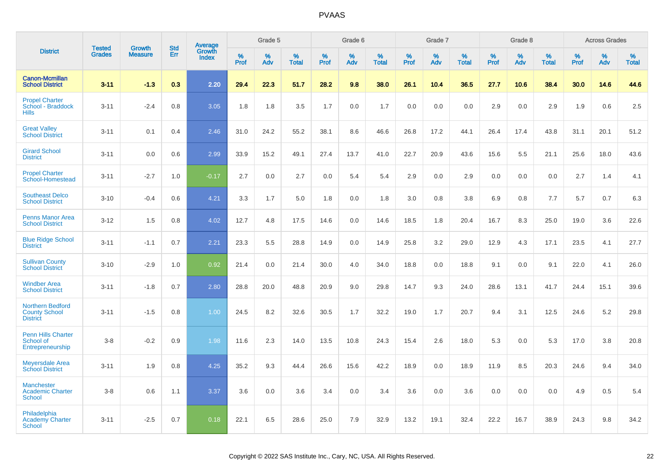|                                                                    |                                |                                 | <b>Std</b> | Average                |                     | Grade 5  |                   |                  | Grade 6  |                   |                  | Grade 7  |                   |           | Grade 8  |                   |                  | <b>Across Grades</b> |                   |
|--------------------------------------------------------------------|--------------------------------|---------------------------------|------------|------------------------|---------------------|----------|-------------------|------------------|----------|-------------------|------------------|----------|-------------------|-----------|----------|-------------------|------------------|----------------------|-------------------|
| <b>District</b>                                                    | <b>Tested</b><br><b>Grades</b> | <b>Growth</b><br><b>Measure</b> | Err        | Growth<br><b>Index</b> | $\%$<br><b>Prof</b> | %<br>Adv | %<br><b>Total</b> | %<br><b>Prof</b> | %<br>Adv | %<br><b>Total</b> | %<br><b>Prof</b> | %<br>Adv | %<br><b>Total</b> | %<br>Prof | %<br>Adv | %<br><b>Total</b> | %<br><b>Prof</b> | %<br>Adv             | %<br><b>Total</b> |
| <b>Canon-Mcmillan</b><br><b>School District</b>                    | $3 - 11$                       | $-1.3$                          | 0.3        | 2.20                   | 29.4                | 22.3     | 51.7              | 28.2             | 9.8      | 38.0              | 26.1             | 10.4     | 36.5              | 27.7      | 10.6     | 38.4              | 30.0             | 14.6                 | 44.6              |
| <b>Propel Charter</b><br>School - Braddock<br><b>Hills</b>         | $3 - 11$                       | $-2.4$                          | 0.8        | 3.05                   | 1.8                 | 1.8      | 3.5               | 1.7              | 0.0      | 1.7               | 0.0              | 0.0      | 0.0               | 2.9       | 0.0      | 2.9               | 1.9              | 0.6                  | 2.5               |
| <b>Great Valley</b><br><b>School District</b>                      | $3 - 11$                       | 0.1                             | 0.4        | 2.46                   | 31.0                | 24.2     | 55.2              | 38.1             | 8.6      | 46.6              | 26.8             | 17.2     | 44.1              | 26.4      | 17.4     | 43.8              | 31.1             | 20.1                 | 51.2              |
| <b>Girard School</b><br><b>District</b>                            | $3 - 11$                       | 0.0                             | 0.6        | 2.99                   | 33.9                | 15.2     | 49.1              | 27.4             | 13.7     | 41.0              | 22.7             | 20.9     | 43.6              | 15.6      | 5.5      | 21.1              | 25.6             | 18.0                 | 43.6              |
| <b>Propel Charter</b><br>School-Homestead                          | $3 - 11$                       | $-2.7$                          | 1.0        | $-0.17$                | 2.7                 | 0.0      | 2.7               | 0.0              | 5.4      | 5.4               | 2.9              | 0.0      | 2.9               | 0.0       | 0.0      | 0.0               | 2.7              | 1.4                  | 4.1               |
| <b>Southeast Delco</b><br><b>School District</b>                   | $3 - 10$                       | $-0.4$                          | 0.6        | 4.21                   | 3.3                 | 1.7      | 5.0               | 1.8              | 0.0      | 1.8               | 3.0              | 0.8      | 3.8               | 6.9       | 0.8      | 7.7               | 5.7              | 0.7                  | 6.3               |
| <b>Penns Manor Area</b><br><b>School District</b>                  | $3 - 12$                       | 1.5                             | 0.8        | 4.02                   | 12.7                | 4.8      | 17.5              | 14.6             | 0.0      | 14.6              | 18.5             | 1.8      | 20.4              | 16.7      | 8.3      | 25.0              | 19.0             | 3.6                  | 22.6              |
| <b>Blue Ridge School</b><br><b>District</b>                        | $3 - 11$                       | $-1.1$                          | 0.7        | 2.21                   | 23.3                | 5.5      | 28.8              | 14.9             | 0.0      | 14.9              | 25.8             | 3.2      | 29.0              | 12.9      | 4.3      | 17.1              | 23.5             | 4.1                  | 27.7              |
| <b>Sullivan County</b><br><b>School District</b>                   | $3 - 10$                       | $-2.9$                          | 1.0        | 0.92                   | 21.4                | 0.0      | 21.4              | 30.0             | 4.0      | 34.0              | 18.8             | 0.0      | 18.8              | 9.1       | 0.0      | 9.1               | 22.0             | 4.1                  | 26.0              |
| <b>Windber Area</b><br><b>School District</b>                      | $3 - 11$                       | $-1.8$                          | 0.7        | 2.80                   | 28.8                | 20.0     | 48.8              | 20.9             | 9.0      | 29.8              | 14.7             | 9.3      | 24.0              | 28.6      | 13.1     | 41.7              | 24.4             | 15.1                 | 39.6              |
| <b>Northern Bedford</b><br><b>County School</b><br><b>District</b> | $3 - 11$                       | $-1.5$                          | 0.8        | 1.00                   | 24.5                | 8.2      | 32.6              | 30.5             | 1.7      | 32.2              | 19.0             | 1.7      | 20.7              | 9.4       | 3.1      | 12.5              | 24.6             | 5.2                  | 29.8              |
| <b>Penn Hills Charter</b><br>School of<br>Entrepreneurship         | $3-8$                          | $-0.2$                          | 0.9        | 1.98                   | 11.6                | 2.3      | 14.0              | 13.5             | 10.8     | 24.3              | 15.4             | 2.6      | 18.0              | 5.3       | 0.0      | 5.3               | 17.0             | 3.8                  | 20.8              |
| <b>Meyersdale Area</b><br><b>School District</b>                   | $3 - 11$                       | 1.9                             | 0.8        | 4.25                   | 35.2                | 9.3      | 44.4              | 26.6             | 15.6     | 42.2              | 18.9             | 0.0      | 18.9              | 11.9      | 8.5      | 20.3              | 24.6             | 9.4                  | 34.0              |
| <b>Manchester</b><br><b>Academic Charter</b><br><b>School</b>      | $3-8$                          | 0.6                             | 1.1        | 3.37                   | 3.6                 | 0.0      | 3.6               | 3.4              | 0.0      | 3.4               | 3.6              | 0.0      | 3.6               | 0.0       | 0.0      | 0.0               | 4.9              | 0.5                  | 5.4               |
| Philadelphia<br><b>Academy Charter</b><br><b>School</b>            | $3 - 11$                       | $-2.5$                          | 0.7        | 0.18                   | 22.1                | 6.5      | 28.6              | 25.0             | 7.9      | 32.9              | 13.2             | 19.1     | 32.4              | 22.2      | 16.7     | 38.9              | 24.3             | 9.8                  | 34.2              |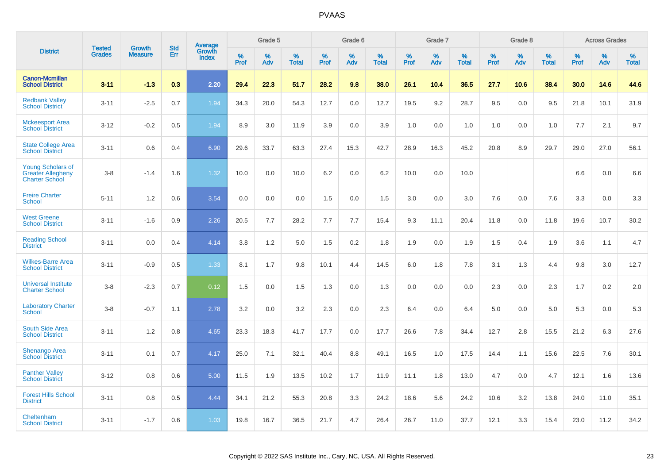|                                                                               | <b>Tested</b> | <b>Growth</b>  | <b>Std</b> | Average<br>Growth |                     | Grade 5  |                      |                     | Grade 6  |                      |              | Grade 7  |                      |                     | Grade 8  |                      |                     | <b>Across Grades</b> |                      |
|-------------------------------------------------------------------------------|---------------|----------------|------------|-------------------|---------------------|----------|----------------------|---------------------|----------|----------------------|--------------|----------|----------------------|---------------------|----------|----------------------|---------------------|----------------------|----------------------|
| <b>District</b>                                                               | <b>Grades</b> | <b>Measure</b> | Err        | <b>Index</b>      | $\%$<br><b>Prof</b> | %<br>Adv | $\%$<br><b>Total</b> | $\%$<br><b>Prof</b> | %<br>Adv | $\%$<br><b>Total</b> | $\%$<br>Prof | %<br>Adv | $\%$<br><b>Total</b> | $\%$<br><b>Prof</b> | %<br>Adv | $\%$<br><b>Total</b> | $\%$<br><b>Prof</b> | $\%$<br>Adv          | $\%$<br><b>Total</b> |
| <b>Canon-Mcmillan</b><br><b>School District</b>                               | $3 - 11$      | $-1.3$         | 0.3        | 2.20              | 29.4                | 22.3     | 51.7                 | 28.2                | 9.8      | 38.0                 | 26.1         | 10.4     | 36.5                 | 27.7                | 10.6     | 38.4                 | 30.0                | 14.6                 | 44.6                 |
| <b>Redbank Valley</b><br><b>School District</b>                               | $3 - 11$      | $-2.5$         | 0.7        | 1.94              | 34.3                | 20.0     | 54.3                 | 12.7                | 0.0      | 12.7                 | 19.5         | 9.2      | 28.7                 | 9.5                 | 0.0      | 9.5                  | 21.8                | 10.1                 | 31.9                 |
| <b>Mckeesport Area</b><br><b>School District</b>                              | $3 - 12$      | $-0.2$         | 0.5        | 1.94              | 8.9                 | 3.0      | 11.9                 | 3.9                 | 0.0      | 3.9                  | 1.0          | 0.0      | 1.0                  | 1.0                 | 0.0      | 1.0                  | 7.7                 | 2.1                  | 9.7                  |
| <b>State College Area</b><br><b>School District</b>                           | $3 - 11$      | 0.6            | 0.4        | 6.90              | 29.6                | 33.7     | 63.3                 | 27.4                | 15.3     | 42.7                 | 28.9         | 16.3     | 45.2                 | 20.8                | 8.9      | 29.7                 | 29.0                | 27.0                 | 56.1                 |
| <b>Young Scholars of</b><br><b>Greater Allegheny</b><br><b>Charter School</b> | $3 - 8$       | $-1.4$         | 1.6        | 1.32              | 10.0                | 0.0      | 10.0                 | 6.2                 | 0.0      | 6.2                  | 10.0         | 0.0      | 10.0                 |                     |          |                      | 6.6                 | 0.0                  | 6.6                  |
| <b>Freire Charter</b><br><b>School</b>                                        | $5 - 11$      | 1.2            | 0.6        | 3.54              | 0.0                 | 0.0      | 0.0                  | 1.5                 | 0.0      | 1.5                  | 3.0          | 0.0      | 3.0                  | 7.6                 | 0.0      | 7.6                  | 3.3                 | 0.0                  | 3.3                  |
| <b>West Greene</b><br><b>School District</b>                                  | $3 - 11$      | $-1.6$         | 0.9        | 2.26              | 20.5                | 7.7      | 28.2                 | 7.7                 | 7.7      | 15.4                 | 9.3          | 11.1     | 20.4                 | 11.8                | 0.0      | 11.8                 | 19.6                | 10.7                 | 30.2                 |
| <b>Reading School</b><br><b>District</b>                                      | $3 - 11$      | 0.0            | 0.4        | 4.14              | 3.8                 | 1.2      | 5.0                  | 1.5                 | 0.2      | 1.8                  | 1.9          | 0.0      | 1.9                  | 1.5                 | 0.4      | 1.9                  | 3.6                 | 1.1                  | 4.7                  |
| <b>Wilkes-Barre Area</b><br><b>School District</b>                            | $3 - 11$      | $-0.9$         | 0.5        | 1.33              | 8.1                 | 1.7      | 9.8                  | 10.1                | 4.4      | 14.5                 | 6.0          | 1.8      | 7.8                  | 3.1                 | 1.3      | 4.4                  | 9.8                 | 3.0                  | 12.7                 |
| <b>Universal Institute</b><br><b>Charter School</b>                           | $3 - 8$       | $-2.3$         | 0.7        | 0.12              | 1.5                 | 0.0      | 1.5                  | 1.3                 | 0.0      | 1.3                  | 0.0          | 0.0      | 0.0                  | 2.3                 | 0.0      | 2.3                  | 1.7                 | 0.2                  | 2.0                  |
| <b>Laboratory Charter</b><br><b>School</b>                                    | $3 - 8$       | $-0.7$         | 1.1        | 2.78              | 3.2                 | 0.0      | 3.2                  | 2.3                 | 0.0      | 2.3                  | 6.4          | 0.0      | 6.4                  | 5.0                 | 0.0      | 5.0                  | 5.3                 | 0.0                  | 5.3                  |
| South Side Area<br><b>School District</b>                                     | $3 - 11$      | 1.2            | 0.8        | 4.65              | 23.3                | 18.3     | 41.7                 | 17.7                | 0.0      | 17.7                 | 26.6         | 7.8      | 34.4                 | 12.7                | 2.8      | 15.5                 | 21.2                | 6.3                  | 27.6                 |
| <b>Shenango Area</b><br><b>School District</b>                                | $3 - 11$      | 0.1            | 0.7        | 4.17              | 25.0                | 7.1      | 32.1                 | 40.4                | 8.8      | 49.1                 | 16.5         | 1.0      | 17.5                 | 14.4                | 1.1      | 15.6                 | 22.5                | 7.6                  | 30.1                 |
| <b>Panther Valley</b><br><b>School District</b>                               | $3 - 12$      | 0.8            | 0.6        | 5.00              | 11.5                | 1.9      | 13.5                 | 10.2                | 1.7      | 11.9                 | 11.1         | 1.8      | 13.0                 | 4.7                 | 0.0      | 4.7                  | 12.1                | 1.6                  | 13.6                 |
| <b>Forest Hills School</b><br><b>District</b>                                 | $3 - 11$      | 0.8            | 0.5        | 4.44              | 34.1                | 21.2     | 55.3                 | 20.8                | 3.3      | 24.2                 | 18.6         | 5.6      | 24.2                 | 10.6                | 3.2      | 13.8                 | 24.0                | 11.0                 | 35.1                 |
| Cheltenham<br><b>School District</b>                                          | $3 - 11$      | $-1.7$         | 0.6        | 1.03              | 19.8                | 16.7     | 36.5                 | 21.7                | 4.7      | 26.4                 | 26.7         | 11.0     | 37.7                 | 12.1                | 3.3      | 15.4                 | 23.0                | 11.2                 | 34.2                 |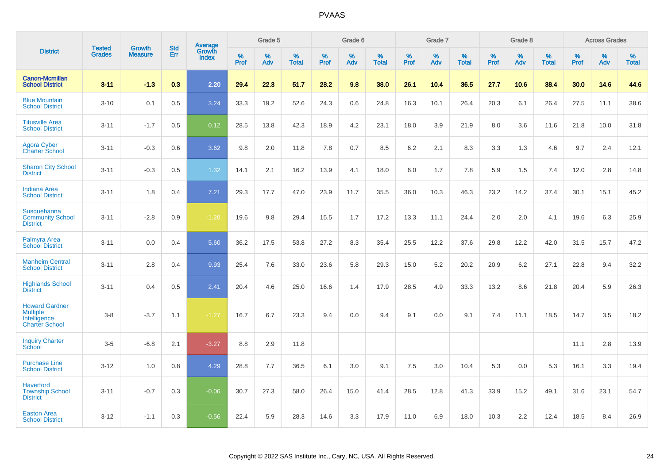|                                                                                   | <b>Tested</b> | <b>Growth</b>  | <b>Std</b> | Average         |              | Grade 5  |                   |              | Grade 6  |                   |           | Grade 7  |                   |                     | Grade 8  |                   |                     | <b>Across Grades</b> |                   |
|-----------------------------------------------------------------------------------|---------------|----------------|------------|-----------------|--------------|----------|-------------------|--------------|----------|-------------------|-----------|----------|-------------------|---------------------|----------|-------------------|---------------------|----------------------|-------------------|
| <b>District</b>                                                                   | <b>Grades</b> | <b>Measure</b> | Err        | Growth<br>Index | $\%$<br>Prof | %<br>Adv | %<br><b>Total</b> | $\%$<br>Prof | %<br>Adv | %<br><b>Total</b> | %<br>Prof | %<br>Adv | %<br><b>Total</b> | $\%$<br><b>Prof</b> | %<br>Adv | %<br><b>Total</b> | $\%$<br><b>Prof</b> | $\%$<br>Adv          | %<br><b>Total</b> |
| <b>Canon-Mcmillan</b><br><b>School District</b>                                   | $3 - 11$      | $-1.3$         | 0.3        | 2.20            | 29.4         | 22.3     | 51.7              | 28.2         | 9.8      | 38.0              | 26.1      | 10.4     | 36.5              | 27.7                | 10.6     | 38.4              | 30.0                | 14.6                 | 44.6              |
| <b>Blue Mountain</b><br><b>School District</b>                                    | $3 - 10$      | 0.1            | 0.5        | 3.24            | 33.3         | 19.2     | 52.6              | 24.3         | 0.6      | 24.8              | 16.3      | 10.1     | 26.4              | 20.3                | 6.1      | 26.4              | 27.5                | 11.1                 | 38.6              |
| <b>Titusville Area</b><br><b>School District</b>                                  | $3 - 11$      | $-1.7$         | 0.5        | 0.12            | 28.5         | 13.8     | 42.3              | 18.9         | 4.2      | 23.1              | 18.0      | 3.9      | 21.9              | 8.0                 | 3.6      | 11.6              | 21.8                | 10.0                 | 31.8              |
| <b>Agora Cyber</b><br><b>Charter School</b>                                       | $3 - 11$      | $-0.3$         | 0.6        | 3.62            | 9.8          | 2.0      | 11.8              | 7.8          | 0.7      | 8.5               | 6.2       | 2.1      | 8.3               | 3.3                 | 1.3      | 4.6               | 9.7                 | 2.4                  | 12.1              |
| <b>Sharon City School</b><br><b>District</b>                                      | $3 - 11$      | $-0.3$         | 0.5        | 1.32            | 14.1         | 2.1      | 16.2              | 13.9         | 4.1      | 18.0              | 6.0       | 1.7      | 7.8               | 5.9                 | 1.5      | 7.4               | 12.0                | 2.8                  | 14.8              |
| <b>Indiana Area</b><br><b>School District</b>                                     | $3 - 11$      | 1.8            | 0.4        | 7.21            | 29.3         | 17.7     | 47.0              | 23.9         | 11.7     | 35.5              | 36.0      | 10.3     | 46.3              | 23.2                | 14.2     | 37.4              | 30.1                | 15.1                 | 45.2              |
| Susquehanna<br><b>Community School</b><br><b>District</b>                         | $3 - 11$      | $-2.8$         | 0.9        | $-1.20$         | 19.6         | 9.8      | 29.4              | 15.5         | 1.7      | 17.2              | 13.3      | 11.1     | 24.4              | 2.0                 | 2.0      | 4.1               | 19.6                | 6.3                  | 25.9              |
| Palmyra Area<br><b>School District</b>                                            | $3 - 11$      | 0.0            | 0.4        | 5.60            | 36.2         | 17.5     | 53.8              | 27.2         | 8.3      | 35.4              | 25.5      | 12.2     | 37.6              | 29.8                | 12.2     | 42.0              | 31.5                | 15.7                 | 47.2              |
| <b>Manheim Central</b><br><b>School District</b>                                  | $3 - 11$      | 2.8            | 0.4        | 9.93            | 25.4         | 7.6      | 33.0              | 23.6         | 5.8      | 29.3              | 15.0      | 5.2      | 20.2              | 20.9                | 6.2      | 27.1              | 22.8                | 9.4                  | 32.2              |
| <b>Highlands School</b><br><b>District</b>                                        | $3 - 11$      | 0.4            | 0.5        | 2.41            | 20.4         | 4.6      | 25.0              | 16.6         | 1.4      | 17.9              | 28.5      | 4.9      | 33.3              | 13.2                | 8.6      | 21.8              | 20.4                | 5.9                  | 26.3              |
| <b>Howard Gardner</b><br><b>Multiple</b><br>Intelligence<br><b>Charter School</b> | $3-8$         | $-3.7$         | 1.1        | $-1.27$         | 16.7         | 6.7      | 23.3              | 9.4          | 0.0      | 9.4               | 9.1       | 0.0      | 9.1               | 7.4                 | 11.1     | 18.5              | 14.7                | 3.5                  | 18.2              |
| <b>Inquiry Charter</b><br>School                                                  | $3 - 5$       | $-6.8$         | 2.1        | $-3.27$         | 8.8          | 2.9      | 11.8              |              |          |                   |           |          |                   |                     |          |                   | 11.1                | 2.8                  | 13.9              |
| <b>Purchase Line</b><br><b>School District</b>                                    | $3 - 12$      | 1.0            | 0.8        | 4.29            | 28.8         | 7.7      | 36.5              | 6.1          | 3.0      | 9.1               | 7.5       | 3.0      | 10.4              | 5.3                 | 0.0      | 5.3               | 16.1                | 3.3                  | 19.4              |
| <b>Haverford</b><br><b>Township School</b><br><b>District</b>                     | $3 - 11$      | $-0.7$         | 0.3        | $-0.06$         | 30.7         | 27.3     | 58.0              | 26.4         | 15.0     | 41.4              | 28.5      | 12.8     | 41.3              | 33.9                | 15.2     | 49.1              | 31.6                | 23.1                 | 54.7              |
| <b>Easton Area</b><br><b>School District</b>                                      | $3 - 12$      | $-1.1$         | 0.3        | $-0.56$         | 22.4         | 5.9      | 28.3              | 14.6         | 3.3      | 17.9              | 11.0      | 6.9      | 18.0              | 10.3                | 2.2      | 12.4              | 18.5                | 8.4                  | 26.9              |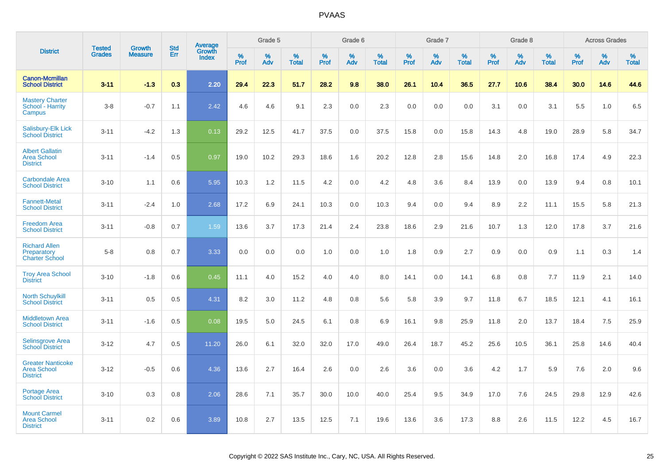|                                                                   |                                |                                 |                   | Average                |                     | Grade 5     |                   |                  | Grade 6  |                   |                  | Grade 7  |                   |           | Grade 8  |                   |              | <b>Across Grades</b> |                   |
|-------------------------------------------------------------------|--------------------------------|---------------------------------|-------------------|------------------------|---------------------|-------------|-------------------|------------------|----------|-------------------|------------------|----------|-------------------|-----------|----------|-------------------|--------------|----------------------|-------------------|
| <b>District</b>                                                   | <b>Tested</b><br><b>Grades</b> | <b>Growth</b><br><b>Measure</b> | <b>Std</b><br>Err | Growth<br><b>Index</b> | $\%$<br><b>Prof</b> | $\%$<br>Adv | %<br><b>Total</b> | %<br><b>Prof</b> | %<br>Adv | %<br><b>Total</b> | %<br><b>Prof</b> | %<br>Adv | %<br><b>Total</b> | %<br>Prof | %<br>Adv | %<br><b>Total</b> | $\%$<br>Prof | %<br>Adv             | %<br><b>Total</b> |
| <b>Canon-Mcmillan</b><br><b>School District</b>                   | $3 - 11$                       | $-1.3$                          | 0.3               | 2.20                   | 29.4                | 22.3        | 51.7              | 28.2             | 9.8      | 38.0              | 26.1             | 10.4     | 36.5              | 27.7      | 10.6     | 38.4              | 30.0         | 14.6                 | 44.6              |
| <b>Mastery Charter</b><br>School - Harrity<br>Campus              | $3-8$                          | $-0.7$                          | 1.1               | 2.42                   | 4.6                 | 4.6         | 9.1               | 2.3              | 0.0      | 2.3               | 0.0              | 0.0      | 0.0               | 3.1       | 0.0      | 3.1               | 5.5          | 1.0                  | 6.5               |
| Salisbury-Elk Lick<br><b>School District</b>                      | $3 - 11$                       | $-4.2$                          | 1.3               | 0.13                   | 29.2                | 12.5        | 41.7              | 37.5             | 0.0      | 37.5              | 15.8             | 0.0      | 15.8              | 14.3      | 4.8      | 19.0              | 28.9         | 5.8                  | 34.7              |
| <b>Albert Gallatin</b><br><b>Area School</b><br><b>District</b>   | $3 - 11$                       | $-1.4$                          | 0.5               | 0.97                   | 19.0                | 10.2        | 29.3              | 18.6             | 1.6      | 20.2              | 12.8             | 2.8      | 15.6              | 14.8      | 2.0      | 16.8              | 17.4         | 4.9                  | 22.3              |
| <b>Carbondale Area</b><br><b>School District</b>                  | $3 - 10$                       | 1.1                             | 0.6               | 5.95                   | 10.3                | 1.2         | 11.5              | 4.2              | 0.0      | 4.2               | 4.8              | 3.6      | 8.4               | 13.9      | 0.0      | 13.9              | 9.4          | 0.8                  | 10.1              |
| <b>Fannett-Metal</b><br><b>School District</b>                    | $3 - 11$                       | $-2.4$                          | 1.0               | 2.68                   | 17.2                | 6.9         | 24.1              | 10.3             | 0.0      | 10.3              | 9.4              | 0.0      | 9.4               | 8.9       | 2.2      | 11.1              | 15.5         | 5.8                  | 21.3              |
| <b>Freedom Area</b><br><b>School District</b>                     | $3 - 11$                       | $-0.8$                          | 0.7               | 1.59                   | 13.6                | 3.7         | 17.3              | 21.4             | 2.4      | 23.8              | 18.6             | 2.9      | 21.6              | 10.7      | 1.3      | 12.0              | 17.8         | 3.7                  | 21.6              |
| <b>Richard Allen</b><br>Preparatory<br><b>Charter School</b>      | $5-8$                          | 0.8                             | 0.7               | 3.33                   | 0.0                 | 0.0         | 0.0               | 1.0              | 0.0      | 1.0               | 1.8              | 0.9      | 2.7               | 0.9       | 0.0      | 0.9               | 1.1          | 0.3                  | 1.4               |
| <b>Troy Area School</b><br><b>District</b>                        | $3 - 10$                       | $-1.8$                          | 0.6               | 0.45                   | 11.1                | 4.0         | 15.2              | 4.0              | 4.0      | 8.0               | 14.1             | 0.0      | 14.1              | 6.8       | 0.8      | 7.7               | 11.9         | 2.1                  | 14.0              |
| <b>North Schuylkill</b><br><b>School District</b>                 | $3 - 11$                       | 0.5                             | 0.5               | 4.31                   | 8.2                 | 3.0         | 11.2              | 4.8              | 0.8      | 5.6               | 5.8              | 3.9      | 9.7               | 11.8      | 6.7      | 18.5              | 12.1         | 4.1                  | 16.1              |
| <b>Middletown Area</b><br><b>School District</b>                  | $3 - 11$                       | $-1.6$                          | 0.5               | 0.08                   | 19.5                | 5.0         | 24.5              | 6.1              | 0.8      | 6.9               | 16.1             | 9.8      | 25.9              | 11.8      | 2.0      | 13.7              | 18.4         | 7.5                  | 25.9              |
| <b>Selinsgrove Area</b><br><b>School District</b>                 | $3 - 12$                       | 4.7                             | 0.5               | 11.20                  | 26.0                | 6.1         | 32.0              | 32.0             | 17.0     | 49.0              | 26.4             | 18.7     | 45.2              | 25.6      | 10.5     | 36.1              | 25.8         | 14.6                 | 40.4              |
| <b>Greater Nanticoke</b><br><b>Area School</b><br><b>District</b> | $3 - 12$                       | $-0.5$                          | 0.6               | 4.36                   | 13.6                | 2.7         | 16.4              | 2.6              | 0.0      | 2.6               | 3.6              | 0.0      | 3.6               | 4.2       | 1.7      | 5.9               | 7.6          | 2.0                  | 9.6               |
| Portage Area<br><b>School District</b>                            | $3 - 10$                       | 0.3                             | 0.8               | 2.06                   | 28.6                | 7.1         | 35.7              | 30.0             | 10.0     | 40.0              | 25.4             | 9.5      | 34.9              | 17.0      | 7.6      | 24.5              | 29.8         | 12.9                 | 42.6              |
| <b>Mount Carmel</b><br><b>Area School</b><br><b>District</b>      | $3 - 11$                       | 0.2                             | 0.6               | 3.89                   | 10.8                | 2.7         | 13.5              | 12.5             | 7.1      | 19.6              | 13.6             | 3.6      | 17.3              | 8.8       | 2.6      | 11.5              | 12.2         | 4.5                  | 16.7              |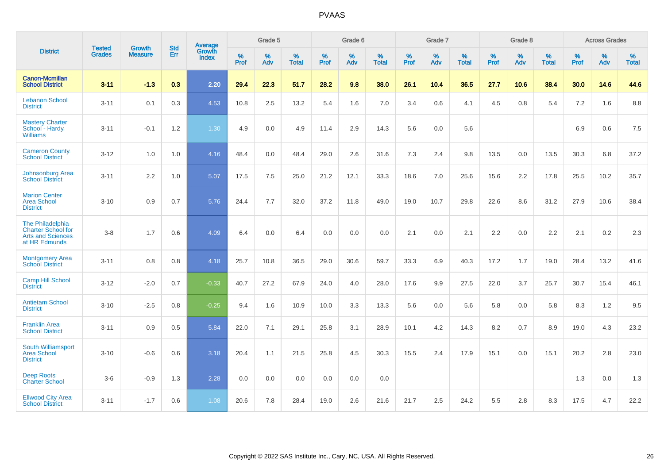|                                                                                            | <b>Tested</b> | <b>Growth</b>  | <b>Std</b> | Average                |                     | Grade 5  |                   |                     | Grade 6  |                   |              | Grade 7  |                   |                     | Grade 8  |                   |                     | <b>Across Grades</b> |                   |
|--------------------------------------------------------------------------------------------|---------------|----------------|------------|------------------------|---------------------|----------|-------------------|---------------------|----------|-------------------|--------------|----------|-------------------|---------------------|----------|-------------------|---------------------|----------------------|-------------------|
| <b>District</b>                                                                            | <b>Grades</b> | <b>Measure</b> | <b>Err</b> | Growth<br><b>Index</b> | $\%$<br><b>Prof</b> | %<br>Adv | %<br><b>Total</b> | $\%$<br><b>Prof</b> | %<br>Adv | %<br><b>Total</b> | $\%$<br>Prof | %<br>Adv | %<br><b>Total</b> | $\%$<br><b>Prof</b> | %<br>Adv | %<br><b>Total</b> | $\%$<br><b>Prof</b> | %<br>Adv             | %<br><b>Total</b> |
| <b>Canon-Mcmillan</b><br><b>School District</b>                                            | $3 - 11$      | $-1.3$         | 0.3        | 2.20                   | 29.4                | 22.3     | 51.7              | 28.2                | 9.8      | 38.0              | 26.1         | 10.4     | 36.5              | 27.7                | 10.6     | 38.4              | 30.0                | 14.6                 | 44.6              |
| <b>Lebanon School</b><br><b>District</b>                                                   | $3 - 11$      | 0.1            | 0.3        | 4.53                   | 10.8                | 2.5      | 13.2              | 5.4                 | 1.6      | 7.0               | 3.4          | 0.6      | 4.1               | 4.5                 | 0.8      | 5.4               | 7.2                 | 1.6                  | 8.8               |
| <b>Mastery Charter</b><br>School - Hardy<br><b>Williams</b>                                | $3 - 11$      | $-0.1$         | 1.2        | 1.30                   | 4.9                 | 0.0      | 4.9               | 11.4                | 2.9      | 14.3              | 5.6          | 0.0      | 5.6               |                     |          |                   | 6.9                 | 0.6                  | 7.5               |
| <b>Cameron County</b><br><b>School District</b>                                            | $3 - 12$      | 1.0            | 1.0        | 4.16                   | 48.4                | 0.0      | 48.4              | 29.0                | 2.6      | 31.6              | 7.3          | 2.4      | 9.8               | 13.5                | 0.0      | 13.5              | 30.3                | 6.8                  | 37.2              |
| Johnsonburg Area<br><b>School District</b>                                                 | $3 - 11$      | 2.2            | 1.0        | 5.07                   | 17.5                | 7.5      | 25.0              | 21.2                | 12.1     | 33.3              | 18.6         | 7.0      | 25.6              | 15.6                | 2.2      | 17.8              | 25.5                | 10.2                 | 35.7              |
| <b>Marion Center</b><br><b>Area School</b><br><b>District</b>                              | $3 - 10$      | 0.9            | 0.7        | 5.76                   | 24.4                | 7.7      | 32.0              | 37.2                | 11.8     | 49.0              | 19.0         | 10.7     | 29.8              | 22.6                | 8.6      | 31.2              | 27.9                | 10.6                 | 38.4              |
| The Philadelphia<br><b>Charter School for</b><br><b>Arts and Sciences</b><br>at HR Edmunds | $3 - 8$       | 1.7            | 0.6        | 4.09                   | 6.4                 | 0.0      | 6.4               | 0.0                 | 0.0      | 0.0               | 2.1          | 0.0      | 2.1               | 2.2                 | 0.0      | 2.2               | 2.1                 | $0.2\,$              | 2.3               |
| <b>Montgomery Area</b><br><b>School District</b>                                           | $3 - 11$      | 0.8            | 0.8        | 4.18                   | 25.7                | 10.8     | 36.5              | 29.0                | 30.6     | 59.7              | 33.3         | 6.9      | 40.3              | 17.2                | 1.7      | 19.0              | 28.4                | 13.2                 | 41.6              |
| <b>Camp Hill School</b><br><b>District</b>                                                 | $3 - 12$      | $-2.0$         | 0.7        | $-0.33$                | 40.7                | 27.2     | 67.9              | 24.0                | 4.0      | 28.0              | 17.6         | 9.9      | 27.5              | 22.0                | 3.7      | 25.7              | 30.7                | 15.4                 | 46.1              |
| <b>Antietam School</b><br><b>District</b>                                                  | $3 - 10$      | $-2.5$         | 0.8        | $-0.25$                | 9.4                 | 1.6      | 10.9              | 10.0                | 3.3      | 13.3              | 5.6          | 0.0      | 5.6               | 5.8                 | 0.0      | 5.8               | 8.3                 | 1.2                  | 9.5               |
| <b>Franklin Area</b><br><b>School District</b>                                             | $3 - 11$      | 0.9            | 0.5        | 5.84                   | 22.0                | 7.1      | 29.1              | 25.8                | 3.1      | 28.9              | 10.1         | 4.2      | 14.3              | 8.2                 | 0.7      | 8.9               | 19.0                | 4.3                  | 23.2              |
| South Williamsport<br><b>Area School</b><br><b>District</b>                                | $3 - 10$      | $-0.6$         | 0.6        | 3.18                   | 20.4                | 1.1      | 21.5              | 25.8                | 4.5      | 30.3              | 15.5         | 2.4      | 17.9              | 15.1                | 0.0      | 15.1              | 20.2                | 2.8                  | 23.0              |
| <b>Deep Roots</b><br><b>Charter School</b>                                                 | $3-6$         | $-0.9$         | 1.3        | 2.28                   | 0.0                 | 0.0      | 0.0               | 0.0                 | 0.0      | 0.0               |              |          |                   |                     |          |                   | 1.3                 | 0.0                  | 1.3               |
| <b>Ellwood City Area</b><br><b>School District</b>                                         | $3 - 11$      | $-1.7$         | 0.6        | 1.08                   | 20.6                | 7.8      | 28.4              | 19.0                | 2.6      | 21.6              | 21.7         | 2.5      | 24.2              | 5.5                 | 2.8      | 8.3               | 17.5                | 4.7                  | 22.2              |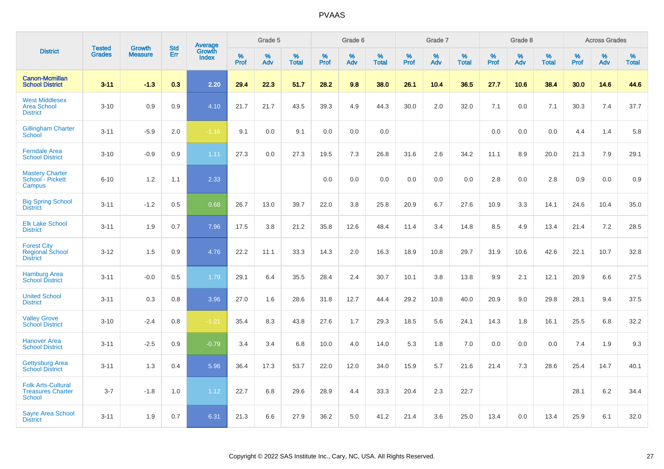|                                                                        |                         |                                 |                   | Average                |                     | Grade 5     |                   |                  | Grade 6     |                   |                  | Grade 7  |                   |                  | Grade 8  |                   |                     | <b>Across Grades</b> |                   |
|------------------------------------------------------------------------|-------------------------|---------------------------------|-------------------|------------------------|---------------------|-------------|-------------------|------------------|-------------|-------------------|------------------|----------|-------------------|------------------|----------|-------------------|---------------------|----------------------|-------------------|
| <b>District</b>                                                        | <b>Tested</b><br>Grades | <b>Growth</b><br><b>Measure</b> | <b>Std</b><br>Err | Growth<br><b>Index</b> | $\%$<br><b>Prof</b> | $\%$<br>Adv | %<br><b>Total</b> | %<br><b>Prof</b> | $\%$<br>Adv | %<br><b>Total</b> | %<br><b>Prof</b> | %<br>Adv | %<br><b>Total</b> | %<br><b>Prof</b> | %<br>Adv | %<br><b>Total</b> | $\%$<br><b>Prof</b> | $\%$<br>Adv          | %<br><b>Total</b> |
| <b>Canon-Mcmillan</b><br><b>School District</b>                        | $3 - 11$                | $-1.3$                          | 0.3               | 2.20                   | 29.4                | 22.3        | 51.7              | 28.2             | 9.8         | 38.0              | 26.1             | 10.4     | 36.5              | 27.7             | 10.6     | 38.4              | 30.0                | 14.6                 | 44.6              |
| <b>West Middlesex</b><br><b>Area School</b><br><b>District</b>         | $3 - 10$                | 0.9                             | 0.9               | 4.10                   | 21.7                | 21.7        | 43.5              | 39.3             | 4.9         | 44.3              | 30.0             | 2.0      | 32.0              | 7.1              | 0.0      | 7.1               | 30.3                | 7.4                  | 37.7              |
| <b>Gillingham Charter</b><br>School                                    | $3 - 11$                | $-5.9$                          | 2.0               | $-1.16$                | 9.1                 | 0.0         | 9.1               | 0.0              | 0.0         | 0.0               |                  |          |                   | 0.0              | 0.0      | 0.0               | 4.4                 | 1.4                  | 5.8               |
| <b>Ferndale Area</b><br><b>School District</b>                         | $3 - 10$                | $-0.9$                          | 0.9               | 1.11                   | 27.3                | 0.0         | 27.3              | 19.5             | 7.3         | 26.8              | 31.6             | 2.6      | 34.2              | 11.1             | 8.9      | 20.0              | 21.3                | 7.9                  | 29.1              |
| <b>Mastery Charter</b><br>School - Pickett<br>Campus                   | $6 - 10$                | 1.2                             | 1.1               | 2.33                   |                     |             |                   | 0.0              | 0.0         | 0.0               | 0.0              | 0.0      | 0.0               | 2.8              | 0.0      | 2.8               | 0.9                 | 0.0                  | 0.9               |
| <b>Big Spring School</b><br><b>District</b>                            | $3 - 11$                | $-1.2$                          | 0.5               | 0.68                   | 26.7                | 13.0        | 39.7              | 22.0             | 3.8         | 25.8              | 20.9             | 6.7      | 27.6              | 10.9             | 3.3      | 14.1              | 24.6                | 10.4                 | 35.0              |
| <b>Elk Lake School</b><br><b>District</b>                              | $3 - 11$                | 1.9                             | 0.7               | 7.96                   | 17.5                | 3.8         | 21.2              | 35.8             | 12.6        | 48.4              | 11.4             | 3.4      | 14.8              | 8.5              | 4.9      | 13.4              | 21.4                | 7.2                  | 28.5              |
| <b>Forest City</b><br><b>Regional School</b><br><b>District</b>        | $3 - 12$                | 1.5                             | 0.9               | 4.76                   | 22.2                | 11.1        | 33.3              | 14.3             | 2.0         | 16.3              | 18.9             | 10.8     | 29.7              | 31.9             | 10.6     | 42.6              | 22.1                | 10.7                 | 32.8              |
| <b>Hamburg Area</b><br><b>School District</b>                          | $3 - 11$                | $-0.0$                          | 0.5               | 1.79                   | 29.1                | 6.4         | 35.5              | 28.4             | 2.4         | 30.7              | 10.1             | 3.8      | 13.8              | 9.9              | 2.1      | 12.1              | 20.9                | 6.6                  | 27.5              |
| <b>United School</b><br><b>District</b>                                | $3 - 11$                | 0.3                             | 0.8               | 3.96                   | 27.0                | 1.6         | 28.6              | 31.8             | 12.7        | 44.4              | 29.2             | 10.8     | 40.0              | 20.9             | 9.0      | 29.8              | 28.1                | 9.4                  | 37.5              |
| <b>Valley Grove</b><br><b>School District</b>                          | $3 - 10$                | $-2.4$                          | 0.8               | $-1.21$                | 35.4                | 8.3         | 43.8              | 27.6             | 1.7         | 29.3              | 18.5             | 5.6      | 24.1              | 14.3             | 1.8      | 16.1              | 25.5                | 6.8                  | 32.2              |
| <b>Hanover Area</b><br><b>School District</b>                          | $3 - 11$                | $-2.5$                          | 0.9               | $-0.79$                | 3.4                 | 3.4         | 6.8               | 10.0             | 4.0         | 14.0              | 5.3              | 1.8      | 7.0               | 0.0              | 0.0      | 0.0               | 7.4                 | 1.9                  | 9.3               |
| <b>Gettysburg Area</b><br><b>School District</b>                       | $3 - 11$                | 1.3                             | 0.4               | 5.96                   | 36.4                | 17.3        | 53.7              | 22.0             | 12.0        | 34.0              | 15.9             | 5.7      | 21.6              | 21.4             | 7.3      | 28.6              | 25.4                | 14.7                 | 40.1              |
| <b>Folk Arts-Cultural</b><br><b>Treasures Charter</b><br><b>School</b> | $3 - 7$                 | $-1.8$                          | 1.0               | 1.12                   | 22.7                | 6.8         | 29.6              | 28.9             | 4.4         | 33.3              | 20.4             | 2.3      | 22.7              |                  |          |                   | 28.1                | 6.2                  | 34.4              |
| <b>Sayre Area School</b><br><b>District</b>                            | $3 - 11$                | 1.9                             | 0.7               | 6.31                   | 21.3                | 6.6         | 27.9              | 36.2             | 5.0         | 41.2              | 21.4             | 3.6      | 25.0              | 13.4             | 0.0      | 13.4              | 25.9                | 6.1                  | 32.0              |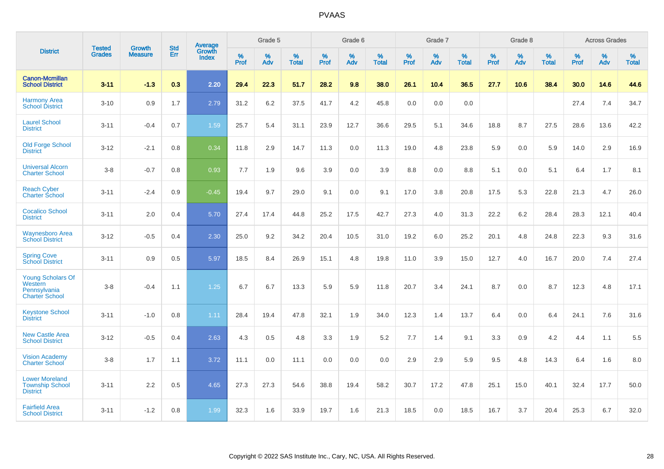|                                                                       |                                |                                 | <b>Std</b> | Average         |           | Grade 5  |                   |           | Grade 6  |                   |           | Grade 7  |                   |           | Grade 8  |                   |           | <b>Across Grades</b> |                   |
|-----------------------------------------------------------------------|--------------------------------|---------------------------------|------------|-----------------|-----------|----------|-------------------|-----------|----------|-------------------|-----------|----------|-------------------|-----------|----------|-------------------|-----------|----------------------|-------------------|
| <b>District</b>                                                       | <b>Tested</b><br><b>Grades</b> | <b>Growth</b><br><b>Measure</b> | Err        | Growth<br>Index | %<br>Prof | %<br>Adv | %<br><b>Total</b> | %<br>Prof | %<br>Adv | %<br><b>Total</b> | %<br>Prof | %<br>Adv | %<br><b>Total</b> | %<br>Prof | %<br>Adv | %<br><b>Total</b> | %<br>Prof | %<br>Adv             | %<br><b>Total</b> |
| <b>Canon-Mcmillan</b><br><b>School District</b>                       | $3 - 11$                       | $-1.3$                          | 0.3        | 2.20            | 29.4      | 22.3     | 51.7              | 28.2      | 9.8      | 38.0              | 26.1      | 10.4     | 36.5              | 27.7      | 10.6     | 38.4              | 30.0      | 14.6                 | 44.6              |
| <b>Harmony Area</b><br><b>School District</b>                         | $3 - 10$                       | 0.9                             | 1.7        | 2.79            | 31.2      | 6.2      | 37.5              | 41.7      | 4.2      | 45.8              | 0.0       | 0.0      | 0.0               |           |          |                   | 27.4      | 7.4                  | 34.7              |
| <b>Laurel School</b><br><b>District</b>                               | $3 - 11$                       | $-0.4$                          | 0.7        | 1.59            | 25.7      | 5.4      | 31.1              | 23.9      | 12.7     | 36.6              | 29.5      | 5.1      | 34.6              | 18.8      | 8.7      | 27.5              | 28.6      | 13.6                 | 42.2              |
| <b>Old Forge School</b><br><b>District</b>                            | $3 - 12$                       | $-2.1$                          | 0.8        | 0.34            | 11.8      | 2.9      | 14.7              | 11.3      | 0.0      | 11.3              | 19.0      | 4.8      | 23.8              | 5.9       | 0.0      | 5.9               | 14.0      | 2.9                  | 16.9              |
| <b>Universal Alcorn</b><br><b>Charter School</b>                      | $3 - 8$                        | $-0.7$                          | 0.8        | 0.93            | 7.7       | 1.9      | 9.6               | 3.9       | 0.0      | 3.9               | 8.8       | 0.0      | 8.8               | 5.1       | 0.0      | 5.1               | 6.4       | 1.7                  | 8.1               |
| <b>Reach Cyber</b><br><b>Charter School</b>                           | $3 - 11$                       | $-2.4$                          | 0.9        | $-0.45$         | 19.4      | 9.7      | 29.0              | 9.1       | 0.0      | 9.1               | 17.0      | 3.8      | 20.8              | 17.5      | 5.3      | 22.8              | 21.3      | 4.7                  | 26.0              |
| <b>Cocalico School</b><br><b>District</b>                             | $3 - 11$                       | 2.0                             | 0.4        | 5.70            | 27.4      | 17.4     | 44.8              | 25.2      | 17.5     | 42.7              | 27.3      | 4.0      | 31.3              | 22.2      | $6.2\,$  | 28.4              | 28.3      | 12.1                 | 40.4              |
| <b>Waynesboro Area</b><br><b>School District</b>                      | $3 - 12$                       | $-0.5$                          | 0.4        | 2.30            | 25.0      | 9.2      | 34.2              | 20.4      | 10.5     | 31.0              | 19.2      | 6.0      | 25.2              | 20.1      | 4.8      | 24.8              | 22.3      | 9.3                  | 31.6              |
| <b>Spring Cove</b><br><b>School District</b>                          | $3 - 11$                       | 0.9                             | 0.5        | 5.97            | 18.5      | 8.4      | 26.9              | 15.1      | 4.8      | 19.8              | 11.0      | 3.9      | 15.0              | 12.7      | 4.0      | 16.7              | 20.0      | 7.4                  | 27.4              |
| Young Scholars Of<br>Western<br>Pennsylvania<br><b>Charter School</b> | $3 - 8$                        | $-0.4$                          | 1.1        | 1.25            | 6.7       | 6.7      | 13.3              | 5.9       | 5.9      | 11.8              | 20.7      | 3.4      | 24.1              | 8.7       | 0.0      | 8.7               | 12.3      | 4.8                  | 17.1              |
| <b>Keystone School</b><br><b>District</b>                             | $3 - 11$                       | $-1.0$                          | 0.8        | 1.11            | 28.4      | 19.4     | 47.8              | 32.1      | 1.9      | 34.0              | 12.3      | 1.4      | 13.7              | 6.4       | 0.0      | 6.4               | 24.1      | 7.6                  | 31.6              |
| <b>New Castle Area</b><br><b>School District</b>                      | $3 - 12$                       | $-0.5$                          | 0.4        | 2.63            | 4.3       | 0.5      | 4.8               | 3.3       | 1.9      | 5.2               | 7.7       | 1.4      | 9.1               | 3.3       | 0.9      | 4.2               | 4.4       | 1.1                  | 5.5               |
| <b>Vision Academy</b><br><b>Charter School</b>                        | $3 - 8$                        | 1.7                             | 1.1        | 3.72            | 11.1      | 0.0      | 11.1              | 0.0       | 0.0      | 0.0               | 2.9       | 2.9      | 5.9               | 9.5       | 4.8      | 14.3              | 6.4       | 1.6                  | 8.0               |
| <b>Lower Moreland</b><br><b>Township School</b><br><b>District</b>    | $3 - 11$                       | 2.2                             | 0.5        | 4.65            | 27.3      | 27.3     | 54.6              | 38.8      | 19.4     | 58.2              | 30.7      | 17.2     | 47.8              | 25.1      | 15.0     | 40.1              | 32.4      | 17.7                 | 50.0              |
| <b>Fairfield Area</b><br><b>School District</b>                       | $3 - 11$                       | $-1.2$                          | 0.8        | 1.99            | 32.3      | 1.6      | 33.9              | 19.7      | 1.6      | 21.3              | 18.5      | 0.0      | 18.5              | 16.7      | 3.7      | 20.4              | 25.3      | 6.7                  | 32.0              |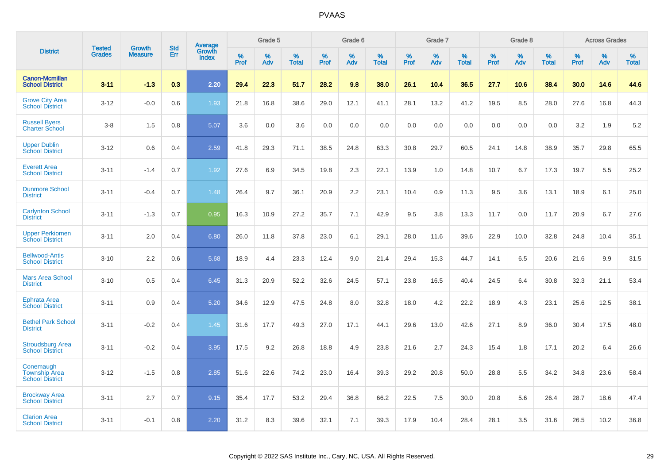|                                                             |                                |                          | <b>Std</b> |                                          |                     | Grade 5  |                      |              | Grade 6     |                      |              | Grade 7  |                      |              | Grade 8     |                      |              | <b>Across Grades</b> |                      |
|-------------------------------------------------------------|--------------------------------|--------------------------|------------|------------------------------------------|---------------------|----------|----------------------|--------------|-------------|----------------------|--------------|----------|----------------------|--------------|-------------|----------------------|--------------|----------------------|----------------------|
| <b>District</b>                                             | <b>Tested</b><br><b>Grades</b> | Growth<br><b>Measure</b> | Err        | <b>Average</b><br>Growth<br><b>Index</b> | $\%$<br><b>Prof</b> | %<br>Adv | $\%$<br><b>Total</b> | $\%$<br>Prof | $\%$<br>Adv | $\%$<br><b>Total</b> | $\%$<br>Prof | %<br>Adv | $\%$<br><b>Total</b> | $\%$<br>Prof | $\%$<br>Adv | $\%$<br><b>Total</b> | $\%$<br>Prof | $\%$<br>Adv          | $\%$<br><b>Total</b> |
| <b>Canon-Mcmillan</b><br><b>School District</b>             | $3 - 11$                       | $-1.3$                   | 0.3        | 2.20                                     | 29.4                | 22.3     | 51.7                 | 28.2         | 9.8         | 38.0                 | 26.1         | 10.4     | 36.5                 | 27.7         | 10.6        | 38.4                 | 30.0         | 14.6                 | 44.6                 |
| <b>Grove City Area</b><br><b>School District</b>            | $3 - 12$                       | $-0.0$                   | 0.6        | 1.93                                     | 21.8                | 16.8     | 38.6                 | 29.0         | 12.1        | 41.1                 | 28.1         | 13.2     | 41.2                 | 19.5         | 8.5         | 28.0                 | 27.6         | 16.8                 | 44.3                 |
| <b>Russell Byers</b><br><b>Charter School</b>               | $3 - 8$                        | 1.5                      | 0.8        | 5.07                                     | 3.6                 | 0.0      | 3.6                  | 0.0          | 0.0         | 0.0                  | 0.0          | 0.0      | 0.0                  | 0.0          | 0.0         | 0.0                  | 3.2          | 1.9                  | 5.2                  |
| <b>Upper Dublin</b><br><b>School District</b>               | $3 - 12$                       | 0.6                      | 0.4        | 2.59                                     | 41.8                | 29.3     | 71.1                 | 38.5         | 24.8        | 63.3                 | 30.8         | 29.7     | 60.5                 | 24.1         | 14.8        | 38.9                 | 35.7         | 29.8                 | 65.5                 |
| <b>Everett Area</b><br><b>School District</b>               | $3 - 11$                       | $-1.4$                   | 0.7        | 1.92                                     | 27.6                | 6.9      | 34.5                 | 19.8         | 2.3         | 22.1                 | 13.9         | 1.0      | 14.8                 | 10.7         | 6.7         | 17.3                 | 19.7         | 5.5                  | 25.2                 |
| <b>Dunmore School</b><br><b>District</b>                    | $3 - 11$                       | $-0.4$                   | 0.7        | 1.48                                     | 26.4                | 9.7      | 36.1                 | 20.9         | 2.2         | 23.1                 | 10.4         | 0.9      | 11.3                 | 9.5          | 3.6         | 13.1                 | 18.9         | 6.1                  | 25.0                 |
| <b>Carlynton School</b><br><b>District</b>                  | $3 - 11$                       | $-1.3$                   | 0.7        | 0.95                                     | 16.3                | 10.9     | 27.2                 | 35.7         | 7.1         | 42.9                 | 9.5          | 3.8      | 13.3                 | 11.7         | 0.0         | 11.7                 | 20.9         | 6.7                  | 27.6                 |
| <b>Upper Perkiomen</b><br><b>School District</b>            | $3 - 11$                       | 2.0                      | 0.4        | 6.80                                     | 26.0                | 11.8     | 37.8                 | 23.0         | 6.1         | 29.1                 | 28.0         | 11.6     | 39.6                 | 22.9         | 10.0        | 32.8                 | 24.8         | 10.4                 | 35.1                 |
| <b>Bellwood-Antis</b><br><b>School District</b>             | $3 - 10$                       | 2.2                      | 0.6        | 5.68                                     | 18.9                | 4.4      | 23.3                 | 12.4         | 9.0         | 21.4                 | 29.4         | 15.3     | 44.7                 | 14.1         | 6.5         | 20.6                 | 21.6         | 9.9                  | 31.5                 |
| <b>Mars Area School</b><br><b>District</b>                  | $3 - 10$                       | 0.5                      | 0.4        | 6.45                                     | 31.3                | 20.9     | 52.2                 | 32.6         | 24.5        | 57.1                 | 23.8         | 16.5     | 40.4                 | 24.5         | 6.4         | 30.8                 | 32.3         | 21.1                 | 53.4                 |
| <b>Ephrata Area</b><br><b>School District</b>               | $3 - 11$                       | 0.9                      | 0.4        | 5.20                                     | 34.6                | 12.9     | 47.5                 | 24.8         | 8.0         | 32.8                 | 18.0         | 4.2      | 22.2                 | 18.9         | 4.3         | 23.1                 | 25.6         | 12.5                 | 38.1                 |
| <b>Bethel Park School</b><br><b>District</b>                | $3 - 11$                       | $-0.2$                   | 0.4        | 1.45                                     | 31.6                | 17.7     | 49.3                 | 27.0         | 17.1        | 44.1                 | 29.6         | 13.0     | 42.6                 | 27.1         | 8.9         | 36.0                 | 30.4         | 17.5                 | 48.0                 |
| <b>Stroudsburg Area</b><br><b>School District</b>           | $3 - 11$                       | $-0.2$                   | 0.4        | 3.95                                     | 17.5                | 9.2      | 26.8                 | 18.8         | 4.9         | 23.8                 | 21.6         | 2.7      | 24.3                 | 15.4         | 1.8         | 17.1                 | 20.2         | 6.4                  | 26.6                 |
| Conemaugh<br><b>Township Area</b><br><b>School District</b> | $3 - 12$                       | $-1.5$                   | 0.8        | 2.85                                     | 51.6                | 22.6     | 74.2                 | 23.0         | 16.4        | 39.3                 | 29.2         | 20.8     | 50.0                 | 28.8         | 5.5         | 34.2                 | 34.8         | 23.6                 | 58.4                 |
| <b>Brockway Area</b><br><b>School District</b>              | $3 - 11$                       | 2.7                      | 0.7        | 9.15                                     | 35.4                | 17.7     | 53.2                 | 29.4         | 36.8        | 66.2                 | 22.5         | 7.5      | 30.0                 | 20.8         | 5.6         | 26.4                 | 28.7         | 18.6                 | 47.4                 |
| <b>Clarion Area</b><br><b>School District</b>               | $3 - 11$                       | $-0.1$                   | 0.8        | 2.20                                     | 31.2                | 8.3      | 39.6                 | 32.1         | 7.1         | 39.3                 | 17.9         | 10.4     | 28.4                 | 28.1         | 3.5         | 31.6                 | 26.5         | 10.2                 | 36.8                 |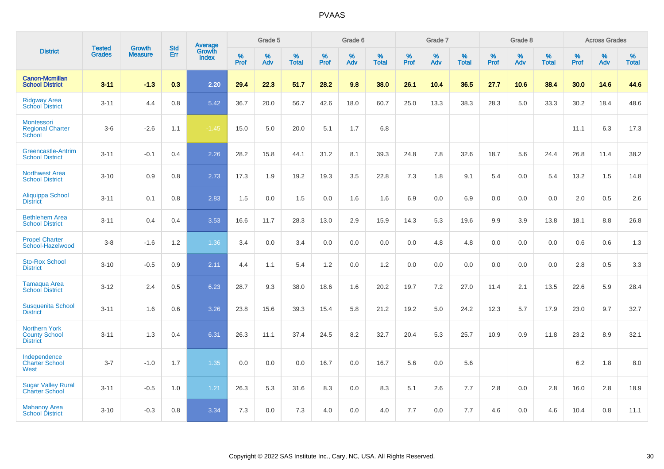|                                                                 | <b>Tested</b> | <b>Growth</b>  | <b>Std</b> | Average                |              | Grade 5  |                   |           | Grade 6  |                   |           | Grade 7  |                   |           | Grade 8  |                   |           | <b>Across Grades</b> |                   |
|-----------------------------------------------------------------|---------------|----------------|------------|------------------------|--------------|----------|-------------------|-----------|----------|-------------------|-----------|----------|-------------------|-----------|----------|-------------------|-----------|----------------------|-------------------|
| <b>District</b>                                                 | <b>Grades</b> | <b>Measure</b> | Err        | Growth<br><b>Index</b> | $\%$<br>Prof | %<br>Adv | %<br><b>Total</b> | %<br>Prof | %<br>Adv | %<br><b>Total</b> | %<br>Prof | %<br>Adv | %<br><b>Total</b> | %<br>Prof | %<br>Adv | %<br><b>Total</b> | %<br>Prof | %<br>Adv             | %<br><b>Total</b> |
| <b>Canon-Mcmillan</b><br><b>School District</b>                 | $3 - 11$      | $-1.3$         | 0.3        | 2.20                   | 29.4         | 22.3     | 51.7              | 28.2      | 9.8      | 38.0              | 26.1      | 10.4     | 36.5              | 27.7      | 10.6     | 38.4              | 30.0      | 14.6                 | 44.6              |
| <b>Ridgway Area</b><br><b>School District</b>                   | $3 - 11$      | 4.4            | 0.8        | 5.42                   | 36.7         | 20.0     | 56.7              | 42.6      | 18.0     | 60.7              | 25.0      | 13.3     | 38.3              | 28.3      | 5.0      | 33.3              | 30.2      | 18.4                 | 48.6              |
| Montessori<br><b>Regional Charter</b><br>School                 | $3-6$         | $-2.6$         | 1.1        | $-1.45$                | 15.0         | 5.0      | 20.0              | 5.1       | 1.7      | 6.8               |           |          |                   |           |          |                   | 11.1      | 6.3                  | 17.3              |
| Greencastle-Antrim<br><b>School District</b>                    | $3 - 11$      | $-0.1$         | 0.4        | 2.26                   | 28.2         | 15.8     | 44.1              | 31.2      | 8.1      | 39.3              | 24.8      | 7.8      | 32.6              | 18.7      | 5.6      | 24.4              | 26.8      | 11.4                 | 38.2              |
| <b>Northwest Area</b><br><b>School District</b>                 | $3 - 10$      | 0.9            | 0.8        | 2.73                   | 17.3         | 1.9      | 19.2              | 19.3      | 3.5      | 22.8              | 7.3       | 1.8      | 9.1               | 5.4       | 0.0      | 5.4               | 13.2      | 1.5                  | 14.8              |
| Aliquippa School<br><b>District</b>                             | $3 - 11$      | 0.1            | 0.8        | 2.83                   | 1.5          | 0.0      | 1.5               | 0.0       | 1.6      | 1.6               | 6.9       | 0.0      | 6.9               | 0.0       | 0.0      | 0.0               | 2.0       | 0.5                  | 2.6               |
| <b>Bethlehem Area</b><br><b>School District</b>                 | $3 - 11$      | 0.4            | 0.4        | 3.53                   | 16.6         | 11.7     | 28.3              | 13.0      | 2.9      | 15.9              | 14.3      | 5.3      | 19.6              | 9.9       | 3.9      | 13.8              | 18.1      | 8.8                  | 26.8              |
| <b>Propel Charter</b><br>School-Hazelwood                       | $3 - 8$       | $-1.6$         | $1.2$      | 1.36                   | 3.4          | 0.0      | 3.4               | 0.0       | 0.0      | 0.0               | 0.0       | 4.8      | 4.8               | 0.0       | 0.0      | 0.0               | 0.6       | 0.6                  | 1.3               |
| <b>Sto-Rox School</b><br><b>District</b>                        | $3 - 10$      | $-0.5$         | 0.9        | 2.11                   | 4.4          | 1.1      | 5.4               | 1.2       | 0.0      | 1.2               | 0.0       | 0.0      | 0.0               | 0.0       | 0.0      | 0.0               | 2.8       | 0.5                  | 3.3               |
| Tamaqua Area<br><b>School District</b>                          | $3 - 12$      | 2.4            | 0.5        | 6.23                   | 28.7         | 9.3      | 38.0              | 18.6      | 1.6      | 20.2              | 19.7      | $7.2\,$  | 27.0              | 11.4      | 2.1      | 13.5              | 22.6      | 5.9                  | 28.4              |
| <b>Susquenita School</b><br><b>District</b>                     | $3 - 11$      | 1.6            | 0.6        | 3.26                   | 23.8         | 15.6     | 39.3              | 15.4      | 5.8      | 21.2              | 19.2      | 5.0      | 24.2              | 12.3      | 5.7      | 17.9              | 23.0      | 9.7                  | 32.7              |
| <b>Northern York</b><br><b>County School</b><br><b>District</b> | $3 - 11$      | 1.3            | 0.4        | 6.31                   | 26.3         | 11.1     | 37.4              | 24.5      | 8.2      | 32.7              | 20.4      | 5.3      | 25.7              | 10.9      | 0.9      | 11.8              | 23.2      | 8.9                  | 32.1              |
| Independence<br><b>Charter School</b><br>West                   | $3 - 7$       | $-1.0$         | 1.7        | 1.35                   | 0.0          | 0.0      | 0.0               | 16.7      | 0.0      | 16.7              | 5.6       | 0.0      | 5.6               |           |          |                   | $6.2\,$   | 1.8                  | $8.0\,$           |
| <b>Sugar Valley Rural</b><br><b>Charter School</b>              | $3 - 11$      | $-0.5$         | 1.0        | 1.21                   | 26.3         | 5.3      | 31.6              | 8.3       | 0.0      | 8.3               | 5.1       | 2.6      | 7.7               | 2.8       | 0.0      | 2.8               | 16.0      | 2.8                  | 18.9              |
| <b>Mahanoy Area</b><br><b>School District</b>                   | $3 - 10$      | $-0.3$         | 0.8        | 3.34                   | 7.3          | 0.0      | 7.3               | 4.0       | 0.0      | 4.0               | 7.7       | 0.0      | 7.7               | 4.6       | 0.0      | 4.6               | 10.4      | 0.8                  | 11.1              |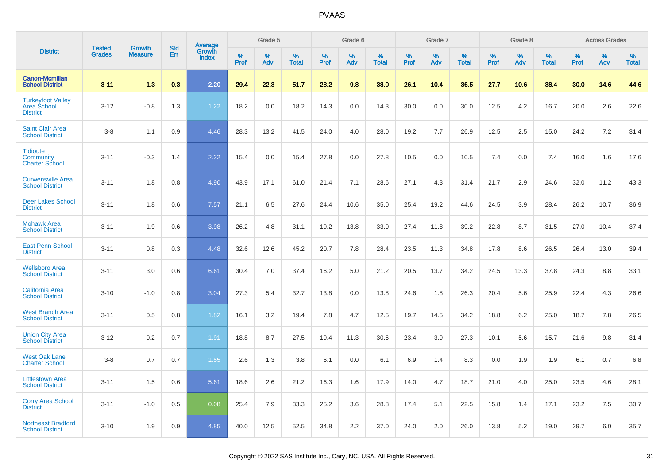|                                                                   |                                |                                 |                   |                                          |              | Grade 5  |                   |           | Grade 6  |                   |              | Grade 7  |                   |              | Grade 8  |                   |              | <b>Across Grades</b> |                   |
|-------------------------------------------------------------------|--------------------------------|---------------------------------|-------------------|------------------------------------------|--------------|----------|-------------------|-----------|----------|-------------------|--------------|----------|-------------------|--------------|----------|-------------------|--------------|----------------------|-------------------|
| <b>District</b>                                                   | <b>Tested</b><br><b>Grades</b> | <b>Growth</b><br><b>Measure</b> | <b>Std</b><br>Err | <b>Average</b><br>Growth<br><b>Index</b> | $\%$<br>Prof | %<br>Adv | %<br><b>Total</b> | %<br>Prof | %<br>Adv | %<br><b>Total</b> | $\%$<br>Prof | %<br>Adv | %<br><b>Total</b> | $\%$<br>Prof | %<br>Adv | %<br><b>Total</b> | $\%$<br>Prof | %<br>Adv             | %<br><b>Total</b> |
| <b>Canon-Mcmillan</b><br><b>School District</b>                   | $3 - 11$                       | $-1.3$                          | 0.3               | 2.20                                     | 29.4         | 22.3     | 51.7              | 28.2      | 9.8      | 38.0              | 26.1         | 10.4     | 36.5              | 27.7         | 10.6     | 38.4              | 30.0         | 14.6                 | 44.6              |
| <b>Turkeyfoot Valley</b><br><b>Area School</b><br><b>District</b> | $3 - 12$                       | $-0.8$                          | 1.3               | 1.22                                     | 18.2         | 0.0      | 18.2              | 14.3      | 0.0      | 14.3              | 30.0         | 0.0      | 30.0              | 12.5         | 4.2      | 16.7              | 20.0         | 2.6                  | 22.6              |
| <b>Saint Clair Area</b><br><b>School District</b>                 | $3 - 8$                        | 1.1                             | 0.9               | 4.46                                     | 28.3         | 13.2     | 41.5              | 24.0      | 4.0      | 28.0              | 19.2         | 7.7      | 26.9              | 12.5         | 2.5      | 15.0              | 24.2         | 7.2                  | 31.4              |
| <b>Tidioute</b><br><b>Community</b><br><b>Charter School</b>      | $3 - 11$                       | $-0.3$                          | 1.4               | 2.22                                     | 15.4         | 0.0      | 15.4              | 27.8      | 0.0      | 27.8              | 10.5         | 0.0      | 10.5              | 7.4          | 0.0      | 7.4               | 16.0         | 1.6                  | 17.6              |
| <b>Curwensville Area</b><br><b>School District</b>                | $3 - 11$                       | 1.8                             | 0.8               | 4.90                                     | 43.9         | 17.1     | 61.0              | 21.4      | 7.1      | 28.6              | 27.1         | 4.3      | 31.4              | 21.7         | 2.9      | 24.6              | 32.0         | 11.2                 | 43.3              |
| <b>Deer Lakes School</b><br><b>District</b>                       | $3 - 11$                       | 1.8                             | 0.6               | 7.57                                     | 21.1         | 6.5      | 27.6              | 24.4      | 10.6     | 35.0              | 25.4         | 19.2     | 44.6              | 24.5         | 3.9      | 28.4              | 26.2         | 10.7                 | 36.9              |
| <b>Mohawk Area</b><br><b>School District</b>                      | $3 - 11$                       | 1.9                             | 0.6               | 3.98                                     | 26.2         | 4.8      | 31.1              | 19.2      | 13.8     | 33.0              | 27.4         | 11.8     | 39.2              | 22.8         | 8.7      | 31.5              | 27.0         | 10.4                 | 37.4              |
| <b>East Penn School</b><br><b>District</b>                        | $3 - 11$                       | 0.8                             | 0.3               | 4.48                                     | 32.6         | 12.6     | 45.2              | 20.7      | 7.8      | 28.4              | 23.5         | 11.3     | 34.8              | 17.8         | 8.6      | 26.5              | 26.4         | 13.0                 | 39.4              |
| <b>Wellsboro Area</b><br><b>School District</b>                   | $3 - 11$                       | 3.0                             | 0.6               | 6.61                                     | 30.4         | 7.0      | 37.4              | 16.2      | 5.0      | 21.2              | 20.5         | 13.7     | 34.2              | 24.5         | 13.3     | 37.8              | 24.3         | 8.8                  | 33.1              |
| <b>California Area</b><br><b>School District</b>                  | $3 - 10$                       | $-1.0$                          | 0.8               | 3.04                                     | 27.3         | 5.4      | 32.7              | 13.8      | 0.0      | 13.8              | 24.6         | 1.8      | 26.3              | 20.4         | 5.6      | 25.9              | 22.4         | 4.3                  | 26.6              |
| <b>West Branch Area</b><br><b>School District</b>                 | $3 - 11$                       | 0.5                             | 0.8               | 1.82                                     | 16.1         | 3.2      | 19.4              | 7.8       | 4.7      | 12.5              | 19.7         | 14.5     | 34.2              | 18.8         | 6.2      | 25.0              | 18.7         | 7.8                  | 26.5              |
| <b>Union City Area</b><br><b>School District</b>                  | $3 - 12$                       | 0.2                             | 0.7               | 1.91                                     | 18.8         | 8.7      | 27.5              | 19.4      | 11.3     | 30.6              | 23.4         | 3.9      | 27.3              | 10.1         | 5.6      | 15.7              | 21.6         | 9.8                  | 31.4              |
| <b>West Oak Lane</b><br><b>Charter School</b>                     | $3 - 8$                        | 0.7                             | 0.7               | 1.55                                     | 2.6          | 1.3      | 3.8               | 6.1       | 0.0      | 6.1               | 6.9          | 1.4      | 8.3               | 0.0          | 1.9      | 1.9               | 6.1          | 0.7                  | 6.8               |
| <b>Littlestown Area</b><br><b>School District</b>                 | $3 - 11$                       | 1.5                             | 0.6               | 5.61                                     | 18.6         | 2.6      | 21.2              | 16.3      | 1.6      | 17.9              | 14.0         | 4.7      | 18.7              | 21.0         | 4.0      | 25.0              | 23.5         | 4.6                  | 28.1              |
| <b>Corry Area School</b><br><b>District</b>                       | $3 - 11$                       | $-1.0$                          | 0.5               | 0.08                                     | 25.4         | 7.9      | 33.3              | 25.2      | 3.6      | 28.8              | 17.4         | 5.1      | 22.5              | 15.8         | 1.4      | 17.1              | 23.2         | 7.5                  | 30.7              |
| <b>Northeast Bradford</b><br><b>School District</b>               | $3 - 10$                       | 1.9                             | 0.9               | 4.85                                     | 40.0         | 12.5     | 52.5              | 34.8      | 2.2      | 37.0              | 24.0         | 2.0      | 26.0              | 13.8         | 5.2      | 19.0              | 29.7         | 6.0                  | 35.7              |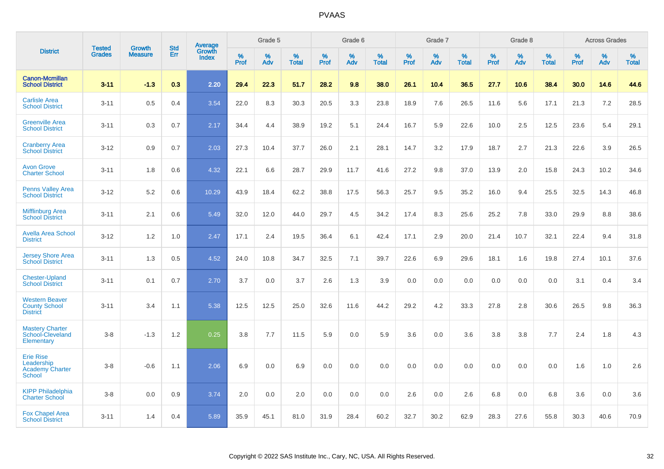|                                                                           | <b>Tested</b> | <b>Growth</b>  | <b>Std</b> | Average         |           | Grade 5  |                   |                  | Grade 6  |                   |           | Grade 7  |                   |                  | Grade 8  |                   |                     | <b>Across Grades</b> |                   |
|---------------------------------------------------------------------------|---------------|----------------|------------|-----------------|-----------|----------|-------------------|------------------|----------|-------------------|-----------|----------|-------------------|------------------|----------|-------------------|---------------------|----------------------|-------------------|
| <b>District</b>                                                           | <b>Grades</b> | <b>Measure</b> | Err        | Growth<br>Index | %<br>Prof | %<br>Adv | %<br><b>Total</b> | %<br><b>Prof</b> | %<br>Adv | %<br><b>Total</b> | %<br>Prof | %<br>Adv | %<br><b>Total</b> | %<br><b>Prof</b> | %<br>Adv | %<br><b>Total</b> | $\%$<br><b>Prof</b> | $\%$<br>Adv          | %<br><b>Total</b> |
| <b>Canon-Mcmillan</b><br><b>School District</b>                           | $3 - 11$      | $-1.3$         | 0.3        | 2.20            | 29.4      | 22.3     | 51.7              | 28.2             | 9.8      | 38.0              | 26.1      | 10.4     | 36.5              | 27.7             | 10.6     | 38.4              | 30.0                | 14.6                 | 44.6              |
| <b>Carlisle Area</b><br><b>School District</b>                            | $3 - 11$      | 0.5            | 0.4        | 3.54            | 22.0      | 8.3      | 30.3              | 20.5             | 3.3      | 23.8              | 18.9      | 7.6      | 26.5              | 11.6             | 5.6      | 17.1              | 21.3                | 7.2                  | 28.5              |
| <b>Greenville Area</b><br><b>School District</b>                          | $3 - 11$      | 0.3            | 0.7        | 2.17            | 34.4      | 4.4      | 38.9              | 19.2             | 5.1      | 24.4              | 16.7      | 5.9      | 22.6              | 10.0             | 2.5      | 12.5              | 23.6                | 5.4                  | 29.1              |
| <b>Cranberry Area</b><br><b>School District</b>                           | $3 - 12$      | 0.9            | 0.7        | 2.03            | 27.3      | 10.4     | 37.7              | 26.0             | 2.1      | 28.1              | 14.7      | 3.2      | 17.9              | 18.7             | 2.7      | 21.3              | 22.6                | 3.9                  | 26.5              |
| <b>Avon Grove</b><br><b>Charter School</b>                                | $3 - 11$      | 1.8            | 0.6        | 4.32            | 22.1      | 6.6      | 28.7              | 29.9             | 11.7     | 41.6              | 27.2      | 9.8      | 37.0              | 13.9             | 2.0      | 15.8              | 24.3                | 10.2                 | 34.6              |
| <b>Penns Valley Area</b><br><b>School District</b>                        | $3 - 12$      | 5.2            | 0.6        | 10.29           | 43.9      | 18.4     | 62.2              | 38.8             | 17.5     | 56.3              | 25.7      | 9.5      | 35.2              | 16.0             | 9.4      | 25.5              | 32.5                | 14.3                 | 46.8              |
| <b>Mifflinburg Area</b><br><b>School District</b>                         | $3 - 11$      | 2.1            | 0.6        | 5.49            | 32.0      | 12.0     | 44.0              | 29.7             | 4.5      | 34.2              | 17.4      | 8.3      | 25.6              | 25.2             | 7.8      | 33.0              | 29.9                | 8.8                  | 38.6              |
| <b>Avella Area School</b><br><b>District</b>                              | $3 - 12$      | 1.2            | 1.0        | 2.47            | 17.1      | 2.4      | 19.5              | 36.4             | 6.1      | 42.4              | 17.1      | 2.9      | 20.0              | 21.4             | 10.7     | 32.1              | 22.4                | 9.4                  | 31.8              |
| <b>Jersey Shore Area</b><br><b>School District</b>                        | $3 - 11$      | 1.3            | 0.5        | 4.52            | 24.0      | 10.8     | 34.7              | 32.5             | 7.1      | 39.7              | 22.6      | 6.9      | 29.6              | 18.1             | 1.6      | 19.8              | 27.4                | 10.1                 | 37.6              |
| <b>Chester-Upland</b><br><b>School District</b>                           | $3 - 11$      | 0.1            | 0.7        | 2.70            | 3.7       | 0.0      | 3.7               | 2.6              | 1.3      | 3.9               | 0.0       | 0.0      | 0.0               | 0.0              | 0.0      | 0.0               | 3.1                 | 0.4                  | 3.4               |
| <b>Western Beaver</b><br><b>County School</b><br><b>District</b>          | $3 - 11$      | 3.4            | 1.1        | 5.38            | 12.5      | 12.5     | 25.0              | 32.6             | 11.6     | 44.2              | 29.2      | 4.2      | 33.3              | 27.8             | 2.8      | 30.6              | 26.5                | 9.8                  | 36.3              |
| <b>Mastery Charter</b><br>School-Cleveland<br>Elementary                  | $3 - 8$       | $-1.3$         | 1.2        | 0.25            | 3.8       | 7.7      | 11.5              | 5.9              | 0.0      | 5.9               | 3.6       | 0.0      | 3.6               | 3.8              | 3.8      | 7.7               | 2.4                 | 1.8                  | 4.3               |
| <b>Erie Rise</b><br>Leadership<br><b>Academy Charter</b><br><b>School</b> | $3 - 8$       | $-0.6$         | 1.1        | 2.06            | 6.9       | 0.0      | 6.9               | 0.0              | 0.0      | 0.0               | 0.0       | 0.0      | 0.0               | 0.0              | 0.0      | 0.0               | 1.6                 | 1.0                  | 2.6               |
| <b>KIPP Philadelphia</b><br><b>Charter School</b>                         | $3 - 8$       | 0.0            | 0.9        | 3.74            | 2.0       | 0.0      | 2.0               | 0.0              | 0.0      | 0.0               | 2.6       | 0.0      | 2.6               | 6.8              | 0.0      | 6.8               | 3.6                 | 0.0                  | 3.6               |
| <b>Fox Chapel Area</b><br><b>School District</b>                          | $3 - 11$      | 1.4            | 0.4        | 5.89            | 35.9      | 45.1     | 81.0              | 31.9             | 28.4     | 60.2              | 32.7      | 30.2     | 62.9              | 28.3             | 27.6     | 55.8              | 30.3                | 40.6                 | 70.9              |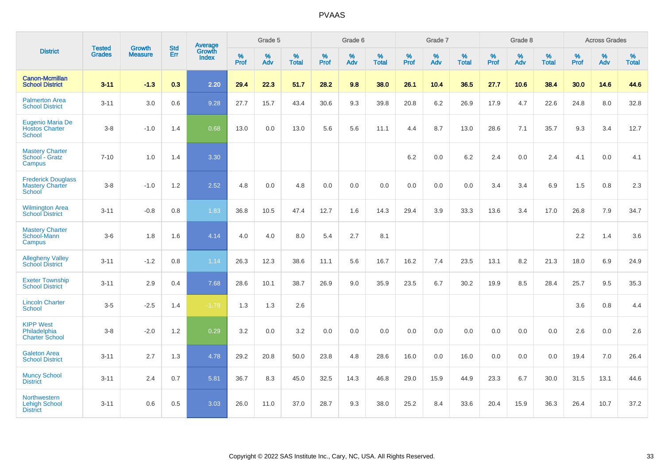|                                                               |                                | <b>Growth</b>  | <b>Std</b> | Average         |              | Grade 5  |                   |              | Grade 6  |                   |              | Grade 7  |                   |              | Grade 8  |                   |           | <b>Across Grades</b> |                   |
|---------------------------------------------------------------|--------------------------------|----------------|------------|-----------------|--------------|----------|-------------------|--------------|----------|-------------------|--------------|----------|-------------------|--------------|----------|-------------------|-----------|----------------------|-------------------|
| <b>District</b>                                               | <b>Tested</b><br><b>Grades</b> | <b>Measure</b> | Err        | Growth<br>Index | $\%$<br>Prof | %<br>Adv | %<br><b>Total</b> | $\%$<br>Prof | %<br>Adv | %<br><b>Total</b> | $\%$<br>Prof | %<br>Adv | %<br><b>Total</b> | $\%$<br>Prof | %<br>Adv | %<br><b>Total</b> | %<br>Prof | $\%$<br>Adv          | %<br><b>Total</b> |
| <b>Canon-Mcmillan</b><br><b>School District</b>               | $3 - 11$                       | $-1.3$         | 0.3        | 2.20            | 29.4         | 22.3     | 51.7              | 28.2         | 9.8      | 38.0              | 26.1         | 10.4     | 36.5              | 27.7         | 10.6     | 38.4              | 30.0      | 14.6                 | 44.6              |
| <b>Palmerton Area</b><br><b>School District</b>               | $3 - 11$                       | 3.0            | 0.6        | 9.28            | 27.7         | 15.7     | 43.4              | 30.6         | 9.3      | 39.8              | 20.8         | 6.2      | 26.9              | 17.9         | 4.7      | 22.6              | 24.8      | 8.0                  | 32.8              |
| Eugenio Maria De<br><b>Hostos Charter</b><br><b>School</b>    | $3 - 8$                        | $-1.0$         | 1.4        | 0.68            | 13.0         | 0.0      | 13.0              | 5.6          | 5.6      | 11.1              | 4.4          | 8.7      | 13.0              | 28.6         | 7.1      | 35.7              | 9.3       | 3.4                  | 12.7              |
| <b>Mastery Charter</b><br>School - Gratz<br>Campus            | $7 - 10$                       | 1.0            | 1.4        | 3.30            |              |          |                   |              |          |                   | 6.2          | 0.0      | 6.2               | 2.4          | 0.0      | 2.4               | 4.1       | 0.0                  | 4.1               |
| <b>Frederick Douglass</b><br><b>Mastery Charter</b><br>School | $3 - 8$                        | $-1.0$         | 1.2        | 2.52            | 4.8          | 0.0      | 4.8               | 0.0          | 0.0      | 0.0               | 0.0          | 0.0      | 0.0               | 3.4          | 3.4      | 6.9               | 1.5       | 0.8                  | $2.3\,$           |
| <b>Wilmington Area</b><br><b>School District</b>              | $3 - 11$                       | $-0.8$         | 0.8        | 1.83            | 36.8         | 10.5     | 47.4              | 12.7         | 1.6      | 14.3              | 29.4         | 3.9      | 33.3              | 13.6         | 3.4      | 17.0              | 26.8      | 7.9                  | 34.7              |
| <b>Mastery Charter</b><br>School-Mann<br>Campus               | $3-6$                          | 1.8            | 1.6        | 4.14            | 4.0          | 4.0      | 8.0               | 5.4          | 2.7      | 8.1               |              |          |                   |              |          |                   | $2.2\,$   | 1.4                  | 3.6               |
| <b>Allegheny Valley</b><br><b>School District</b>             | $3 - 11$                       | $-1.2$         | $0.8\,$    | 1.14            | 26.3         | 12.3     | 38.6              | 11.1         | 5.6      | 16.7              | 16.2         | 7.4      | 23.5              | 13.1         | 8.2      | 21.3              | 18.0      | 6.9                  | 24.9              |
| <b>Exeter Township</b><br><b>School District</b>              | $3 - 11$                       | 2.9            | 0.4        | 7.68            | 28.6         | 10.1     | 38.7              | 26.9         | 9.0      | 35.9              | 23.5         | 6.7      | 30.2              | 19.9         | 8.5      | 28.4              | 25.7      | 9.5                  | 35.3              |
| <b>Lincoln Charter</b><br><b>School</b>                       | $3 - 5$                        | $-2.5$         | 1.4        | $-1.78$         | 1.3          | 1.3      | 2.6               |              |          |                   |              |          |                   |              |          |                   | 3.6       | 0.8                  | 4.4               |
| <b>KIPP West</b><br>Philadelphia<br><b>Charter School</b>     | $3 - 8$                        | $-2.0$         | 1.2        | 0.29            | 3.2          | 0.0      | 3.2               | 0.0          | 0.0      | 0.0               | 0.0          | 0.0      | 0.0               | 0.0          | 0.0      | 0.0               | 2.6       | 0.0                  | 2.6               |
| <b>Galeton Area</b><br><b>School District</b>                 | $3 - 11$                       | 2.7            | 1.3        | 4.78            | 29.2         | 20.8     | 50.0              | 23.8         | 4.8      | 28.6              | 16.0         | 0.0      | 16.0              | 0.0          | 0.0      | 0.0               | 19.4      | 7.0                  | 26.4              |
| <b>Muncy School</b><br><b>District</b>                        | $3 - 11$                       | 2.4            | 0.7        | 5.81            | 36.7         | 8.3      | 45.0              | 32.5         | 14.3     | 46.8              | 29.0         | 15.9     | 44.9              | 23.3         | 6.7      | 30.0              | 31.5      | 13.1                 | 44.6              |
| Northwestern<br><b>Lehigh School</b><br><b>District</b>       | $3 - 11$                       | 0.6            | 0.5        | 3.03            | 26.0         | 11.0     | 37.0              | 28.7         | 9.3      | 38.0              | 25.2         | 8.4      | 33.6              | 20.4         | 15.9     | 36.3              | 26.4      | 10.7                 | 37.2              |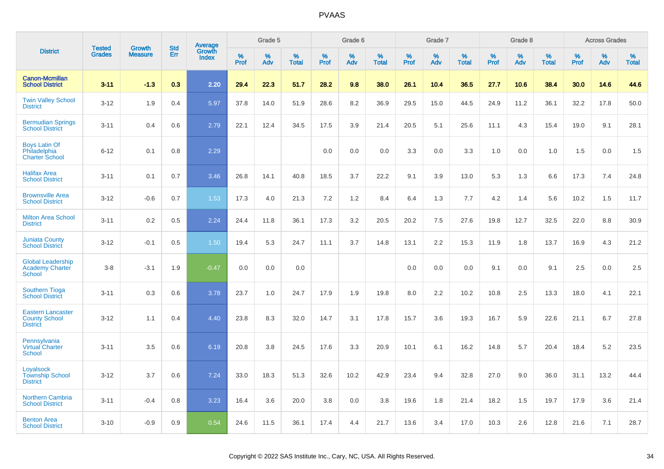|                                                                     | <b>Tested</b> | <b>Growth</b>  | <b>Std</b> |                                          |              | Grade 5  |                   |           | Grade 6  |                   |           | Grade 7  |                   |           | Grade 8  |                   |              | <b>Across Grades</b> |                   |
|---------------------------------------------------------------------|---------------|----------------|------------|------------------------------------------|--------------|----------|-------------------|-----------|----------|-------------------|-----------|----------|-------------------|-----------|----------|-------------------|--------------|----------------------|-------------------|
| <b>District</b>                                                     | <b>Grades</b> | <b>Measure</b> | <b>Err</b> | <b>Average</b><br>Growth<br><b>Index</b> | $\%$<br>Prof | %<br>Adv | %<br><b>Total</b> | %<br>Prof | %<br>Adv | %<br><b>Total</b> | %<br>Prof | %<br>Adv | %<br><b>Total</b> | %<br>Prof | %<br>Adv | %<br><b>Total</b> | $\%$<br>Prof | %<br>Adv             | %<br><b>Total</b> |
| <b>Canon-Mcmillan</b><br><b>School District</b>                     | $3 - 11$      | $-1.3$         | 0.3        | 2.20                                     | 29.4         | 22.3     | 51.7              | 28.2      | 9.8      | 38.0              | 26.1      | 10.4     | 36.5              | 27.7      | 10.6     | 38.4              | 30.0         | 14.6                 | 44.6              |
| <b>Twin Valley School</b><br><b>District</b>                        | $3 - 12$      | 1.9            | 0.4        | 5.97                                     | 37.8         | 14.0     | 51.9              | 28.6      | 8.2      | 36.9              | 29.5      | 15.0     | 44.5              | 24.9      | 11.2     | 36.1              | 32.2         | 17.8                 | 50.0              |
| <b>Bermudian Springs</b><br><b>School District</b>                  | $3 - 11$      | 0.4            | 0.6        | 2.79                                     | 22.1         | 12.4     | 34.5              | 17.5      | 3.9      | 21.4              | 20.5      | 5.1      | 25.6              | 11.1      | 4.3      | 15.4              | 19.0         | 9.1                  | 28.1              |
| <b>Boys Latin Of</b><br>Philadelphia<br><b>Charter School</b>       | $6 - 12$      | 0.1            | 0.8        | 2.29                                     |              |          |                   | 0.0       | 0.0      | 0.0               | 3.3       | 0.0      | 3.3               | 1.0       | 0.0      | 1.0               | 1.5          | 0.0                  | 1.5               |
| <b>Halifax Area</b><br><b>School District</b>                       | $3 - 11$      | 0.1            | 0.7        | 3.46                                     | 26.8         | 14.1     | 40.8              | 18.5      | 3.7      | 22.2              | 9.1       | 3.9      | 13.0              | 5.3       | 1.3      | 6.6               | 17.3         | 7.4                  | 24.8              |
| <b>Brownsville Area</b><br><b>School District</b>                   | $3 - 12$      | $-0.6$         | 0.7        | 1.53                                     | 17.3         | 4.0      | 21.3              | 7.2       | 1.2      | 8.4               | 6.4       | 1.3      | 7.7               | 4.2       | 1.4      | 5.6               | 10.2         | 1.5                  | 11.7              |
| <b>Milton Area School</b><br><b>District</b>                        | $3 - 11$      | 0.2            | 0.5        | 2.24                                     | 24.4         | 11.8     | 36.1              | 17.3      | 3.2      | 20.5              | 20.2      | 7.5      | 27.6              | 19.8      | 12.7     | 32.5              | 22.0         | 8.8                  | 30.9              |
| <b>Juniata County</b><br><b>School District</b>                     | $3 - 12$      | $-0.1$         | 0.5        | 1.50                                     | 19.4         | 5.3      | 24.7              | 11.1      | 3.7      | 14.8              | 13.1      | 2.2      | 15.3              | 11.9      | 1.8      | 13.7              | 16.9         | 4.3                  | 21.2              |
| <b>Global Leadership</b><br><b>Academy Charter</b><br>School        | $3 - 8$       | $-3.1$         | 1.9        | $-0.47$                                  | 0.0          | 0.0      | 0.0               |           |          |                   | 0.0       | 0.0      | 0.0               | 9.1       | 0.0      | 9.1               | 2.5          | 0.0                  | 2.5               |
| <b>Southern Tioga</b><br><b>School District</b>                     | $3 - 11$      | 0.3            | 0.6        | 3.78                                     | 23.7         | 1.0      | 24.7              | 17.9      | 1.9      | 19.8              | 8.0       | 2.2      | 10.2              | 10.8      | 2.5      | 13.3              | 18.0         | 4.1                  | 22.1              |
| <b>Eastern Lancaster</b><br><b>County School</b><br><b>District</b> | $3 - 12$      | 1.1            | 0.4        | 4.40                                     | 23.8         | 8.3      | 32.0              | 14.7      | 3.1      | 17.8              | 15.7      | 3.6      | 19.3              | 16.7      | 5.9      | 22.6              | 21.1         | 6.7                  | 27.8              |
| Pennsylvania<br><b>Virtual Charter</b><br><b>School</b>             | $3 - 11$      | 3.5            | 0.6        | 6.19                                     | 20.8         | 3.8      | 24.5              | 17.6      | 3.3      | 20.9              | 10.1      | 6.1      | 16.2              | 14.8      | 5.7      | 20.4              | 18.4         | 5.2                  | 23.5              |
| Loyalsock<br><b>Township School</b><br><b>District</b>              | $3 - 12$      | 3.7            | 0.6        | 7.24                                     | 33.0         | 18.3     | 51.3              | 32.6      | 10.2     | 42.9              | 23.4      | 9.4      | 32.8              | 27.0      | 9.0      | 36.0              | 31.1         | 13.2                 | 44.4              |
| <b>Northern Cambria</b><br><b>School District</b>                   | $3 - 11$      | $-0.4$         | 0.8        | 3.23                                     | 16.4         | 3.6      | 20.0              | 3.8       | 0.0      | 3.8               | 19.6      | 1.8      | 21.4              | 18.2      | 1.5      | 19.7              | 17.9         | 3.6                  | 21.4              |
| <b>Benton Area</b><br><b>School District</b>                        | $3 - 10$      | $-0.9$         | 0.9        | 0.54                                     | 24.6         | 11.5     | 36.1              | 17.4      | 4.4      | 21.7              | 13.6      | 3.4      | 17.0              | 10.3      | 2.6      | 12.8              | 21.6         | 7.1                  | 28.7              |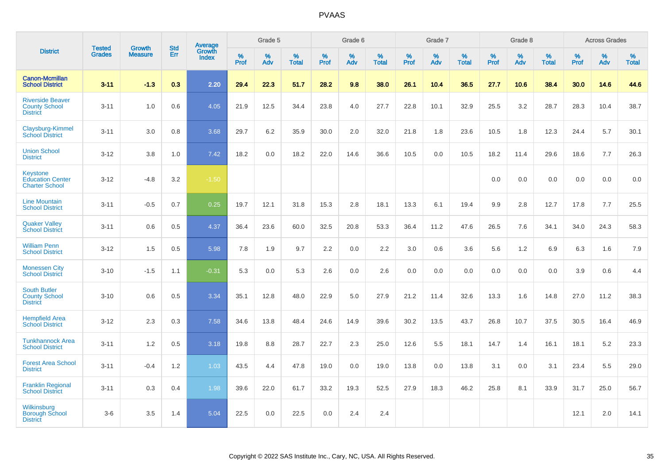|                                                                    |                                |                                 | <b>Std</b> | Average                       |                  | Grade 5  |                   |                  | Grade 6  |                   |                  | Grade 7  |                   |                  | Grade 8  |                   |                  | <b>Across Grades</b> |                   |
|--------------------------------------------------------------------|--------------------------------|---------------------------------|------------|-------------------------------|------------------|----------|-------------------|------------------|----------|-------------------|------------------|----------|-------------------|------------------|----------|-------------------|------------------|----------------------|-------------------|
| <b>District</b>                                                    | <b>Tested</b><br><b>Grades</b> | <b>Growth</b><br><b>Measure</b> | Err        | <b>Growth</b><br><b>Index</b> | %<br><b>Prof</b> | %<br>Adv | %<br><b>Total</b> | %<br><b>Prof</b> | %<br>Adv | %<br><b>Total</b> | %<br><b>Prof</b> | %<br>Adv | %<br><b>Total</b> | %<br><b>Prof</b> | %<br>Adv | %<br><b>Total</b> | %<br><b>Prof</b> | %<br>Adv             | %<br><b>Total</b> |
| <b>Canon-Mcmillan</b><br><b>School District</b>                    | $3 - 11$                       | $-1.3$                          | 0.3        | 2.20                          | 29.4             | 22.3     | 51.7              | 28.2             | 9.8      | 38.0              | 26.1             | 10.4     | 36.5              | 27.7             | 10.6     | 38.4              | 30.0             | 14.6                 | 44.6              |
| <b>Riverside Beaver</b><br><b>County School</b><br><b>District</b> | $3 - 11$                       | 1.0                             | 0.6        | 4.05                          | 21.9             | 12.5     | 34.4              | 23.8             | 4.0      | 27.7              | 22.8             | 10.1     | 32.9              | 25.5             | 3.2      | 28.7              | 28.3             | 10.4                 | 38.7              |
| Claysburg-Kimmel<br><b>School District</b>                         | $3 - 11$                       | 3.0                             | 0.8        | 3.68                          | 29.7             | 6.2      | 35.9              | 30.0             | 2.0      | 32.0              | 21.8             | 1.8      | 23.6              | 10.5             | 1.8      | 12.3              | 24.4             | 5.7                  | 30.1              |
| <b>Union School</b><br><b>District</b>                             | $3 - 12$                       | 3.8                             | 1.0        | 7.42                          | 18.2             | 0.0      | 18.2              | 22.0             | 14.6     | 36.6              | 10.5             | 0.0      | 10.5              | 18.2             | 11.4     | 29.6              | 18.6             | 7.7                  | 26.3              |
| Keystone<br><b>Education Center</b><br><b>Charter School</b>       | $3 - 12$                       | $-4.8$                          | 3.2        | $-1.50$                       |                  |          |                   |                  |          |                   |                  |          |                   | 0.0              | 0.0      | 0.0               | 0.0              | 0.0                  | 0.0               |
| <b>Line Mountain</b><br><b>School District</b>                     | $3 - 11$                       | $-0.5$                          | 0.7        | 0.25                          | 19.7             | 12.1     | 31.8              | 15.3             | 2.8      | 18.1              | 13.3             | 6.1      | 19.4              | 9.9              | 2.8      | 12.7              | 17.8             | 7.7                  | 25.5              |
| <b>Quaker Valley</b><br><b>School District</b>                     | $3 - 11$                       | 0.6                             | 0.5        | 4.37                          | 36.4             | 23.6     | 60.0              | 32.5             | 20.8     | 53.3              | 36.4             | 11.2     | 47.6              | 26.5             | 7.6      | 34.1              | 34.0             | 24.3                 | 58.3              |
| <b>William Penn</b><br><b>School District</b>                      | $3 - 12$                       | 1.5                             | 0.5        | 5.98                          | 7.8              | 1.9      | 9.7               | 2.2              | 0.0      | 2.2               | 3.0              | 0.6      | 3.6               | 5.6              | 1.2      | 6.9               | 6.3              | 1.6                  | 7.9               |
| <b>Monessen City</b><br><b>School District</b>                     | $3 - 10$                       | $-1.5$                          | 1.1        | $-0.31$                       | 5.3              | 0.0      | 5.3               | 2.6              | 0.0      | 2.6               | 0.0              | 0.0      | 0.0               | 0.0              | 0.0      | 0.0               | 3.9              | 0.6                  | 4.4               |
| <b>South Butler</b><br><b>County School</b><br><b>District</b>     | $3 - 10$                       | 0.6                             | 0.5        | 3.34                          | 35.1             | 12.8     | 48.0              | 22.9             | 5.0      | 27.9              | 21.2             | 11.4     | 32.6              | 13.3             | 1.6      | 14.8              | 27.0             | 11.2                 | 38.3              |
| <b>Hempfield Area</b><br><b>School District</b>                    | $3 - 12$                       | 2.3                             | 0.3        | 7.58                          | 34.6             | 13.8     | 48.4              | 24.6             | 14.9     | 39.6              | 30.2             | 13.5     | 43.7              | 26.8             | 10.7     | 37.5              | 30.5             | 16.4                 | 46.9              |
| <b>Tunkhannock Area</b><br><b>School District</b>                  | $3 - 11$                       | 1.2                             | 0.5        | 3.18                          | 19.8             | 8.8      | 28.7              | 22.7             | 2.3      | 25.0              | 12.6             | 5.5      | 18.1              | 14.7             | 1.4      | 16.1              | 18.1             | 5.2                  | 23.3              |
| <b>Forest Area School</b><br><b>District</b>                       | $3 - 11$                       | $-0.4$                          | 1.2        | 1.03                          | 43.5             | 4.4      | 47.8              | 19.0             | 0.0      | 19.0              | 13.8             | 0.0      | 13.8              | 3.1              | 0.0      | 3.1               | 23.4             | 5.5                  | 29.0              |
| <b>Franklin Regional</b><br><b>School District</b>                 | $3 - 11$                       | 0.3                             | 0.4        | 1.98                          | 39.6             | 22.0     | 61.7              | 33.2             | 19.3     | 52.5              | 27.9             | 18.3     | 46.2              | 25.8             | 8.1      | 33.9              | 31.7             | 25.0                 | 56.7              |
| <b>Wilkinsburg</b><br><b>Borough School</b><br><b>District</b>     | $3-6$                          | 3.5                             | 1.4        | 5.04                          | 22.5             | 0.0      | 22.5              | 0.0              | 2.4      | 2.4               |                  |          |                   |                  |          |                   | 12.1             | 2.0                  | 14.1              |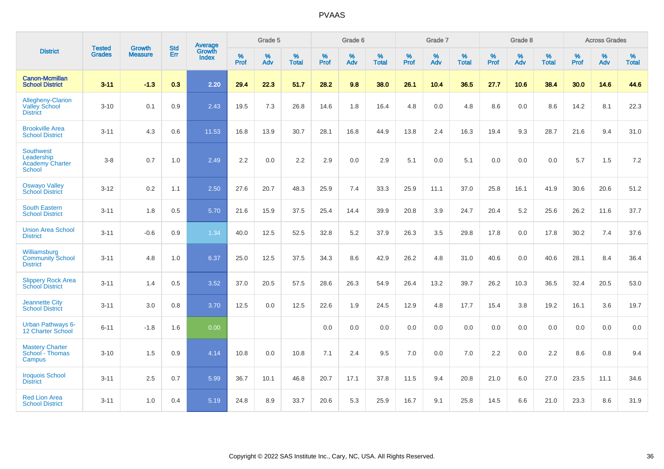|                                                                    | <b>Tested</b> | <b>Growth</b>  | <b>Std</b> | Average                |                     | Grade 5  |                   |                     | Grade 6  |                   |              | Grade 7  |                   |                     | Grade 8  |                   |                     | <b>Across Grades</b> |                   |
|--------------------------------------------------------------------|---------------|----------------|------------|------------------------|---------------------|----------|-------------------|---------------------|----------|-------------------|--------------|----------|-------------------|---------------------|----------|-------------------|---------------------|----------------------|-------------------|
| <b>District</b>                                                    | <b>Grades</b> | <b>Measure</b> | Err        | Growth<br><b>Index</b> | $\%$<br><b>Prof</b> | %<br>Adv | %<br><b>Total</b> | $\%$<br><b>Prof</b> | %<br>Adv | %<br><b>Total</b> | $\%$<br>Prof | %<br>Adv | %<br><b>Total</b> | $\%$<br><b>Prof</b> | %<br>Adv | %<br><b>Total</b> | $\%$<br><b>Prof</b> | %<br>Adv             | %<br><b>Total</b> |
| <b>Canon-Mcmillan</b><br><b>School District</b>                    | $3 - 11$      | $-1.3$         | 0.3        | 2.20                   | 29.4                | 22.3     | 51.7              | 28.2                | 9.8      | 38.0              | 26.1         | 10.4     | 36.5              | 27.7                | 10.6     | 38.4              | 30.0                | 14.6                 | 44.6              |
| Allegheny-Clarion<br><b>Valley School</b><br><b>District</b>       | $3 - 10$      | 0.1            | 0.9        | 2.43                   | 19.5                | 7.3      | 26.8              | 14.6                | 1.8      | 16.4              | 4.8          | 0.0      | 4.8               | 8.6                 | 0.0      | 8.6               | 14.2                | 8.1                  | 22.3              |
| <b>Brookville Area</b><br><b>School District</b>                   | $3 - 11$      | 4.3            | 0.6        | 11.53                  | 16.8                | 13.9     | 30.7              | 28.1                | 16.8     | 44.9              | 13.8         | 2.4      | 16.3              | 19.4                | 9.3      | 28.7              | 21.6                | 9.4                  | 31.0              |
| <b>Southwest</b><br>Leadership<br><b>Academy Charter</b><br>School | $3 - 8$       | 0.7            | 1.0        | 2.49                   | 2.2                 | 0.0      | 2.2               | 2.9                 | 0.0      | 2.9               | 5.1          | 0.0      | 5.1               | 0.0                 | 0.0      | 0.0               | 5.7                 | 1.5                  | 7.2               |
| <b>Oswayo Valley</b><br><b>School District</b>                     | $3 - 12$      | 0.2            | 1.1        | 2.50                   | 27.6                | 20.7     | 48.3              | 25.9                | 7.4      | 33.3              | 25.9         | 11.1     | 37.0              | 25.8                | 16.1     | 41.9              | 30.6                | 20.6                 | 51.2              |
| <b>South Eastern</b><br><b>School District</b>                     | $3 - 11$      | 1.8            | 0.5        | 5.70                   | 21.6                | 15.9     | 37.5              | 25.4                | 14.4     | 39.9              | 20.8         | 3.9      | 24.7              | 20.4                | 5.2      | 25.6              | 26.2                | 11.6                 | 37.7              |
| <b>Union Area School</b><br><b>District</b>                        | $3 - 11$      | $-0.6$         | 0.9        | 1.34                   | 40.0                | 12.5     | 52.5              | 32.8                | 5.2      | 37.9              | 26.3         | 3.5      | 29.8              | 17.8                | 0.0      | 17.8              | 30.2                | 7.4                  | 37.6              |
| Williamsburg<br><b>Community School</b><br><b>District</b>         | $3 - 11$      | 4.8            | 1.0        | 6.37                   | 25.0                | 12.5     | 37.5              | 34.3                | 8.6      | 42.9              | 26.2         | 4.8      | 31.0              | 40.6                | 0.0      | 40.6              | 28.1                | 8.4                  | 36.4              |
| <b>Slippery Rock Area</b><br><b>School District</b>                | $3 - 11$      | 1.4            | 0.5        | 3.52                   | 37.0                | 20.5     | 57.5              | 28.6                | 26.3     | 54.9              | 26.4         | 13.2     | 39.7              | 26.2                | 10.3     | 36.5              | 32.4                | 20.5                 | 53.0              |
| <b>Jeannette City</b><br><b>School District</b>                    | $3 - 11$      | 3.0            | 0.8        | 3.70                   | 12.5                | 0.0      | 12.5              | 22.6                | 1.9      | 24.5              | 12.9         | 4.8      | 17.7              | 15.4                | 3.8      | 19.2              | 16.1                | 3.6                  | 19.7              |
| <b>Urban Pathways 6-</b><br>12 Charter School                      | $6 - 11$      | $-1.8$         | 1.6        | 0.00                   |                     |          |                   | 0.0                 | 0.0      | 0.0               | 0.0          | 0.0      | 0.0               | 0.0                 | 0.0      | 0.0               | 0.0                 | 0.0                  | 0.0               |
| <b>Mastery Charter</b><br>School - Thomas<br>Campus                | $3 - 10$      | 1.5            | 0.9        | 4.14                   | 10.8                | 0.0      | 10.8              | 7.1                 | 2.4      | 9.5               | 7.0          | $0.0\,$  | 7.0               | 2.2                 | $0.0\,$  | 2.2               | 8.6                 | $0.8\,$              | 9.4               |
| <b>Iroquois School</b><br><b>District</b>                          | $3 - 11$      | 2.5            | 0.7        | 5.99                   | 36.7                | 10.1     | 46.8              | 20.7                | 17.1     | 37.8              | 11.5         | 9.4      | 20.8              | 21.0                | 6.0      | 27.0              | 23.5                | 11.1                 | 34.6              |
| <b>Red Lion Area</b><br><b>School District</b>                     | $3 - 11$      | 1.0            | 0.4        | 5.19                   | 24.8                | 8.9      | 33.7              | 20.6                | 5.3      | 25.9              | 16.7         | 9.1      | 25.8              | 14.5                | 6.6      | 21.0              | 23.3                | 8.6                  | 31.9              |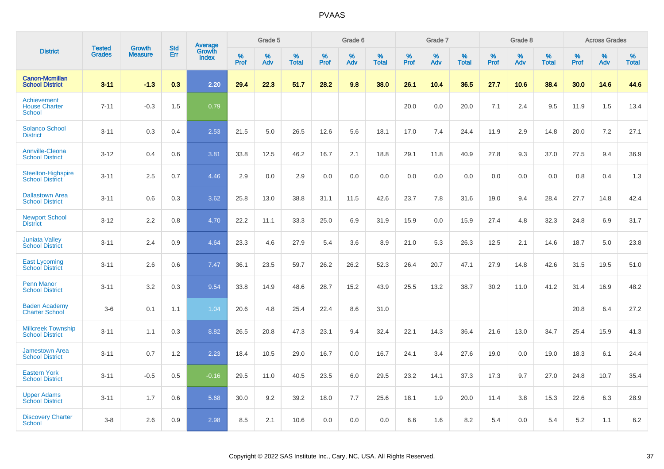|                                                      |                                |                                 | <b>Std</b> | Average                |           | Grade 5  |                   |           | Grade 6  |                   |           | Grade 7  |                   |           | Grade 8  |                   |           | <b>Across Grades</b> |                   |
|------------------------------------------------------|--------------------------------|---------------------------------|------------|------------------------|-----------|----------|-------------------|-----------|----------|-------------------|-----------|----------|-------------------|-----------|----------|-------------------|-----------|----------------------|-------------------|
| <b>District</b>                                      | <b>Tested</b><br><b>Grades</b> | <b>Growth</b><br><b>Measure</b> | Err        | Growth<br><b>Index</b> | %<br>Prof | %<br>Adv | %<br><b>Total</b> | %<br>Prof | %<br>Adv | %<br><b>Total</b> | %<br>Prof | %<br>Adv | %<br><b>Total</b> | %<br>Prof | %<br>Adv | %<br><b>Total</b> | %<br>Prof | %<br>Adv             | %<br><b>Total</b> |
| <b>Canon-Mcmillan</b><br><b>School District</b>      | $3 - 11$                       | $-1.3$                          | 0.3        | 2.20                   | 29.4      | 22.3     | 51.7              | 28.2      | 9.8      | 38.0              | 26.1      | 10.4     | 36.5              | 27.7      | 10.6     | 38.4              | 30.0      | 14.6                 | 44.6              |
| Achievement<br><b>House Charter</b><br><b>School</b> | $7 - 11$                       | $-0.3$                          | 1.5        | 0.79                   |           |          |                   |           |          |                   | 20.0      | 0.0      | 20.0              | 7.1       | 2.4      | 9.5               | 11.9      | 1.5                  | 13.4              |
| <b>Solanco School</b><br><b>District</b>             | $3 - 11$                       | 0.3                             | 0.4        | 2.53                   | 21.5      | 5.0      | 26.5              | 12.6      | 5.6      | 18.1              | 17.0      | 7.4      | 24.4              | 11.9      | 2.9      | 14.8              | 20.0      | 7.2                  | 27.1              |
| <b>Annville-Cleona</b><br><b>School District</b>     | $3 - 12$                       | 0.4                             | 0.6        | 3.81                   | 33.8      | 12.5     | 46.2              | 16.7      | 2.1      | 18.8              | 29.1      | 11.8     | 40.9              | 27.8      | 9.3      | 37.0              | 27.5      | 9.4                  | 36.9              |
| <b>Steelton-Highspire</b><br><b>School District</b>  | $3 - 11$                       | 2.5                             | 0.7        | 4.46                   | 2.9       | 0.0      | 2.9               | 0.0       | 0.0      | 0.0               | 0.0       | 0.0      | 0.0               | 0.0       | 0.0      | 0.0               | 0.8       | 0.4                  | 1.3               |
| <b>Dallastown Area</b><br><b>School District</b>     | $3 - 11$                       | 0.6                             | 0.3        | 3.62                   | 25.8      | 13.0     | 38.8              | 31.1      | 11.5     | 42.6              | 23.7      | 7.8      | 31.6              | 19.0      | 9.4      | 28.4              | 27.7      | 14.8                 | 42.4              |
| <b>Newport School</b><br><b>District</b>             | $3 - 12$                       | 2.2                             | 0.8        | 4.70                   | 22.2      | 11.1     | 33.3              | 25.0      | 6.9      | 31.9              | 15.9      | 0.0      | 15.9              | 27.4      | 4.8      | 32.3              | 24.8      | 6.9                  | 31.7              |
| <b>Juniata Valley</b><br><b>School District</b>      | $3 - 11$                       | 2.4                             | 0.9        | 4.64                   | 23.3      | 4.6      | 27.9              | 5.4       | 3.6      | 8.9               | 21.0      | 5.3      | 26.3              | 12.5      | 2.1      | 14.6              | 18.7      | 5.0                  | 23.8              |
| <b>East Lycoming</b><br><b>School District</b>       | $3 - 11$                       | 2.6                             | 0.6        | 7.47                   | 36.1      | 23.5     | 59.7              | 26.2      | 26.2     | 52.3              | 26.4      | 20.7     | 47.1              | 27.9      | 14.8     | 42.6              | 31.5      | 19.5                 | 51.0              |
| <b>Penn Manor</b><br><b>School District</b>          | $3 - 11$                       | 3.2                             | 0.3        | 9.54                   | 33.8      | 14.9     | 48.6              | 28.7      | 15.2     | 43.9              | 25.5      | 13.2     | 38.7              | 30.2      | 11.0     | 41.2              | 31.4      | 16.9                 | 48.2              |
| <b>Baden Academy</b><br><b>Charter School</b>        | $3-6$                          | 0.1                             | 1.1        | 1.04                   | 20.6      | 4.8      | 25.4              | 22.4      | 8.6      | 31.0              |           |          |                   |           |          |                   | 20.8      | 6.4                  | 27.2              |
| <b>Millcreek Township</b><br><b>School District</b>  | $3 - 11$                       | 1.1                             | 0.3        | 8.82                   | 26.5      | 20.8     | 47.3              | 23.1      | 9.4      | 32.4              | 22.1      | 14.3     | 36.4              | 21.6      | 13.0     | 34.7              | 25.4      | 15.9                 | 41.3              |
| <b>Jamestown Area</b><br><b>School District</b>      | $3 - 11$                       | 0.7                             | 1.2        | 2.23                   | 18.4      | 10.5     | 29.0              | 16.7      | 0.0      | 16.7              | 24.1      | 3.4      | 27.6              | 19.0      | 0.0      | 19.0              | 18.3      | 6.1                  | 24.4              |
| <b>Eastern York</b><br><b>School District</b>        | $3 - 11$                       | $-0.5$                          | 0.5        | $-0.16$                | 29.5      | 11.0     | 40.5              | 23.5      | 6.0      | 29.5              | 23.2      | 14.1     | 37.3              | 17.3      | 9.7      | 27.0              | 24.8      | 10.7                 | 35.4              |
| <b>Upper Adams</b><br><b>School District</b>         | $3 - 11$                       | 1.7                             | 0.6        | 5.68                   | 30.0      | 9.2      | 39.2              | 18.0      | 7.7      | 25.6              | 18.1      | 1.9      | 20.0              | 11.4      | 3.8      | 15.3              | 22.6      | 6.3                  | 28.9              |
| <b>Discovery Charter</b><br>School                   | $3 - 8$                        | 2.6                             | 0.9        | 2.98                   | 8.5       | 2.1      | 10.6              | 0.0       | 0.0      | 0.0               | 6.6       | 1.6      | 8.2               | 5.4       | $0.0\,$  | 5.4               | 5.2       | 1.1                  | 6.2               |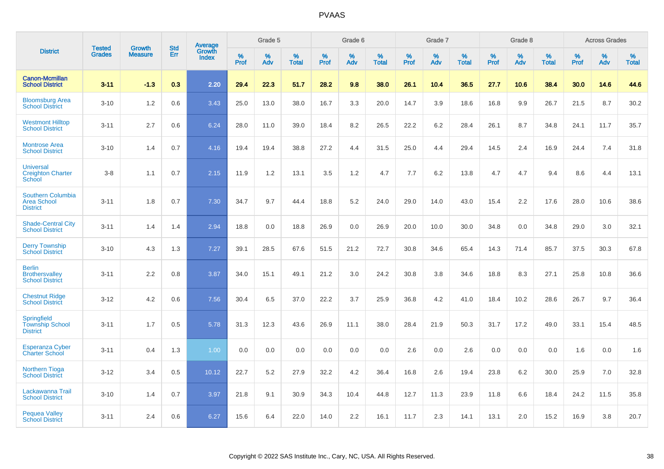|                                                                   | <b>Tested</b> | <b>Growth</b>  | <b>Std</b> | Average                |              | Grade 5  |                   |           | Grade 6  |                   |              | Grade 7  |                   |           | Grade 8  |                   |              | <b>Across Grades</b> |                   |
|-------------------------------------------------------------------|---------------|----------------|------------|------------------------|--------------|----------|-------------------|-----------|----------|-------------------|--------------|----------|-------------------|-----------|----------|-------------------|--------------|----------------------|-------------------|
| <b>District</b>                                                   | <b>Grades</b> | <b>Measure</b> | Err        | Growth<br><b>Index</b> | $\%$<br>Prof | %<br>Adv | %<br><b>Total</b> | %<br>Prof | %<br>Adv | %<br><b>Total</b> | $\%$<br>Prof | %<br>Adv | %<br><b>Total</b> | %<br>Prof | %<br>Adv | %<br><b>Total</b> | $\%$<br>Prof | %<br>Adv             | %<br><b>Total</b> |
| <b>Canon-Mcmillan</b><br><b>School District</b>                   | $3 - 11$      | $-1.3$         | 0.3        | 2.20                   | 29.4         | 22.3     | 51.7              | 28.2      | 9.8      | 38.0              | 26.1         | 10.4     | 36.5              | 27.7      | 10.6     | 38.4              | 30.0         | 14.6                 | 44.6              |
| <b>Bloomsburg Area</b><br><b>School District</b>                  | $3 - 10$      | 1.2            | 0.6        | 3.43                   | 25.0         | 13.0     | 38.0              | 16.7      | 3.3      | 20.0              | 14.7         | 3.9      | 18.6              | 16.8      | 9.9      | 26.7              | 21.5         | 8.7                  | 30.2              |
| <b>Westmont Hilltop</b><br><b>School District</b>                 | $3 - 11$      | 2.7            | 0.6        | 6.24                   | 28.0         | 11.0     | 39.0              | 18.4      | 8.2      | 26.5              | 22.2         | 6.2      | 28.4              | 26.1      | 8.7      | 34.8              | 24.1         | 11.7                 | 35.7              |
| <b>Montrose Area</b><br><b>School District</b>                    | $3 - 10$      | 1.4            | 0.7        | 4.16                   | 19.4         | 19.4     | 38.8              | 27.2      | 4.4      | 31.5              | 25.0         | 4.4      | 29.4              | 14.5      | 2.4      | 16.9              | 24.4         | 7.4                  | 31.8              |
| <b>Universal</b><br><b>Creighton Charter</b><br><b>School</b>     | $3 - 8$       | 1.1            | 0.7        | 2.15                   | 11.9         | 1.2      | 13.1              | 3.5       | 1.2      | 4.7               | 7.7          | 6.2      | 13.8              | 4.7       | 4.7      | 9.4               | 8.6          | 4.4                  | 13.1              |
| <b>Southern Columbia</b><br><b>Area School</b><br><b>District</b> | $3 - 11$      | 1.8            | 0.7        | 7.30                   | 34.7         | 9.7      | 44.4              | 18.8      | 5.2      | 24.0              | 29.0         | 14.0     | 43.0              | 15.4      | 2.2      | 17.6              | 28.0         | 10.6                 | 38.6              |
| <b>Shade-Central City</b><br><b>School District</b>               | $3 - 11$      | 1.4            | 1.4        | 2.94                   | 18.8         | 0.0      | 18.8              | 26.9      | 0.0      | 26.9              | 20.0         | 10.0     | 30.0              | 34.8      | 0.0      | 34.8              | 29.0         | 3.0                  | 32.1              |
| <b>Derry Township</b><br><b>School District</b>                   | $3 - 10$      | 4.3            | 1.3        | 7.27                   | 39.1         | 28.5     | 67.6              | 51.5      | 21.2     | 72.7              | 30.8         | 34.6     | 65.4              | 14.3      | 71.4     | 85.7              | 37.5         | 30.3                 | 67.8              |
| <b>Berlin</b><br><b>Brothersvalley</b><br><b>School District</b>  | $3 - 11$      | 2.2            | 0.8        | 3.87                   | 34.0         | 15.1     | 49.1              | 21.2      | 3.0      | 24.2              | 30.8         | 3.8      | 34.6              | 18.8      | 8.3      | 27.1              | 25.8         | 10.8                 | 36.6              |
| <b>Chestnut Ridge</b><br><b>School District</b>                   | $3 - 12$      | 4.2            | 0.6        | 7.56                   | 30.4         | 6.5      | 37.0              | 22.2      | 3.7      | 25.9              | 36.8         | 4.2      | 41.0              | 18.4      | 10.2     | 28.6              | 26.7         | 9.7                  | 36.4              |
| Springfield<br><b>Township School</b><br><b>District</b>          | $3 - 11$      | 1.7            | 0.5        | 5.78                   | 31.3         | 12.3     | 43.6              | 26.9      | 11.1     | 38.0              | 28.4         | 21.9     | 50.3              | 31.7      | 17.2     | 49.0              | 33.1         | 15.4                 | 48.5              |
| <b>Esperanza Cyber</b><br><b>Charter School</b>                   | $3 - 11$      | 0.4            | 1.3        | 1.00                   | 0.0          | 0.0      | 0.0               | 0.0       | 0.0      | 0.0               | 2.6          | 0.0      | 2.6               | 0.0       | 0.0      | 0.0               | 1.6          | 0.0                  | 1.6               |
| <b>Northern Tioga</b><br><b>School District</b>                   | $3 - 12$      | 3.4            | 0.5        | 10.12                  | 22.7         | 5.2      | 27.9              | 32.2      | 4.2      | 36.4              | 16.8         | 2.6      | 19.4              | 23.8      | 6.2      | 30.0              | 25.9         | 7.0                  | 32.8              |
| Lackawanna Trail<br><b>School District</b>                        | $3 - 10$      | 1.4            | 0.7        | 3.97                   | 21.8         | 9.1      | 30.9              | 34.3      | 10.4     | 44.8              | 12.7         | 11.3     | 23.9              | 11.8      | 6.6      | 18.4              | 24.2         | 11.5                 | 35.8              |
| <b>Pequea Valley</b><br><b>School District</b>                    | $3 - 11$      | 2.4            | 0.6        | 6.27                   | 15.6         | 6.4      | 22.0              | 14.0      | 2.2      | 16.1              | 11.7         | 2.3      | 14.1              | 13.1      | 2.0      | 15.2              | 16.9         | 3.8                  | 20.7              |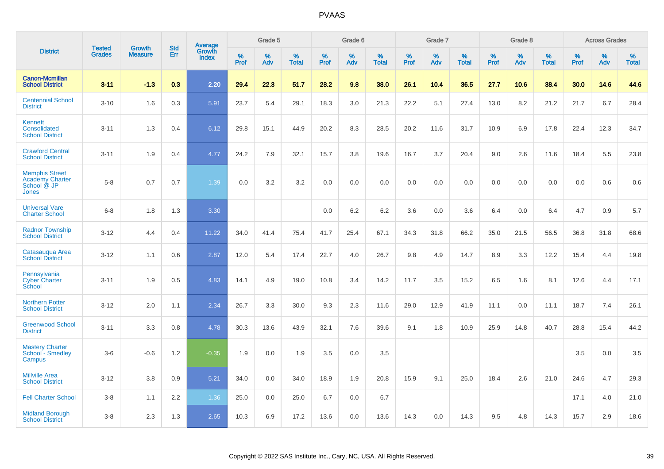|                                                                         |                                |                                 | <b>Std</b> | Average                |           | Grade 5  |                   |           | Grade 6  |                   |           | Grade 7  |                   |           | Grade 8  |                   |           | <b>Across Grades</b> |                   |
|-------------------------------------------------------------------------|--------------------------------|---------------------------------|------------|------------------------|-----------|----------|-------------------|-----------|----------|-------------------|-----------|----------|-------------------|-----------|----------|-------------------|-----------|----------------------|-------------------|
| <b>District</b>                                                         | <b>Tested</b><br><b>Grades</b> | <b>Growth</b><br><b>Measure</b> | <b>Err</b> | Growth<br><b>Index</b> | %<br>Prof | %<br>Adv | %<br><b>Total</b> | %<br>Prof | %<br>Adv | %<br><b>Total</b> | %<br>Prof | %<br>Adv | %<br><b>Total</b> | %<br>Prof | %<br>Adv | %<br><b>Total</b> | %<br>Prof | %<br>Adv             | %<br><b>Total</b> |
| <b>Canon-Mcmillan</b><br><b>School District</b>                         | $3 - 11$                       | $-1.3$                          | 0.3        | 2.20                   | 29.4      | 22.3     | 51.7              | 28.2      | 9.8      | 38.0              | 26.1      | 10.4     | 36.5              | 27.7      | 10.6     | 38.4              | 30.0      | 14.6                 | 44.6              |
| <b>Centennial School</b><br><b>District</b>                             | $3 - 10$                       | 1.6                             | 0.3        | 5.91                   | 23.7      | 5.4      | 29.1              | 18.3      | 3.0      | 21.3              | 22.2      | 5.1      | 27.4              | 13.0      | 8.2      | 21.2              | 21.7      | 6.7                  | 28.4              |
| Kennett<br>Consolidated<br><b>School District</b>                       | $3 - 11$                       | 1.3                             | 0.4        | 6.12                   | 29.8      | 15.1     | 44.9              | 20.2      | 8.3      | 28.5              | 20.2      | 11.6     | 31.7              | 10.9      | 6.9      | 17.8              | 22.4      | 12.3                 | 34.7              |
| <b>Crawford Central</b><br><b>School District</b>                       | $3 - 11$                       | 1.9                             | 0.4        | 4.77                   | 24.2      | 7.9      | 32.1              | 15.7      | 3.8      | 19.6              | 16.7      | 3.7      | 20.4              | 9.0       | 2.6      | 11.6              | 18.4      | 5.5                  | 23.8              |
| <b>Memphis Street</b><br><b>Academy Charter</b><br>School @ JP<br>Jones | $5 - 8$                        | 0.7                             | 0.7        | 1.39                   | 0.0       | 3.2      | 3.2               | 0.0       | 0.0      | 0.0               | 0.0       | 0.0      | 0.0               | 0.0       | 0.0      | 0.0               | 0.0       | 0.6                  | 0.6               |
| <b>Universal Vare</b><br><b>Charter School</b>                          | $6-8$                          | 1.8                             | 1.3        | 3.30                   |           |          |                   | 0.0       | 6.2      | 6.2               | 3.6       | 0.0      | 3.6               | 6.4       | 0.0      | 6.4               | 4.7       | 0.9                  | 5.7               |
| <b>Radnor Township</b><br><b>School District</b>                        | $3 - 12$                       | 4.4                             | 0.4        | 11.22                  | 34.0      | 41.4     | 75.4              | 41.7      | 25.4     | 67.1              | 34.3      | 31.8     | 66.2              | 35.0      | 21.5     | 56.5              | 36.8      | 31.8                 | 68.6              |
| Catasaugua Area<br><b>School District</b>                               | $3 - 12$                       | 1.1                             | 0.6        | 2.87                   | 12.0      | 5.4      | 17.4              | 22.7      | 4.0      | 26.7              | 9.8       | 4.9      | 14.7              | 8.9       | 3.3      | 12.2              | 15.4      | 4.4                  | 19.8              |
| Pennsylvania<br><b>Cyber Charter</b><br>School                          | $3 - 11$                       | 1.9                             | 0.5        | 4.83                   | 14.1      | 4.9      | 19.0              | 10.8      | 3.4      | 14.2              | 11.7      | 3.5      | 15.2              | 6.5       | 1.6      | 8.1               | 12.6      | 4.4                  | 17.1              |
| <b>Northern Potter</b><br><b>School District</b>                        | $3 - 12$                       | 2.0                             | 1.1        | 2.34                   | 26.7      | 3.3      | 30.0              | 9.3       | 2.3      | 11.6              | 29.0      | 12.9     | 41.9              | 11.1      | 0.0      | 11.1              | 18.7      | 7.4                  | 26.1              |
| <b>Greenwood School</b><br><b>District</b>                              | $3 - 11$                       | 3.3                             | 0.8        | 4.78                   | 30.3      | 13.6     | 43.9              | 32.1      | 7.6      | 39.6              | 9.1       | 1.8      | 10.9              | 25.9      | 14.8     | 40.7              | 28.8      | 15.4                 | 44.2              |
| <b>Mastery Charter</b><br>School <sup>-</sup> Smedley<br>Campus         | $3-6$                          | $-0.6$                          | 1.2        | $-0.35$                | 1.9       | 0.0      | 1.9               | 3.5       | 0.0      | 3.5               |           |          |                   |           |          |                   | 3.5       | 0.0                  | 3.5               |
| <b>Millville Area</b><br><b>School District</b>                         | $3 - 12$                       | 3.8                             | 0.9        | 5.21                   | 34.0      | 0.0      | 34.0              | 18.9      | 1.9      | 20.8              | 15.9      | 9.1      | 25.0              | 18.4      | 2.6      | 21.0              | 24.6      | 4.7                  | 29.3              |
| <b>Fell Charter School</b>                                              | $3 - 8$                        | 1.1                             | 2.2        | 1.36                   | 25.0      | 0.0      | 25.0              | 6.7       | 0.0      | 6.7               |           |          |                   |           |          |                   | 17.1      | 4.0                  | 21.0              |
| <b>Midland Borough</b><br><b>School District</b>                        | $3 - 8$                        | 2.3                             | 1.3        | 2.65                   | 10.3      | 6.9      | 17.2              | 13.6      | 0.0      | 13.6              | 14.3      | 0.0      | 14.3              | 9.5       | 4.8      | 14.3              | 15.7      | 2.9                  | 18.6              |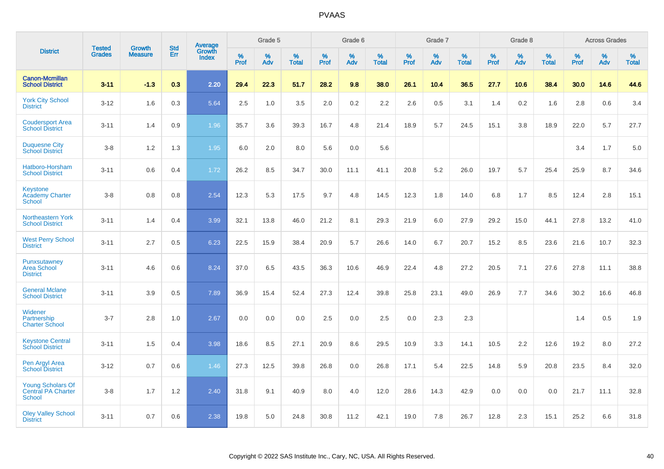|                                                                 |                                | <b>Growth</b>  | <b>Std</b> |                                          |              | Grade 5  |                   |              | Grade 6  |                   |              | Grade 7  |                      |              | Grade 8  |                   |              | <b>Across Grades</b> |                   |
|-----------------------------------------------------------------|--------------------------------|----------------|------------|------------------------------------------|--------------|----------|-------------------|--------------|----------|-------------------|--------------|----------|----------------------|--------------|----------|-------------------|--------------|----------------------|-------------------|
| <b>District</b>                                                 | <b>Tested</b><br><b>Grades</b> | <b>Measure</b> | <b>Err</b> | <b>Average</b><br>Growth<br><b>Index</b> | $\%$<br>Prof | %<br>Adv | %<br><b>Total</b> | $\%$<br>Prof | %<br>Adv | %<br><b>Total</b> | $\%$<br>Prof | %<br>Adv | $\%$<br><b>Total</b> | $\%$<br>Prof | %<br>Adv | %<br><b>Total</b> | $\%$<br>Prof | %<br>Adv             | %<br><b>Total</b> |
| <b>Canon-Mcmillan</b><br><b>School District</b>                 | $3 - 11$                       | $-1.3$         | 0.3        | 2.20                                     | 29.4         | 22.3     | 51.7              | 28.2         | 9.8      | 38.0              | 26.1         | 10.4     | 36.5                 | 27.7         | 10.6     | 38.4              | 30.0         | 14.6                 | 44.6              |
| <b>York City School</b><br><b>District</b>                      | $3 - 12$                       | 1.6            | 0.3        | 5.64                                     | 2.5          | 1.0      | 3.5               | 2.0          | $0.2\,$  | 2.2               | 2.6          | 0.5      | 3.1                  | 1.4          | 0.2      | 1.6               | 2.8          | 0.6                  | 3.4               |
| <b>Coudersport Area</b><br><b>School District</b>               | $3 - 11$                       | 1.4            | 0.9        | 1.96                                     | 35.7         | 3.6      | 39.3              | 16.7         | 4.8      | 21.4              | 18.9         | 5.7      | 24.5                 | 15.1         | 3.8      | 18.9              | 22.0         | 5.7                  | 27.7              |
| <b>Duquesne City</b><br><b>School District</b>                  | $3 - 8$                        | 1.2            | 1.3        | 1.95                                     | 6.0          | 2.0      | 8.0               | 5.6          | 0.0      | 5.6               |              |          |                      |              |          |                   | 3.4          | 1.7                  | 5.0               |
| Hatboro-Horsham<br><b>School District</b>                       | $3 - 11$                       | 0.6            | 0.4        | 1.72                                     | 26.2         | 8.5      | 34.7              | 30.0         | 11.1     | 41.1              | 20.8         | 5.2      | 26.0                 | 19.7         | 5.7      | 25.4              | 25.9         | 8.7                  | 34.6              |
| <b>Keystone</b><br><b>Academy Charter</b><br>School             | $3 - 8$                        | 0.8            | 0.8        | 2.54                                     | 12.3         | 5.3      | 17.5              | 9.7          | 4.8      | 14.5              | 12.3         | 1.8      | 14.0                 | 6.8          | 1.7      | 8.5               | 12.4         | 2.8                  | 15.1              |
| <b>Northeastern York</b><br><b>School District</b>              | $3 - 11$                       | 1.4            | 0.4        | 3.99                                     | 32.1         | 13.8     | 46.0              | 21.2         | 8.1      | 29.3              | 21.9         | 6.0      | 27.9                 | 29.2         | 15.0     | 44.1              | 27.8         | 13.2                 | 41.0              |
| <b>West Perry School</b><br><b>District</b>                     | $3 - 11$                       | 2.7            | 0.5        | 6.23                                     | 22.5         | 15.9     | 38.4              | 20.9         | 5.7      | 26.6              | 14.0         | 6.7      | 20.7                 | 15.2         | 8.5      | 23.6              | 21.6         | 10.7                 | 32.3              |
| Punxsutawney<br><b>Area School</b><br><b>District</b>           | $3 - 11$                       | 4.6            | 0.6        | 8.24                                     | 37.0         | 6.5      | 43.5              | 36.3         | 10.6     | 46.9              | 22.4         | 4.8      | 27.2                 | 20.5         | 7.1      | 27.6              | 27.8         | 11.1                 | 38.8              |
| <b>General Mclane</b><br><b>School District</b>                 | $3 - 11$                       | 3.9            | 0.5        | 7.89                                     | 36.9         | 15.4     | 52.4              | 27.3         | 12.4     | 39.8              | 25.8         | 23.1     | 49.0                 | 26.9         | 7.7      | 34.6              | 30.2         | 16.6                 | 46.8              |
| Widener<br>Partnership<br><b>Charter School</b>                 | $3 - 7$                        | 2.8            | 1.0        | 2.67                                     | 0.0          | 0.0      | 0.0               | 2.5          | 0.0      | 2.5               | 0.0          | 2.3      | 2.3                  |              |          |                   | 1.4          | 0.5                  | 1.9               |
| <b>Keystone Central</b><br><b>School District</b>               | $3 - 11$                       | 1.5            | 0.4        | 3.98                                     | 18.6         | 8.5      | 27.1              | 20.9         | 8.6      | 29.5              | 10.9         | 3.3      | 14.1                 | 10.5         | 2.2      | 12.6              | 19.2         | 8.0                  | 27.2              |
| Pen Argyl Area<br><b>School District</b>                        | $3 - 12$                       | 0.7            | 0.6        | 1.46                                     | 27.3         | 12.5     | 39.8              | 26.8         | 0.0      | 26.8              | 17.1         | 5.4      | 22.5                 | 14.8         | 5.9      | 20.8              | 23.5         | 8.4                  | 32.0              |
| <b>Young Scholars Of</b><br>Central PA Charter<br><b>School</b> | $3 - 8$                        | 1.7            | $1.2$      | 2.40                                     | 31.8         | 9.1      | 40.9              | 8.0          | 4.0      | 12.0              | 28.6         | 14.3     | 42.9                 | 0.0          | 0.0      | 0.0               | 21.7         | 11.1                 | 32.8              |
| <b>Oley Valley School</b><br><b>District</b>                    | $3 - 11$                       | 0.7            | 0.6        | 2.38                                     | 19.8         | 5.0      | 24.8              | 30.8         | 11.2     | 42.1              | 19.0         | 7.8      | 26.7                 | 12.8         | 2.3      | 15.1              | 25.2         | 6.6                  | 31.8              |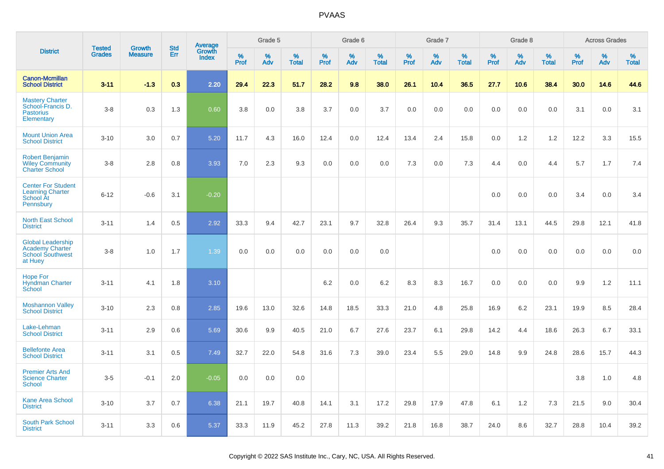|                                                                                          | <b>Tested</b> | <b>Growth</b>  | <b>Std</b> |                                   |                     | Grade 5  |                   |              | Grade 6  |                   |                     | Grade 7  |                   |              | Grade 8  |                   |              | <b>Across Grades</b> |                   |
|------------------------------------------------------------------------------------------|---------------|----------------|------------|-----------------------------------|---------------------|----------|-------------------|--------------|----------|-------------------|---------------------|----------|-------------------|--------------|----------|-------------------|--------------|----------------------|-------------------|
| <b>District</b>                                                                          | <b>Grades</b> | <b>Measure</b> | Err        | Average<br>Growth<br><b>Index</b> | $\%$<br><b>Prof</b> | %<br>Adv | %<br><b>Total</b> | $\%$<br>Prof | %<br>Adv | %<br><b>Total</b> | $\%$<br><b>Prof</b> | %<br>Adv | %<br><b>Total</b> | $\%$<br>Prof | %<br>Adv | %<br><b>Total</b> | $\%$<br>Prof | %<br>Adv             | %<br><b>Total</b> |
| <b>Canon-Mcmillan</b><br><b>School District</b>                                          | $3 - 11$      | $-1.3$         | 0.3        | 2.20                              | 29.4                | 22.3     | 51.7              | 28.2         | 9.8      | 38.0              | 26.1                | 10.4     | 36.5              | 27.7         | 10.6     | 38.4              | 30.0         | 14.6                 | 44.6              |
| <b>Mastery Charter</b><br>School-Francis D.<br><b>Pastorius</b><br>Elementary            | $3-8$         | 0.3            | 1.3        | 0.60                              | 3.8                 | 0.0      | 3.8               | 3.7          | 0.0      | 3.7               | 0.0                 | 0.0      | 0.0               | 0.0          | 0.0      | 0.0               | 3.1          | 0.0                  | 3.1               |
| <b>Mount Union Area</b><br><b>School District</b>                                        | $3 - 10$      | 3.0            | 0.7        | 5.20                              | 11.7                | 4.3      | 16.0              | 12.4         | 0.0      | 12.4              | 13.4                | 2.4      | 15.8              | 0.0          | 1.2      | 1.2               | 12.2         | 3.3                  | 15.5              |
| <b>Robert Benjamin</b><br><b>Wiley Community</b><br><b>Charter School</b>                | $3-8$         | 2.8            | 0.8        | 3.93                              | 7.0                 | 2.3      | 9.3               | 0.0          | 0.0      | 0.0               | 7.3                 | 0.0      | 7.3               | 4.4          | 0.0      | 4.4               | 5.7          | 1.7                  | 7.4               |
| <b>Center For Student</b><br><b>Learning Charter</b><br>School At<br>Pennsbury           | $6 - 12$      | $-0.6$         | 3.1        | $-0.20$                           |                     |          |                   |              |          |                   |                     |          |                   | 0.0          | 0.0      | 0.0               | 3.4          | 0.0                  | 3.4               |
| <b>North East School</b><br><b>District</b>                                              | $3 - 11$      | 1.4            | 0.5        | 2.92                              | 33.3                | 9.4      | 42.7              | 23.1         | 9.7      | 32.8              | 26.4                | 9.3      | 35.7              | 31.4         | 13.1     | 44.5              | 29.8         | 12.1                 | 41.8              |
| <b>Global Leadership</b><br><b>Academy Charter</b><br><b>School Southwest</b><br>at Huey | $3-8$         | 1.0            | 1.7        | 1.39                              | 0.0                 | 0.0      | 0.0               | 0.0          | 0.0      | 0.0               |                     |          |                   | 0.0          | 0.0      | 0.0               | 0.0          | 0.0                  | 0.0               |
| <b>Hope For</b><br><b>Hyndman Charter</b><br>School                                      | $3 - 11$      | 4.1            | 1.8        | 3.10                              |                     |          |                   | 6.2          | 0.0      | 6.2               | 8.3                 | 8.3      | 16.7              | 0.0          | 0.0      | 0.0               | 9.9          | $1.2$                | 11.1              |
| <b>Moshannon Valley</b><br><b>School District</b>                                        | $3 - 10$      | 2.3            | 0.8        | 2.85                              | 19.6                | 13.0     | 32.6              | 14.8         | 18.5     | 33.3              | 21.0                | 4.8      | 25.8              | 16.9         | 6.2      | 23.1              | 19.9         | 8.5                  | 28.4              |
| Lake-Lehman<br><b>School District</b>                                                    | $3 - 11$      | 2.9            | 0.6        | 5.69                              | 30.6                | 9.9      | 40.5              | 21.0         | 6.7      | 27.6              | 23.7                | 6.1      | 29.8              | 14.2         | 4.4      | 18.6              | 26.3         | 6.7                  | 33.1              |
| <b>Bellefonte Area</b><br><b>School District</b>                                         | $3 - 11$      | 3.1            | 0.5        | 7.49                              | 32.7                | 22.0     | 54.8              | 31.6         | 7.3      | 39.0              | 23.4                | 5.5      | 29.0              | 14.8         | 9.9      | 24.8              | 28.6         | 15.7                 | 44.3              |
| <b>Premier Arts And</b><br><b>Science Charter</b><br><b>School</b>                       | $3-5$         | $-0.1$         | 2.0        | $-0.05$                           | 0.0                 | 0.0      | 0.0               |              |          |                   |                     |          |                   |              |          |                   | 3.8          | 1.0                  | 4.8               |
| <b>Kane Area School</b><br><b>District</b>                                               | $3 - 10$      | 3.7            | 0.7        | 6.38                              | 21.1                | 19.7     | 40.8              | 14.1         | 3.1      | 17.2              | 29.8                | 17.9     | 47.8              | 6.1          | 1.2      | 7.3               | 21.5         | 9.0                  | 30.4              |
| <b>South Park School</b><br><b>District</b>                                              | $3 - 11$      | 3.3            | 0.6        | 5.37                              | 33.3                | 11.9     | 45.2              | 27.8         | 11.3     | 39.2              | 21.8                | 16.8     | 38.7              | 24.0         | 8.6      | 32.7              | 28.8         | 10.4                 | 39.2              |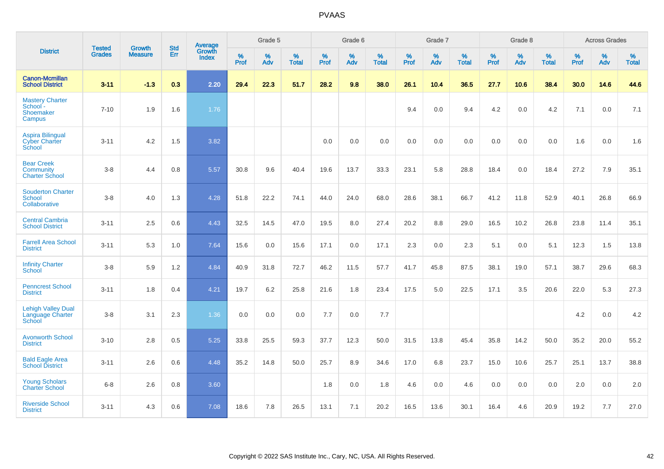|                                                                |                                | <b>Growth</b>  | <b>Std</b> | <b>Average</b>         |              | Grade 5  |                   |           | Grade 6  |                   |           | Grade 7  |                   |           | Grade 8  |                   |           | <b>Across Grades</b> |                   |
|----------------------------------------------------------------|--------------------------------|----------------|------------|------------------------|--------------|----------|-------------------|-----------|----------|-------------------|-----------|----------|-------------------|-----------|----------|-------------------|-----------|----------------------|-------------------|
| <b>District</b>                                                | <b>Tested</b><br><b>Grades</b> | <b>Measure</b> | Err        | Growth<br><b>Index</b> | $\%$<br>Prof | %<br>Adv | %<br><b>Total</b> | %<br>Prof | %<br>Adv | %<br><b>Total</b> | %<br>Prof | %<br>Adv | %<br><b>Total</b> | %<br>Prof | %<br>Adv | %<br><b>Total</b> | %<br>Prof | %<br>Adv             | %<br><b>Total</b> |
| <b>Canon-Mcmillan</b><br><b>School District</b>                | $3 - 11$                       | $-1.3$         | 0.3        | 2.20                   | 29.4         | 22.3     | 51.7              | 28.2      | 9.8      | 38.0              | 26.1      | 10.4     | 36.5              | 27.7      | 10.6     | 38.4              | 30.0      | 14.6                 | 44.6              |
| <b>Mastery Charter</b><br>School -<br>Shoemaker<br>Campus      | $7 - 10$                       | 1.9            | 1.6        | 1.76                   |              |          |                   |           |          |                   | 9.4       | 0.0      | 9.4               | 4.2       | 0.0      | 4.2               | 7.1       | 0.0                  | 7.1               |
| <b>Aspira Bilingual</b><br><b>Cyber Charter</b><br>School      | $3 - 11$                       | 4.2            | 1.5        | 3.82                   |              |          |                   | 0.0       | 0.0      | 0.0               | 0.0       | 0.0      | 0.0               | 0.0       | 0.0      | 0.0               | 1.6       | 0.0                  | 1.6               |
| <b>Bear Creek</b><br><b>Community</b><br><b>Charter School</b> | $3 - 8$                        | 4.4            | 0.8        | 5.57                   | 30.8         | 9.6      | 40.4              | 19.6      | 13.7     | 33.3              | 23.1      | 5.8      | 28.8              | 18.4      | 0.0      | 18.4              | 27.2      | 7.9                  | 35.1              |
| <b>Souderton Charter</b><br>School<br>Collaborative            | $3 - 8$                        | 4.0            | 1.3        | 4.28                   | 51.8         | 22.2     | 74.1              | 44.0      | 24.0     | 68.0              | 28.6      | 38.1     | 66.7              | 41.2      | 11.8     | 52.9              | 40.1      | 26.8                 | 66.9              |
| <b>Central Cambria</b><br><b>School District</b>               | $3 - 11$                       | 2.5            | 0.6        | 4.43                   | 32.5         | 14.5     | 47.0              | 19.5      | 8.0      | 27.4              | 20.2      | 8.8      | 29.0              | 16.5      | 10.2     | 26.8              | 23.8      | 11.4                 | 35.1              |
| <b>Farrell Area School</b><br><b>District</b>                  | $3 - 11$                       | 5.3            | 1.0        | 7.64                   | 15.6         | 0.0      | 15.6              | 17.1      | 0.0      | 17.1              | 2.3       | 0.0      | 2.3               | 5.1       | 0.0      | 5.1               | 12.3      | 1.5                  | 13.8              |
| <b>Infinity Charter</b><br><b>School</b>                       | $3-8$                          | 5.9            | 1.2        | 4.84                   | 40.9         | 31.8     | 72.7              | 46.2      | 11.5     | 57.7              | 41.7      | 45.8     | 87.5              | 38.1      | 19.0     | 57.1              | 38.7      | 29.6                 | 68.3              |
| <b>Penncrest School</b><br><b>District</b>                     | $3 - 11$                       | 1.8            | 0.4        | 4.21                   | 19.7         | 6.2      | 25.8              | 21.6      | 1.8      | 23.4              | 17.5      | 5.0      | 22.5              | 17.1      | 3.5      | 20.6              | 22.0      | 5.3                  | 27.3              |
| <b>Lehigh Valley Dual</b><br>Language Charter<br>School        | $3 - 8$                        | 3.1            | 2.3        | 1.36                   | 0.0          | 0.0      | 0.0               | 7.7       | 0.0      | 7.7               |           |          |                   |           |          |                   | 4.2       | 0.0                  | 4.2               |
| <b>Avonworth School</b><br><b>District</b>                     | $3 - 10$                       | 2.8            | 0.5        | 5.25                   | 33.8         | 25.5     | 59.3              | 37.7      | 12.3     | 50.0              | 31.5      | 13.8     | 45.4              | 35.8      | 14.2     | 50.0              | 35.2      | 20.0                 | 55.2              |
| <b>Bald Eagle Area</b><br><b>School District</b>               | $3 - 11$                       | 2.6            | 0.6        | 4.48                   | 35.2         | 14.8     | 50.0              | 25.7      | 8.9      | 34.6              | 17.0      | 6.8      | 23.7              | 15.0      | 10.6     | 25.7              | 25.1      | 13.7                 | 38.8              |
| <b>Young Scholars</b><br><b>Charter School</b>                 | $6 - 8$                        | 2.6            | 0.8        | 3.60                   |              |          |                   | 1.8       | 0.0      | 1.8               | 4.6       | 0.0      | 4.6               | 0.0       | 0.0      | 0.0               | 2.0       | 0.0                  | 2.0               |
| <b>Riverside School</b><br><b>District</b>                     | $3 - 11$                       | 4.3            | 0.6        | 7.08                   | 18.6         | 7.8      | 26.5              | 13.1      | 7.1      | 20.2              | 16.5      | 13.6     | 30.1              | 16.4      | 4.6      | 20.9              | 19.2      | 7.7                  | 27.0              |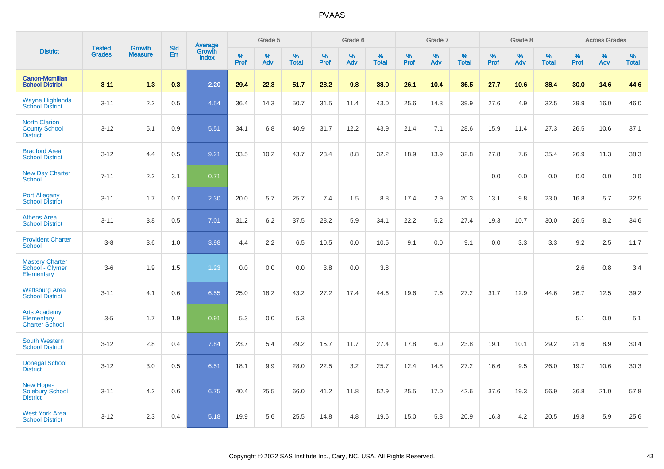|                                                                 |                                | <b>Growth</b>  | <b>Std</b> | Average                |              | Grade 5  |                   |           | Grade 6  |                   |           | Grade 7  |                   |           | Grade 8  |                   |           | <b>Across Grades</b> |                   |
|-----------------------------------------------------------------|--------------------------------|----------------|------------|------------------------|--------------|----------|-------------------|-----------|----------|-------------------|-----------|----------|-------------------|-----------|----------|-------------------|-----------|----------------------|-------------------|
| <b>District</b>                                                 | <b>Tested</b><br><b>Grades</b> | <b>Measure</b> | <b>Err</b> | Growth<br><b>Index</b> | $\%$<br>Prof | %<br>Adv | %<br><b>Total</b> | %<br>Prof | %<br>Adv | %<br><b>Total</b> | %<br>Prof | %<br>Adv | %<br><b>Total</b> | %<br>Prof | %<br>Adv | %<br><b>Total</b> | %<br>Prof | %<br>Adv             | %<br><b>Total</b> |
| <b>Canon-Mcmillan</b><br><b>School District</b>                 | $3 - 11$                       | $-1.3$         | 0.3        | 2.20                   | 29.4         | 22.3     | 51.7              | 28.2      | 9.8      | 38.0              | 26.1      | 10.4     | 36.5              | 27.7      | 10.6     | 38.4              | 30.0      | 14.6                 | 44.6              |
| <b>Wayne Highlands</b><br><b>School District</b>                | $3 - 11$                       | 2.2            | 0.5        | 4.54                   | 36.4         | 14.3     | 50.7              | 31.5      | 11.4     | 43.0              | 25.6      | 14.3     | 39.9              | 27.6      | 4.9      | 32.5              | 29.9      | 16.0                 | 46.0              |
| <b>North Clarion</b><br><b>County School</b><br><b>District</b> | $3 - 12$                       | 5.1            | 0.9        | 5.51                   | 34.1         | 6.8      | 40.9              | 31.7      | 12.2     | 43.9              | 21.4      | 7.1      | 28.6              | 15.9      | 11.4     | 27.3              | 26.5      | 10.6                 | 37.1              |
| <b>Bradford Area</b><br><b>School District</b>                  | $3 - 12$                       | 4.4            | 0.5        | 9.21                   | 33.5         | 10.2     | 43.7              | 23.4      | 8.8      | 32.2              | 18.9      | 13.9     | 32.8              | 27.8      | 7.6      | 35.4              | 26.9      | 11.3                 | 38.3              |
| <b>New Day Charter</b><br><b>School</b>                         | $7 - 11$                       | 2.2            | 3.1        | 0.71                   |              |          |                   |           |          |                   |           |          |                   | 0.0       | 0.0      | 0.0               | 0.0       | 0.0                  | 0.0               |
| <b>Port Allegany</b><br><b>School District</b>                  | $3 - 11$                       | 1.7            | 0.7        | 2.30                   | 20.0         | 5.7      | 25.7              | 7.4       | 1.5      | 8.8               | 17.4      | 2.9      | 20.3              | 13.1      | 9.8      | 23.0              | 16.8      | 5.7                  | 22.5              |
| <b>Athens Area</b><br><b>School District</b>                    | $3 - 11$                       | 3.8            | 0.5        | 7.01                   | 31.2         | 6.2      | 37.5              | 28.2      | 5.9      | 34.1              | 22.2      | 5.2      | 27.4              | 19.3      | 10.7     | 30.0              | 26.5      | 8.2                  | 34.6              |
| <b>Provident Charter</b><br><b>School</b>                       | $3 - 8$                        | 3.6            | 1.0        | 3.98                   | 4.4          | 2.2      | 6.5               | 10.5      | 0.0      | 10.5              | 9.1       | 0.0      | 9.1               | 0.0       | 3.3      | 3.3               | 9.2       | 2.5                  | 11.7              |
| <b>Mastery Charter</b><br>School - Clymer<br>Elementary         | $3-6$                          | 1.9            | 1.5        | 1.23                   | 0.0          | 0.0      | 0.0               | 3.8       | 0.0      | 3.8               |           |          |                   |           |          |                   | 2.6       | 0.8                  | 3.4               |
| <b>Wattsburg Area</b><br><b>School District</b>                 | $3 - 11$                       | 4.1            | 0.6        | 6.55                   | 25.0         | 18.2     | 43.2              | 27.2      | 17.4     | 44.6              | 19.6      | 7.6      | 27.2              | 31.7      | 12.9     | 44.6              | 26.7      | 12.5                 | 39.2              |
| <b>Arts Academy</b><br>Elementary<br><b>Charter School</b>      | $3-5$                          | 1.7            | 1.9        | 0.91                   | 5.3          | 0.0      | 5.3               |           |          |                   |           |          |                   |           |          |                   | 5.1       | 0.0                  | 5.1               |
| <b>South Western</b><br><b>School District</b>                  | $3 - 12$                       | 2.8            | 0.4        | 7.84                   | 23.7         | 5.4      | 29.2              | 15.7      | 11.7     | 27.4              | 17.8      | 6.0      | 23.8              | 19.1      | 10.1     | 29.2              | 21.6      | 8.9                  | 30.4              |
| <b>Donegal School</b><br><b>District</b>                        | $3 - 12$                       | 3.0            | 0.5        | 6.51                   | 18.1         | 9.9      | 28.0              | 22.5      | 3.2      | 25.7              | 12.4      | 14.8     | 27.2              | 16.6      | 9.5      | 26.0              | 19.7      | 10.6                 | 30.3              |
| New Hope-<br><b>Solebury School</b><br><b>District</b>          | $3 - 11$                       | 4.2            | 0.6        | 6.75                   | 40.4         | 25.5     | 66.0              | 41.2      | 11.8     | 52.9              | 25.5      | 17.0     | 42.6              | 37.6      | 19.3     | 56.9              | 36.8      | 21.0                 | 57.8              |
| <b>West York Area</b><br><b>School District</b>                 | $3 - 12$                       | 2.3            | 0.4        | 5.18                   | 19.9         | 5.6      | 25.5              | 14.8      | 4.8      | 19.6              | 15.0      | 5.8      | 20.9              | 16.3      | 4.2      | 20.5              | 19.8      | 5.9                  | 25.6              |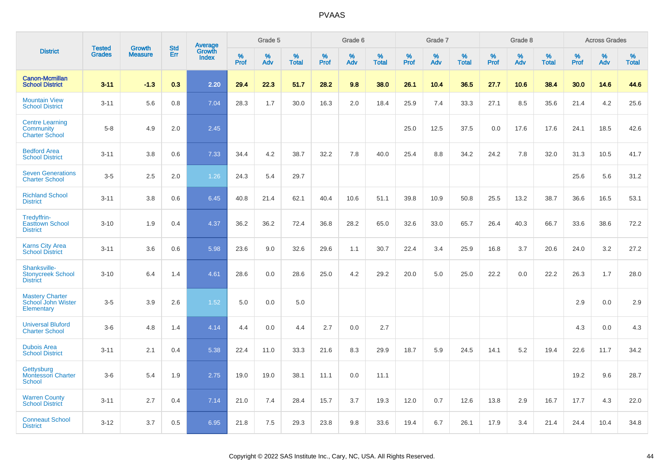|                                                              |                                |                                 | <b>Std</b> |                                   |                     | Grade 5  |                   |                     | Grade 6  |                   |              | Grade 7  |                   |              | Grade 8  |                   |              | <b>Across Grades</b> |                      |
|--------------------------------------------------------------|--------------------------------|---------------------------------|------------|-----------------------------------|---------------------|----------|-------------------|---------------------|----------|-------------------|--------------|----------|-------------------|--------------|----------|-------------------|--------------|----------------------|----------------------|
| <b>District</b>                                              | <b>Tested</b><br><b>Grades</b> | <b>Growth</b><br><b>Measure</b> | Err        | Average<br>Growth<br><b>Index</b> | $\%$<br><b>Prof</b> | %<br>Adv | %<br><b>Total</b> | $\%$<br><b>Prof</b> | %<br>Adv | %<br><b>Total</b> | $\%$<br>Prof | %<br>Adv | %<br><b>Total</b> | $\%$<br>Prof | %<br>Adv | %<br><b>Total</b> | $\%$<br>Prof | %<br>Adv             | $\%$<br><b>Total</b> |
| <b>Canon-Mcmillan</b><br><b>School District</b>              | $3 - 11$                       | $-1.3$                          | 0.3        | 2.20                              | 29.4                | 22.3     | 51.7              | 28.2                | 9.8      | 38.0              | 26.1         | 10.4     | 36.5              | 27.7         | 10.6     | 38.4              | 30.0         | 14.6                 | 44.6                 |
| <b>Mountain View</b><br><b>School District</b>               | $3 - 11$                       | 5.6                             | 0.8        | 7.04                              | 28.3                | 1.7      | 30.0              | 16.3                | 2.0      | 18.4              | 25.9         | 7.4      | 33.3              | 27.1         | 8.5      | 35.6              | 21.4         | 4.2                  | 25.6                 |
| <b>Centre Learning</b><br>Community<br><b>Charter School</b> | $5 - 8$                        | 4.9                             | 2.0        | 2.45                              |                     |          |                   |                     |          |                   | 25.0         | 12.5     | 37.5              | 0.0          | 17.6     | 17.6              | 24.1         | 18.5                 | 42.6                 |
| <b>Bedford Area</b><br><b>School District</b>                | $3 - 11$                       | 3.8                             | 0.6        | 7.33                              | 34.4                | 4.2      | 38.7              | 32.2                | 7.8      | 40.0              | 25.4         | 8.8      | 34.2              | 24.2         | 7.8      | 32.0              | 31.3         | 10.5                 | 41.7                 |
| <b>Seven Generations</b><br><b>Charter School</b>            | $3-5$                          | 2.5                             | 2.0        | 1.26                              | 24.3                | 5.4      | 29.7              |                     |          |                   |              |          |                   |              |          |                   | 25.6         | 5.6                  | 31.2                 |
| <b>Richland School</b><br><b>District</b>                    | $3 - 11$                       | 3.8                             | 0.6        | 6.45                              | 40.8                | 21.4     | 62.1              | 40.4                | 10.6     | 51.1              | 39.8         | 10.9     | 50.8              | 25.5         | 13.2     | 38.7              | 36.6         | 16.5                 | 53.1                 |
| Tredyffrin-<br><b>Easttown School</b><br><b>District</b>     | $3 - 10$                       | 1.9                             | 0.4        | 4.37                              | 36.2                | 36.2     | 72.4              | 36.8                | 28.2     | 65.0              | 32.6         | 33.0     | 65.7              | 26.4         | 40.3     | 66.7              | 33.6         | 38.6                 | 72.2                 |
| <b>Karns City Area</b><br><b>School District</b>             | $3 - 11$                       | 3.6                             | 0.6        | 5.98                              | 23.6                | 9.0      | 32.6              | 29.6                | 1.1      | 30.7              | 22.4         | 3.4      | 25.9              | 16.8         | 3.7      | 20.6              | 24.0         | 3.2                  | 27.2                 |
| Shanksville-<br><b>Stonycreek School</b><br><b>District</b>  | $3 - 10$                       | 6.4                             | 1.4        | 4.61                              | 28.6                | 0.0      | 28.6              | 25.0                | 4.2      | 29.2              | 20.0         | 5.0      | 25.0              | 22.2         | 0.0      | 22.2              | 26.3         | 1.7                  | 28.0                 |
| <b>Mastery Charter</b><br>School John Wister<br>Elementary   | $3-5$                          | 3.9                             | 2.6        | 1.52                              | 5.0                 | 0.0      | 5.0               |                     |          |                   |              |          |                   |              |          |                   | 2.9          | 0.0                  | 2.9                  |
| <b>Universal Bluford</b><br><b>Charter School</b>            | $3-6$                          | 4.8                             | 1.4        | 4.14                              | 4.4                 | 0.0      | 4.4               | 2.7                 | 0.0      | 2.7               |              |          |                   |              |          |                   | 4.3          | 0.0                  | 4.3                  |
| <b>Dubois Area</b><br><b>School District</b>                 | $3 - 11$                       | 2.1                             | 0.4        | 5.38                              | 22.4                | 11.0     | 33.3              | 21.6                | 8.3      | 29.9              | 18.7         | 5.9      | 24.5              | 14.1         | 5.2      | 19.4              | 22.6         | 11.7                 | 34.2                 |
| Gettysburg<br><b>Montessori Charter</b><br>School            | $3-6$                          | 5.4                             | 1.9        | 2.75                              | 19.0                | 19.0     | 38.1              | 11.1                | 0.0      | 11.1              |              |          |                   |              |          |                   | 19.2         | 9.6                  | 28.7                 |
| <b>Warren County</b><br><b>School District</b>               | $3 - 11$                       | 2.7                             | 0.4        | 7.14                              | 21.0                | 7.4      | 28.4              | 15.7                | 3.7      | 19.3              | 12.0         | 0.7      | 12.6              | 13.8         | 2.9      | 16.7              | 17.7         | 4.3                  | 22.0                 |
| <b>Conneaut School</b><br><b>District</b>                    | $3 - 12$                       | 3.7                             | 0.5        | 6.95                              | 21.8                | 7.5      | 29.3              | 23.8                | 9.8      | 33.6              | 19.4         | 6.7      | 26.1              | 17.9         | 3.4      | 21.4              | 24.4         | 10.4                 | 34.8                 |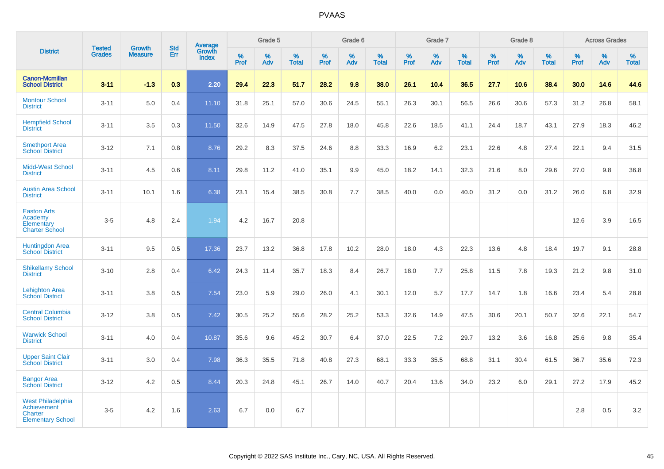|                                                                                              |                                | <b>Growth</b>  | <b>Std</b> |                                          |                     | Grade 5  |                   |              | Grade 6  |                   |           | Grade 7  |                   |           | Grade 8  |                   |           | <b>Across Grades</b> |                   |
|----------------------------------------------------------------------------------------------|--------------------------------|----------------|------------|------------------------------------------|---------------------|----------|-------------------|--------------|----------|-------------------|-----------|----------|-------------------|-----------|----------|-------------------|-----------|----------------------|-------------------|
| <b>District</b>                                                                              | <b>Tested</b><br><b>Grades</b> | <b>Measure</b> | Err        | <b>Average</b><br>Growth<br><b>Index</b> | $\%$<br><b>Prof</b> | %<br>Adv | %<br><b>Total</b> | $\%$<br>Prof | %<br>Adv | %<br><b>Total</b> | %<br>Prof | %<br>Adv | %<br><b>Total</b> | %<br>Prof | %<br>Adv | %<br><b>Total</b> | %<br>Prof | %<br>Adv             | %<br><b>Total</b> |
| <b>Canon-Mcmillan</b><br><b>School District</b>                                              | $3 - 11$                       | $-1.3$         | 0.3        | 2.20                                     | 29.4                | 22.3     | 51.7              | 28.2         | 9.8      | 38.0              | 26.1      | 10.4     | 36.5              | 27.7      | 10.6     | 38.4              | 30.0      | 14.6                 | 44.6              |
| <b>Montour School</b><br><b>District</b>                                                     | $3 - 11$                       | 5.0            | 0.4        | 11.10                                    | 31.8                | 25.1     | 57.0              | 30.6         | 24.5     | 55.1              | 26.3      | 30.1     | 56.5              | 26.6      | 30.6     | 57.3              | 31.2      | 26.8                 | 58.1              |
| <b>Hempfield School</b><br><b>District</b>                                                   | $3 - 11$                       | 3.5            | 0.3        | 11.50                                    | 32.6                | 14.9     | 47.5              | 27.8         | 18.0     | 45.8              | 22.6      | 18.5     | 41.1              | 24.4      | 18.7     | 43.1              | 27.9      | 18.3                 | 46.2              |
| <b>Smethport Area</b><br><b>School District</b>                                              | $3 - 12$                       | 7.1            | 0.8        | 8.76                                     | 29.2                | 8.3      | 37.5              | 24.6         | 8.8      | 33.3              | 16.9      | 6.2      | 23.1              | 22.6      | 4.8      | 27.4              | 22.1      | 9.4                  | 31.5              |
| <b>Midd-West School</b><br><b>District</b>                                                   | $3 - 11$                       | 4.5            | 0.6        | 8.11                                     | 29.8                | 11.2     | 41.0              | 35.1         | 9.9      | 45.0              | 18.2      | 14.1     | 32.3              | 21.6      | 8.0      | 29.6              | 27.0      | 9.8                  | 36.8              |
| <b>Austin Area School</b><br><b>District</b>                                                 | $3 - 11$                       | 10.1           | 1.6        | 6.38                                     | 23.1                | 15.4     | 38.5              | 30.8         | 7.7      | 38.5              | 40.0      | 0.0      | 40.0              | 31.2      | 0.0      | 31.2              | 26.0      | 6.8                  | 32.9              |
| <b>Easton Arts</b><br>Academy<br>Elementary<br><b>Charter School</b>                         | $3-5$                          | 4.8            | 2.4        | 1.94                                     | 4.2                 | 16.7     | 20.8              |              |          |                   |           |          |                   |           |          |                   | 12.6      | 3.9                  | 16.5              |
| <b>Huntingdon Area</b><br><b>School District</b>                                             | $3 - 11$                       | 9.5            | 0.5        | 17.36                                    | 23.7                | 13.2     | 36.8              | 17.8         | 10.2     | 28.0              | 18.0      | 4.3      | 22.3              | 13.6      | 4.8      | 18.4              | 19.7      | 9.1                  | 28.8              |
| <b>Shikellamy School</b><br><b>District</b>                                                  | $3 - 10$                       | 2.8            | 0.4        | 6.42                                     | 24.3                | 11.4     | 35.7              | 18.3         | 8.4      | 26.7              | 18.0      | 7.7      | 25.8              | 11.5      | 7.8      | 19.3              | 21.2      | 9.8                  | 31.0              |
| <b>Lehighton Area</b><br><b>School District</b>                                              | $3 - 11$                       | 3.8            | 0.5        | 7.54                                     | 23.0                | 5.9      | 29.0              | 26.0         | 4.1      | 30.1              | 12.0      | 5.7      | 17.7              | 14.7      | 1.8      | 16.6              | 23.4      | 5.4                  | 28.8              |
| <b>Central Columbia</b><br><b>School District</b>                                            | $3 - 12$                       | 3.8            | 0.5        | 7.42                                     | 30.5                | 25.2     | 55.6              | 28.2         | 25.2     | 53.3              | 32.6      | 14.9     | 47.5              | 30.6      | 20.1     | 50.7              | 32.6      | 22.1                 | 54.7              |
| <b>Warwick School</b><br><b>District</b>                                                     | $3 - 11$                       | 4.0            | 0.4        | 10.87                                    | 35.6                | 9.6      | 45.2              | 30.7         | 6.4      | 37.0              | 22.5      | 7.2      | 29.7              | 13.2      | 3.6      | 16.8              | 25.6      | 9.8                  | 35.4              |
| <b>Upper Saint Clair</b><br><b>School District</b>                                           | $3 - 11$                       | 3.0            | 0.4        | 7.98                                     | 36.3                | 35.5     | 71.8              | 40.8         | 27.3     | 68.1              | 33.3      | 35.5     | 68.8              | 31.1      | 30.4     | 61.5              | 36.7      | 35.6                 | 72.3              |
| <b>Bangor Area</b><br><b>School District</b>                                                 | $3 - 12$                       | 4.2            | 0.5        | 8.44                                     | 20.3                | 24.8     | 45.1              | 26.7         | 14.0     | 40.7              | 20.4      | 13.6     | 34.0              | 23.2      | 6.0      | 29.1              | 27.2      | 17.9                 | 45.2              |
| <b>West Philadelphia</b><br><b>Achievement</b><br><b>Charter</b><br><b>Elementary School</b> | $3-5$                          | 4.2            | 1.6        | 2.63                                     | 6.7                 | 0.0      | 6.7               |              |          |                   |           |          |                   |           |          |                   | 2.8       | 0.5                  | $3.2\,$           |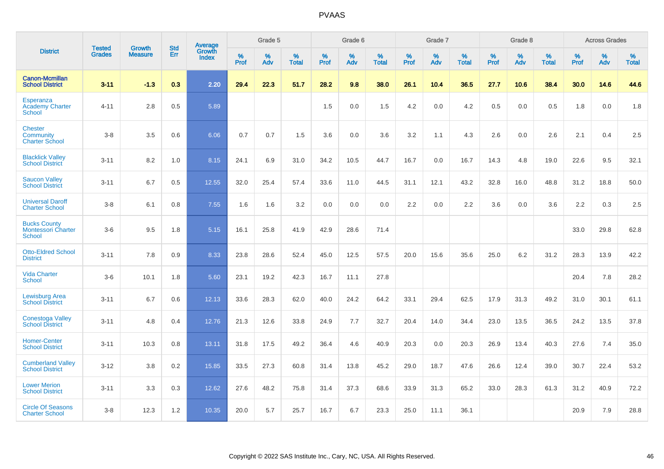|                                                                   | <b>Tested</b> | <b>Growth</b>  | <b>Std</b> | Average                       |           | Grade 5  |                   |           | Grade 6  |                   |           | Grade 7  |                   |           | Grade 8  |                   |           | <b>Across Grades</b> |                   |
|-------------------------------------------------------------------|---------------|----------------|------------|-------------------------------|-----------|----------|-------------------|-----------|----------|-------------------|-----------|----------|-------------------|-----------|----------|-------------------|-----------|----------------------|-------------------|
| <b>District</b>                                                   | <b>Grades</b> | <b>Measure</b> | Err        | <b>Growth</b><br><b>Index</b> | %<br>Prof | %<br>Adv | %<br><b>Total</b> | %<br>Prof | %<br>Adv | %<br><b>Total</b> | %<br>Prof | %<br>Adv | %<br><b>Total</b> | %<br>Prof | %<br>Adv | %<br><b>Total</b> | %<br>Prof | %<br>Adv             | %<br><b>Total</b> |
| <b>Canon-Mcmillan</b><br><b>School District</b>                   | $3 - 11$      | $-1.3$         | 0.3        | 2.20                          | 29.4      | 22.3     | 51.7              | 28.2      | 9.8      | 38.0              | 26.1      | 10.4     | 36.5              | 27.7      | 10.6     | 38.4              | 30.0      | 14.6                 | 44.6              |
| Esperanza<br><b>Academy Charter</b><br>School                     | $4 - 11$      | 2.8            | 0.5        | 5.89                          |           |          |                   | 1.5       | 0.0      | 1.5               | 4.2       | 0.0      | 4.2               | 0.5       | 0.0      | 0.5               | 1.8       | 0.0                  | 1.8               |
| <b>Chester</b><br>Community<br><b>Charter School</b>              | $3 - 8$       | 3.5            | 0.6        | 6.06                          | 0.7       | 0.7      | 1.5               | 3.6       | 0.0      | 3.6               | 3.2       | 1.1      | 4.3               | 2.6       | 0.0      | 2.6               | 2.1       | 0.4                  | 2.5               |
| <b>Blacklick Valley</b><br><b>School District</b>                 | $3 - 11$      | 8.2            | 1.0        | 8.15                          | 24.1      | 6.9      | 31.0              | 34.2      | 10.5     | 44.7              | 16.7      | 0.0      | 16.7              | 14.3      | 4.8      | 19.0              | 22.6      | 9.5                  | 32.1              |
| <b>Saucon Valley</b><br><b>School District</b>                    | $3 - 11$      | 6.7            | 0.5        | 12.55                         | 32.0      | 25.4     | 57.4              | 33.6      | 11.0     | 44.5              | 31.1      | 12.1     | 43.2              | 32.8      | 16.0     | 48.8              | 31.2      | 18.8                 | 50.0              |
| <b>Universal Daroff</b><br><b>Charter School</b>                  | $3 - 8$       | 6.1            | 0.8        | 7.55                          | 1.6       | 1.6      | 3.2               | 0.0       | 0.0      | 0.0               | 2.2       | 0.0      | 2.2               | 3.6       | 0.0      | 3.6               | 2.2       | 0.3                  | 2.5               |
| <b>Bucks County</b><br><b>Montessori Charter</b><br><b>School</b> | $3-6$         | 9.5            | 1.8        | 5.15                          | 16.1      | 25.8     | 41.9              | 42.9      | 28.6     | 71.4              |           |          |                   |           |          |                   | 33.0      | 29.8                 | 62.8              |
| <b>Otto-Eldred School</b><br><b>District</b>                      | $3 - 11$      | 7.8            | 0.9        | 8.33                          | 23.8      | 28.6     | 52.4              | 45.0      | 12.5     | 57.5              | 20.0      | 15.6     | 35.6              | 25.0      | 6.2      | 31.2              | 28.3      | 13.9                 | 42.2              |
| <b>Vida Charter</b><br><b>School</b>                              | $3-6$         | 10.1           | 1.8        | 5.60                          | 23.1      | 19.2     | 42.3              | 16.7      | 11.1     | 27.8              |           |          |                   |           |          |                   | 20.4      | 7.8                  | 28.2              |
| <b>Lewisburg Area</b><br><b>School District</b>                   | $3 - 11$      | 6.7            | 0.6        | 12.13                         | 33.6      | 28.3     | 62.0              | 40.0      | 24.2     | 64.2              | 33.1      | 29.4     | 62.5              | 17.9      | 31.3     | 49.2              | 31.0      | 30.1                 | 61.1              |
| <b>Conestoga Valley</b><br><b>School District</b>                 | $3 - 11$      | 4.8            | 0.4        | 12.76                         | 21.3      | 12.6     | 33.8              | 24.9      | 7.7      | 32.7              | 20.4      | 14.0     | 34.4              | 23.0      | 13.5     | 36.5              | 24.2      | 13.5                 | 37.8              |
| <b>Homer-Center</b><br><b>School District</b>                     | $3 - 11$      | 10.3           | 0.8        | 13.11                         | 31.8      | 17.5     | 49.2              | 36.4      | 4.6      | 40.9              | 20.3      | 0.0      | 20.3              | 26.9      | 13.4     | 40.3              | 27.6      | 7.4                  | 35.0              |
| <b>Cumberland Valley</b><br><b>School District</b>                | $3 - 12$      | 3.8            | 0.2        | 15.85                         | 33.5      | 27.3     | 60.8              | 31.4      | 13.8     | 45.2              | 29.0      | 18.7     | 47.6              | 26.6      | 12.4     | 39.0              | 30.7      | 22.4                 | 53.2              |
| <b>Lower Merion</b><br><b>School District</b>                     | $3 - 11$      | 3.3            | 0.3        | 12.62                         | 27.6      | 48.2     | 75.8              | 31.4      | 37.3     | 68.6              | 33.9      | 31.3     | 65.2              | 33.0      | 28.3     | 61.3              | 31.2      | 40.9                 | 72.2              |
| <b>Circle Of Seasons</b><br><b>Charter School</b>                 | $3 - 8$       | 12.3           | 1.2        | 10.35                         | 20.0      | 5.7      | 25.7              | 16.7      | 6.7      | 23.3              | 25.0      | 11.1     | 36.1              |           |          |                   | 20.9      | 7.9                  | 28.8              |